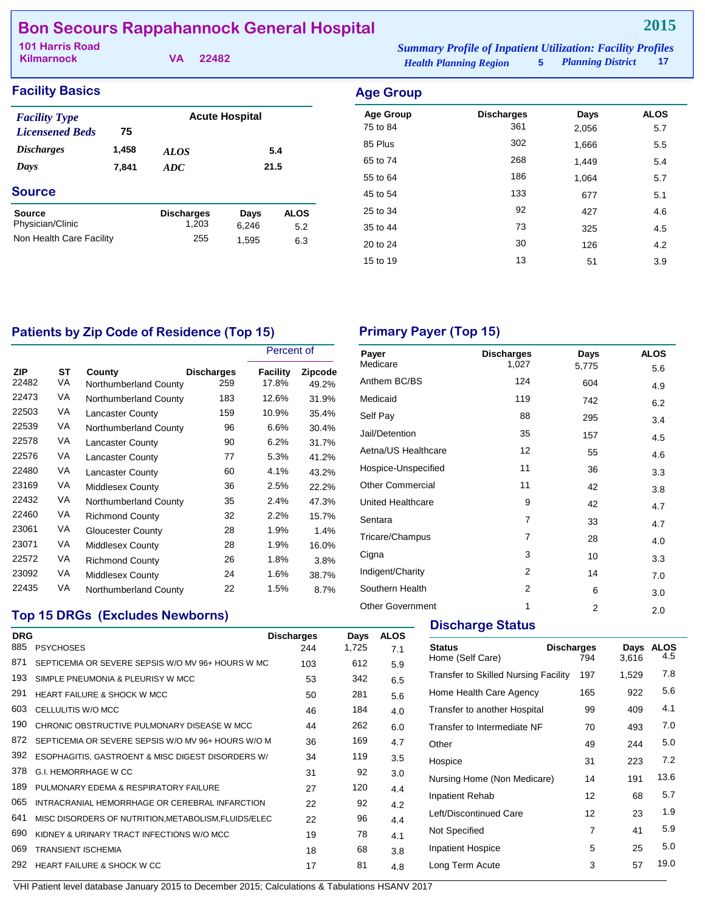# **Bon Secours Rappahannock General Hospital**

| 101 Harris Road   |          | <b>Summary Profile of Inpatient Utilization: Facility Profiles</b> |                     |       |
|-------------------|----------|--------------------------------------------------------------------|---------------------|-------|
| <b>Kilmarnock</b> | VA 22482 | <b>Health Planning Region</b>                                      | 5 Planning District | $-17$ |

**2015**

| <b>Facility Basics</b>                         |       |                   |                       |             | <b>Age Group</b>             |                          |               |                    |
|------------------------------------------------|-------|-------------------|-----------------------|-------------|------------------------------|--------------------------|---------------|--------------------|
| <b>Facility Type</b><br><b>Licensened Beds</b> | 75    |                   | <b>Acute Hospital</b> |             | <b>Age Group</b><br>75 to 84 | <b>Discharges</b><br>361 | Days<br>2,056 | <b>ALOS</b><br>5.7 |
| <b>Discharges</b>                              | 1,458 | <b>ALOS</b>       |                       | 5.4         | 85 Plus                      | 302                      | 1,666         | 5.5                |
| Days                                           | 7,841 | ADC               |                       | 21.5        | 65 to 74                     | 268                      | 1,449         | 5.4                |
|                                                |       |                   |                       |             | 55 to 64                     | 186                      | 1.064         | 5.7                |
| <b>Source</b>                                  |       |                   |                       |             | 45 to 54                     | 133                      | 677           | 5.1                |
| <b>Source</b>                                  |       | <b>Discharges</b> | Days                  | <b>ALOS</b> | 25 to 34                     | 92                       | 427           | 4.6                |
| Physician/Clinic                               |       | 1,203             | 6,246                 | 5.2         | 35 to 44                     | 73                       | 325           | 4.5                |
| Non Health Care Facility                       |       | 255               | 1,595                 | 6.3         | 20 to 24                     | 30                       | 126           | 4.2                |

# Patients by Zip Code of Residence (Top 15) **Primary Payer (Top 15)**

|                     |          |                                 |                          | Percent of        |                         |
|---------------------|----------|---------------------------------|--------------------------|-------------------|-------------------------|
| <b>ZIP</b><br>22482 | ST<br>VA | County<br>Northumberland County | <b>Discharges</b><br>259 | Facility<br>17.8% | <b>Zipcode</b><br>49.2% |
| 22473               | VA       | Northumberland County           | 183                      | 12.6%             | 31.9%                   |
| 22503               | VA       | <b>Lancaster County</b>         | 159                      | 10.9%             | 35.4%                   |
| 22539               | VA       | Northumberland County           | 96                       | 6.6%              | 30.4%                   |
| 22578               | VA       | <b>Lancaster County</b>         | 90                       | 6.2%              | 31.7%                   |
| 22576               | VA       | <b>Lancaster County</b>         | 77                       | 5.3%              | 41.2%                   |
| 22480               | VA       | <b>Lancaster County</b>         | 60                       | 4.1%              | 43.2%                   |
| 23169               | VA       | <b>Middlesex County</b>         | 36                       | 2.5%              | 22.2%                   |
| 22432               | VA       | Northumberland County           | 35                       | 2.4%              | 47.3%                   |
| 22460               | VA       | <b>Richmond County</b>          | 32                       | 2.2%              | 15.7%                   |
| 23061               | VA       | <b>Gloucester County</b>        | 28                       | 1.9%              | 1.4%                    |
| 23071               | VA       | <b>Middlesex County</b>         | 28                       | 1.9%              | 16.0%                   |
| 22572               | VA       | <b>Richmond County</b>          | 26                       | 1.8%              | 3.8%                    |
| 23092               | VA       | <b>Middlesex County</b>         | 24                       | 1.6%              | 38.7%                   |
| 22435               | VA       | Northumberland County           | 22                       | 1.5%              | 8.7%                    |

| Payer<br>Medicare       | <b>Discharges</b><br>1,027 | Days           | <b>ALOS</b> |
|-------------------------|----------------------------|----------------|-------------|
|                         |                            | 5,775          | 5.6         |
| Anthem BC/BS            | 124                        | 604            | 4.9         |
| Medicaid                | 119                        | 742            | 6.2         |
| Self Pay                | 88                         | 295            | 3.4         |
| Jail/Detention          | 35                         | 157            | 4.5         |
| Aetna/US Healthcare     | 12                         | 55             | 4.6         |
| Hospice-Unspecified     | 11                         | 36             | 3.3         |
| <b>Other Commercial</b> | 11                         | 42             | 3.8         |
| United Healthcare       | 9                          | 42             | 4.7         |
| Sentara                 | 7                          | 33             | 4.7         |
| Tricare/Champus         | $\overline{7}$             | 28             | 4.0         |
| Cigna                   | 3                          | 10             | 3.3         |
| Indigent/Charity        | $\overline{2}$             | 14             | 7.0         |
| Southern Health         | $\overline{2}$             | 6              | 3.0         |
| <b>Other Government</b> | 1                          | $\overline{2}$ | 2.0         |

15 to 19 13 51 3.9

# **Top 15 DRGs (Excludes Newborns)**

| <b>DRG</b><br>885 | <b>PSYCHOSES</b>                                     | <b>Discharges</b><br>244 | Days<br>1,725 | <b>ALOS</b><br>7.1 |
|-------------------|------------------------------------------------------|--------------------------|---------------|--------------------|
| 871               | SEPTICEMIA OR SEVERE SEPSIS W/O MV 96+ HOURS W MC    | 103                      | 612           | 5.9                |
| 193               | SIMPLE PNEUMONIA & PLEURISY W MCC                    | 53                       | 342           | 6.5                |
| 291               | <b>HEART FAILURE &amp; SHOCK W MCC</b>               | 50                       | 281           | 5.6                |
| 603               | CELLULITIS W/O MCC                                   | 46                       | 184           | 4.0                |
| 190               | CHRONIC OBSTRUCTIVE PULMONARY DISEASE W MCC          | 44                       | 262           | 6.0                |
| 872               | SEPTICEMIA OR SEVERE SEPSIS W/O MV 96+ HOURS W/O M   | 36                       | 169           | 4.7                |
| 392               | ESOPHAGITIS, GASTROENT & MISC DIGEST DISORDERS W/    | 34                       | 119           | 3.5                |
| 378               | G.I. HEMORRHAGE W CC                                 | 31                       | 92            | 3.0                |
| 189               | PULMONARY EDEMA & RESPIRATORY FAILURE                | 27                       | 120           | 4.4                |
| 065               | INTRACRANIAL HEMORRHAGE OR CEREBRAL INFARCTION       | 22                       | 92            | 4.2                |
| 641               | MISC DISORDERS OF NUTRITION, METABOLISM, FLUIDS/ELEC | 22                       | 96            | 4.4                |
| 690               | KIDNEY & URINARY TRACT INFECTIONS W/O MCC            | 19                       | 78            | 4.1                |
| 069               | <b>TRANSIENT ISCHEMIA</b>                            | 18                       | 68            | 3.8                |
| 292               | <b>HEART FAILURE &amp; SHOCK W CC</b>                | 17                       | 81            | 4.8                |
|                   |                                                      |                          |               |                    |

# **Discharge Status**

| <b>Status</b><br>Home (Self Care)    | <b>Discharges</b><br>794 | Days<br>3,616 | <b>ALOS</b><br>4.5 |
|--------------------------------------|--------------------------|---------------|--------------------|
| Transfer to Skilled Nursing Facility | 197                      | 1,529         | 7.8                |
| Home Health Care Agency              | 165                      | 922           | 5.6                |
| Transfer to another Hospital         | 99                       | 409           | 4.1                |
| Transfer to Intermediate NF          | 70                       | 493           | 7.0                |
| Other                                | 49                       | 244           | 5.0                |
| Hospice                              | 31                       | 223           | 7.2                |
| Nursing Home (Non Medicare)          | 14                       | 191           | 13.6               |
| Inpatient Rehab                      | 12                       | 68            | 5.7                |
| Left/Discontinued Care               | 12                       | 23            | 1.9                |
| Not Specified                        | 7                        | 41            | 5.9                |
| <b>Inpatient Hospice</b>             | 5                        | 25            | 5.0                |
| Long Term Acute                      | 3                        | 57            | 19.0               |
|                                      |                          |               |                    |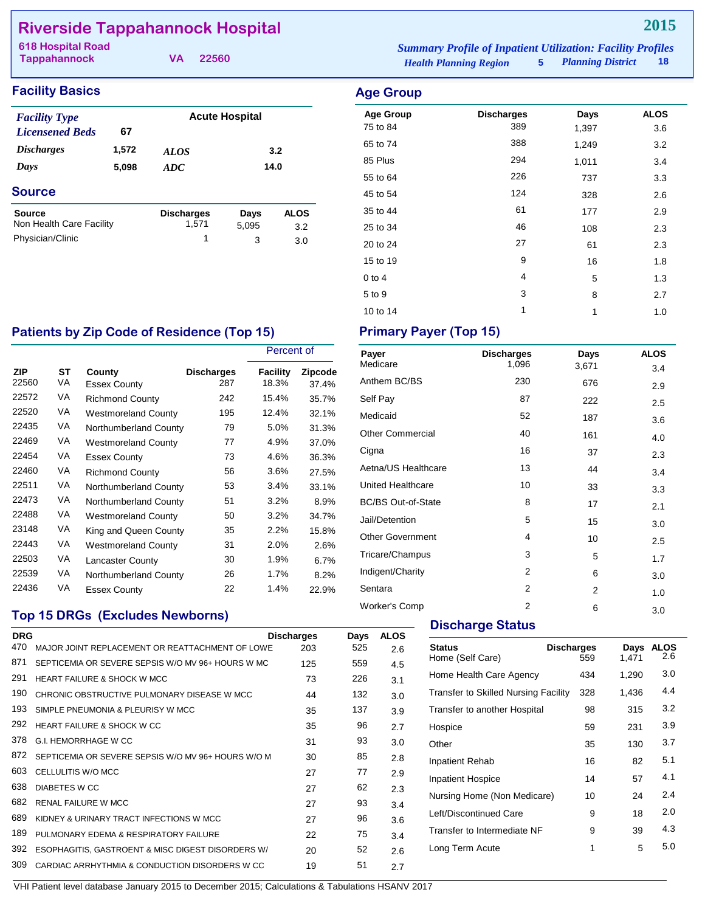# **Riverside Tappahannock Hospital**

| 618 Hospital Road |          |                               | <b>Summary Profile of Inpatient Utilization: Facility Profiles</b> |                     |        |  |
|-------------------|----------|-------------------------------|--------------------------------------------------------------------|---------------------|--------|--|
| Tappahannock      | VA 22560 | <b>Health Planning Region</b> |                                                                    | 5 Planning District | - 18 - |  |

# **Facility Basics Age Group**

| <b>Facility Type</b>     |       | <b>Acute Hospital</b> |       |             |  |  |  |
|--------------------------|-------|-----------------------|-------|-------------|--|--|--|
| <b>Licensened Beds</b>   | 67    |                       |       |             |  |  |  |
| <b>Discharges</b>        | 1,572 | ALOS                  |       | 3.2         |  |  |  |
| Days                     | 5,098 | ADC                   | 14.0  |             |  |  |  |
| <b>Source</b>            |       |                       |       |             |  |  |  |
| <b>Source</b>            |       | <b>Discharges</b>     | Days  | <b>ALOS</b> |  |  |  |
| Non Health Care Facility |       | 1,571                 | 5,095 | 3.2         |  |  |  |

Physician/Clinic 1 3 3.0

| <b>Age Group</b> | <b>Discharges</b> | Days  | <b>ALOS</b> |
|------------------|-------------------|-------|-------------|
| 75 to 84         | 389               | 1,397 | 3.6         |
| 65 to 74         | 388               | 1,249 | 3.2         |
| 85 Plus          | 294               | 1,011 | 3.4         |
| 55 to 64         | 226               | 737   | 3.3         |
| 45 to 54         | 124               | 328   | 2.6         |
| 35 to 44         | 61                | 177   | 2.9         |
| 25 to 34         | 46                | 108   | 2.3         |
| 20 to 24         | 27                | 61    | 2.3         |
| 15 to 19         | 9                 | 16    | 1.8         |
| $0$ to $4$       | 4                 | 5     | 1.3         |
| 5 to 9           | 3                 | 8     | 2.7         |
| 10 to 14         | 1                 | 1     | 1.0         |

# Patients by Zip Code of Residence (Top 15) Primary Payer (Top 15)

|                     |          |                               |                          | Percent of        |                         |
|---------------------|----------|-------------------------------|--------------------------|-------------------|-------------------------|
| <b>ZIP</b><br>22560 | SТ<br>VA | County<br><b>Essex County</b> | <b>Discharges</b><br>287 | Facility<br>18.3% | <b>Zipcode</b><br>37.4% |
| 22572               | VA       | <b>Richmond County</b>        | 242                      | 15.4%             | 35.7%                   |
| 22520               | VA       | <b>Westmoreland County</b>    | 195                      | 12.4%             | 32.1%                   |
| 22435               | VA       | Northumberland County         | 79                       | 5.0%              | 31.3%                   |
| 22469               | VA       | <b>Westmoreland County</b>    | 77                       | 4.9%              | 37.0%                   |
| 22454               | VA       | <b>Essex County</b>           | 73                       | 4.6%              | 36.3%                   |
| 22460               | VA       | <b>Richmond County</b>        | 56                       | 3.6%              | 27.5%                   |
| 22511               | VA       | Northumberland County         | 53                       | 3.4%              | 33.1%                   |
| 22473               | VA       | Northumberland County         | 51                       | 3.2%              | 8.9%                    |
| 22488               | VA       | <b>Westmoreland County</b>    | 50                       | 3.2%              | 34.7%                   |
| 23148               | VA       | King and Queen County         | 35                       | 2.2%              | 15.8%                   |
| 22443               | VA       | <b>Westmoreland County</b>    | 31                       | 2.0%              | 2.6%                    |
| 22503               | VA       | <b>Lancaster County</b>       | 30                       | 1.9%              | 6.7%                    |
| 22539               | VA       | Northumberland County         | 26                       | 1.7%              | 8.2%                    |
| 22436               | VA       | <b>Essex County</b>           | 22                       | 1.4%              | 22.9%                   |

# **Top 15 DRGs (Excludes Newborns)**

| <b>DRG</b> |                                                    | <b>Discharges</b> | Days | <b>ALOS</b> |
|------------|----------------------------------------------------|-------------------|------|-------------|
| 470        | MAJOR JOINT REPLACEMENT OR REATTACHMENT OF LOWE    | 203               | 525  | 2.6         |
| 871        | SEPTICEMIA OR SEVERE SEPSIS W/O MV 96+ HOURS W MC  | 125               | 559  | 4.5         |
| 291        | <b>HEART FAILURE &amp; SHOCK W MCC</b>             | 73                | 226  | 3.1         |
| 190        | CHRONIC OBSTRUCTIVE PULMONARY DISEASE W MCC        | 44                | 132  | 3.0         |
| 193        | SIMPLE PNEUMONIA & PLEURISY W MCC                  | 35                | 137  | 3.9         |
| 292        | <b>HEART FAILURE &amp; SHOCK W CC</b>              | 35                | 96   | 2.7         |
| 378        | G.I. HEMORRHAGE W CC                               | 31                | 93   | 3.0         |
| 872        | SEPTICEMIA OR SEVERE SEPSIS W/O MV 96+ HOURS W/O M | 30                | 85   | 2.8         |
| 603        | CELLULITIS W/O MCC                                 | 27                | 77   | 2.9         |
| 638        | DIABETES W CC                                      | 27                | 62   | 2.3         |
| 682        | <b>RENAL FAILURE W MCC</b>                         | 27                | 93   | 3.4         |
| 689        | KIDNEY & URINARY TRACT INFECTIONS W MCC            | 27                | 96   | 3.6         |
| 189        | PULMONARY EDEMA & RESPIRATORY FAILURE              | 22                | 75   | 3.4         |
| 392        | ESOPHAGITIS, GASTROENT & MISC DIGEST DISORDERS W/  | 20                | 52   | 2.6         |
| 309        | CARDIAC ARRHYTHMIA & CONDUCTION DISORDERS W CC     | 19                | 51   | 2.7         |
|            |                                                    |                   |      |             |

| Payer                     | <b>Discharges</b> | Days  | <b>ALOS</b> |
|---------------------------|-------------------|-------|-------------|
| Medicare                  | 1,096             | 3,671 | 3.4         |
| Anthem BC/BS              | 230               | 676   | 2.9         |
| Self Pay                  | 87                | 222   | 2.5         |
| Medicaid                  | 52                | 187   | 3.6         |
| <b>Other Commercial</b>   | 40                | 161   | 4.0         |
| Cigna                     | 16                | 37    | 2.3         |
| Aetna/US Healthcare       | 13                | 44    | 3.4         |
| United Healthcare         | 10                | 33    | 3.3         |
| <b>BC/BS Out-of-State</b> | 8                 | 17    | 2.1         |
| Jail/Detention            | 5                 | 15    | 3.0         |
| <b>Other Government</b>   | 4                 | 10    | 2.5         |
| Tricare/Champus           | 3                 | 5     | 1.7         |
| Indigent/Charity          | $\overline{2}$    | 6     | 3.0         |
| Sentara                   | $\overline{2}$    | 2     | 1.0         |
| <b>Worker's Comp</b>      | $\overline{2}$    | 6     | 3.0         |

### **Discharge Status**

| Status<br>Home (Self Care)                  | <b>Discharges</b><br>559 | Days<br>1,471 | <b>ALOS</b><br>2.6 |
|---------------------------------------------|--------------------------|---------------|--------------------|
| Home Health Care Agency                     | 434                      | 1,290         | 3.0                |
| <b>Transfer to Skilled Nursing Facility</b> | 328                      | 1,436         | 4.4                |
| Transfer to another Hospital                | 98                       | 315           | 3.2                |
| Hospice                                     | 59                       | 231           | 3.9                |
| Other                                       | 35                       | 130           | 3.7                |
| Inpatient Rehab                             | 16                       | 82            | 5.1                |
| <b>Inpatient Hospice</b>                    | 14                       | 57            | 4.1                |
| Nursing Home (Non Medicare)                 | 10                       | 24            | 2.4                |
| Left/Discontinued Care                      | 9                        | 18            | 2.0                |
| Transfer to Intermediate NF                 | 9                        | 39            | 4.3                |
| Long Term Acute                             | 1                        | 5             | 5.0                |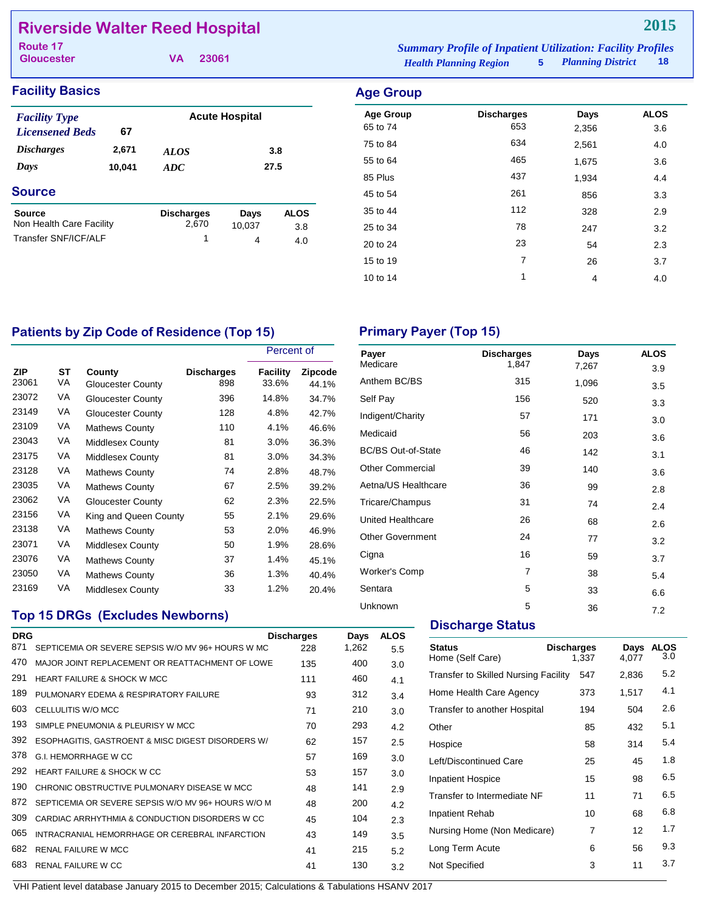# **Riverside Walter Reed Hospital**

**Gloucester**

| Route 17          |          | <b>Summary Profile of Inpatient Utilization: Facility Profiles</b> |                     |      |
|-------------------|----------|--------------------------------------------------------------------|---------------------|------|
| <b>Gloucester</b> | VA 23061 | <i>Health Planning Region</i>                                      | 5 Planning District | - 18 |

# **Facility Basics Age Group**

| <b>Facility Type</b>     |        |                   | <b>Acute Hospital</b> |             |
|--------------------------|--------|-------------------|-----------------------|-------------|
| <b>Licensened Beds</b>   | 67     |                   |                       |             |
| <i><b>Discharges</b></i> | 2,671  | <i>ALOS</i>       |                       | 3.8         |
| Days                     | 10,041 | ADC               |                       | 27.5        |
| <b>Source</b>            |        |                   |                       |             |
| Source                   |        | <b>Discharges</b> | Days                  | <b>ALOS</b> |
| Non Health Care Facility |        | 2,670             | 10,037                | 3.8         |
| Transfer SNF/ICF/ALF     |        | 1                 | 4                     | 4.0         |
|                          |        |                   |                       |             |

| $\sim$           |                   |       |             |
|------------------|-------------------|-------|-------------|
| <b>Age Group</b> | <b>Discharges</b> | Days  | <b>ALOS</b> |
| 65 to 74         | 653               | 2,356 | 3.6         |
| 75 to 84         | 634               | 2,561 | 4.0         |
| 55 to 64         | 465               | 1,675 | 3.6         |
| 85 Plus          | 437               | 1,934 | 4.4         |
| 45 to 54         | 261               | 856   | 3.3         |
| 35 to 44         | 112               | 328   | 2.9         |
| 25 to 34         | 78                | 247   | 3.2         |
| 20 to 24         | 23                | 54    | 2.3         |
| 15 to 19         | 7                 | 26    | 3.7         |
| 10 to 14         | 1                 | 4     | 4.0         |
|                  |                   |       |             |

# Patients by Zip Code of Residence (Top 15) **Primary Payer (Top 15)**

|                     |          |                             |                          | Percent of        |                         |  |
|---------------------|----------|-----------------------------|--------------------------|-------------------|-------------------------|--|
| <b>ZIP</b><br>23061 | SТ<br>VA | County<br>Gloucester County | <b>Discharges</b><br>898 | Facility<br>33.6% | <b>Zipcode</b><br>44.1% |  |
| 23072               | VA       | Gloucester County           | 396                      | 14.8%             | 34.7%                   |  |
| 23149               | VA       | <b>Gloucester County</b>    | 128                      | 4.8%              | 42.7%                   |  |
| 23109               | VA       | <b>Mathews County</b>       | 110                      | 4.1%              | 46.6%                   |  |
| 23043               | VA       | Middlesex County            | 81                       | 3.0%              | 36.3%                   |  |
| 23175               | VA       | Middlesex County            | 81                       | 3.0%              | 34.3%                   |  |
| 23128               | VA       | <b>Mathews County</b>       | 74                       | 2.8%              | 48.7%                   |  |
| 23035               | VA       | <b>Mathews County</b>       | 67                       | 2.5%              | 39.2%                   |  |
| 23062               | VA       | <b>Gloucester County</b>    | 62                       | 2.3%              | 22.5%                   |  |
| 23156               | VA       | King and Queen County       | 55                       | 2.1%              | 29.6%                   |  |
| 23138               | VA       | <b>Mathews County</b>       | 53                       | 2.0%              | 46.9%                   |  |
| 23071               | VA       | <b>Middlesex County</b>     | 50                       | 1.9%              | 28.6%                   |  |
| 23076               | VA       | <b>Mathews County</b>       | 37                       | 1.4%              | 45.1%                   |  |
| 23050               | VA       | <b>Mathews County</b>       | 36                       | 1.3%              | 40.4%                   |  |
| 23169               | VA       | Middlesex County            | 33                       | 1.2%              | 20.4%                   |  |

## **Top 15 DRGs (Excludes Newborns)**

| <b>DRG</b> |                                                    | <b>Discharges</b> | Days  | <b>ALOS</b> |
|------------|----------------------------------------------------|-------------------|-------|-------------|
| 871        | SEPTICEMIA OR SEVERE SEPSIS W/O MV 96+ HOURS W MC  | 228               | 1,262 | 5.5         |
| 470        | MAJOR JOINT REPLACEMENT OR REATTACHMENT OF LOWE    | 135               | 400   | 3.0         |
| 291        | <b>HEART FAILURE &amp; SHOCK W MCC</b>             | 111               | 460   | 4.1         |
| 189        | PULMONARY EDEMA & RESPIRATORY FAILURE              | 93                | 312   | 3.4         |
| 603        | CELLULITIS W/O MCC                                 | 71                | 210   | 3.0         |
| 193        | SIMPLE PNEUMONIA & PLEURISY W MCC                  | 70                | 293   | 4.2         |
| 392        | ESOPHAGITIS, GASTROENT & MISC DIGEST DISORDERS W/  | 62                | 157   | 2.5         |
| 378        | <b>G.I. HEMORRHAGE W CC</b>                        | 57                | 169   | 3.0         |
| 292        | HEART FAILURE & SHOCK W CC                         | 53                | 157   | 3.0         |
| 190        | CHRONIC OBSTRUCTIVE PULMONARY DISEASE W MCC        | 48                | 141   | 2.9         |
| 872        | SEPTICEMIA OR SEVERE SEPSIS W/O MV 96+ HOURS W/O M | 48                | 200   | 4.2         |
| 309        | CARDIAC ARRHYTHMIA & CONDUCTION DISORDERS W CC     | 45                | 104   | 2.3         |
| 065        | INTRACRANIAL HEMORRHAGE OR CEREBRAL INFARCTION     | 43                | 149   | 3.5         |
| 682        | <b>RENAL FAILURE W MCC</b>                         | 41                | 215   | 5.2         |
| 683        | <b>RENAL FAILURE W CC</b>                          | 41                | 130   | 3.2         |

| Payer                     | <b>Discharges</b> | Days  | <b>ALOS</b> |
|---------------------------|-------------------|-------|-------------|
| Medicare                  | 1,847             | 7,267 | 3.9         |
| Anthem BC/BS              | 315               | 1,096 | 3.5         |
| Self Pay                  | 156               | 520   | 3.3         |
| Indigent/Charity          | 57                | 171   | 3.0         |
| Medicaid                  | 56                | 203   | 3.6         |
| <b>BC/BS Out-of-State</b> | 46                | 142   | 3.1         |
| <b>Other Commercial</b>   | 39                | 140   | 3.6         |
| Aetna/US Healthcare       | 36                | 99    | 2.8         |
| Tricare/Champus           | 31                | 74    | 2.4         |
| United Healthcare         | 26                | 68    | 2.6         |
| Other Government          | 24                | 77    | 3.2         |
| Cigna                     | 16                | 59    | 3.7         |
| <b>Worker's Comp</b>      | 7                 | 38    | 5.4         |
| Sentara                   | 5                 | 33    | 6.6         |
| Unknown                   | 5                 | 36    | 7.2         |

# **Discharge Status**

| <b>Status</b><br>Home (Self Care)           | <b>Discharges</b><br>1,337 | Days<br>4,077 | ALOS<br>3.0 |
|---------------------------------------------|----------------------------|---------------|-------------|
| <b>Transfer to Skilled Nursing Facility</b> | 547                        | 2,836         | 5.2         |
| Home Health Care Agency                     | 373                        | 1,517         | 4.1         |
| Transfer to another Hospital                | 194                        | 504           | 2.6         |
| Other                                       | 85                         | 432           | 5.1         |
| Hospice                                     | 58                         | 314           | 5.4         |
| Left/Discontinued Care                      | 25                         | 45            | 1.8         |
| <b>Inpatient Hospice</b>                    | 15                         | 98            | 6.5         |
| Transfer to Intermediate NF                 | 11                         | 71            | 6.5         |
| Inpatient Rehab                             | 10                         | 68            | 6.8         |
| Nursing Home (Non Medicare)                 | 7                          | 12            | 1.7         |
| Long Term Acute                             | 6                          | 56            | 9.3         |
| Not Specified                               | 3                          | 11            | 3.7         |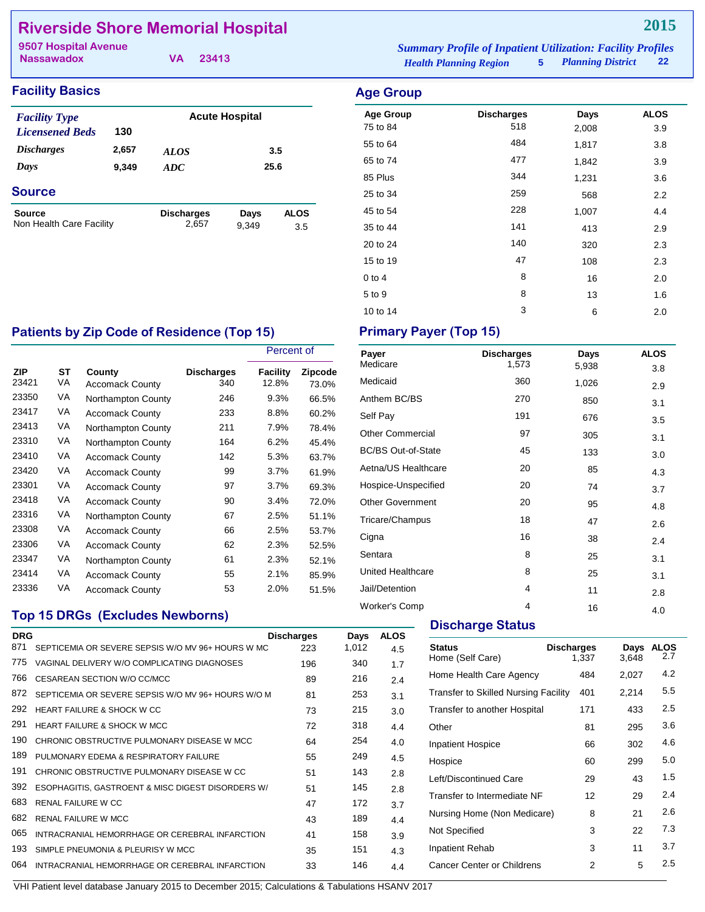# **Riverside Shore Memorial Hospital**

**Nassawadox**

**VA 23413**

| <b>Facility Basics</b> |  |  |  |
|------------------------|--|--|--|
|------------------------|--|--|--|

| <b>Facility Type</b>     |       |                   | <b>Acute Hospital</b> |             |
|--------------------------|-------|-------------------|-----------------------|-------------|
| <b>Licensened Beds</b>   | 130   |                   |                       |             |
| <i><b>Discharges</b></i> | 2,657 | <i>ALOS</i>       |                       | 3.5         |
| Days                     | 9,349 | <b>ADC</b>        | 25.6                  |             |
| <b>Source</b>            |       |                   |                       |             |
| <b>Source</b>            |       | <b>Discharges</b> | Days                  | <b>ALOS</b> |
| Non Health Care Facility |       | 2,657             | 9.349                 | 3.5         |

*Health Planning Region* **5** *Planning District* **22 9507 Hospital Avenue** *Summary Profile of Inpatient Utilization: Facility Profiles*

# **Facility Basics Age Group** Age Group **Discharges** Days ALOS 75 to 84 518 2,008 3.9 55 to 64 484 1,817 3.8 65 to 74 **1,842** 3.9 85 Plus 344 231 3.6 25 to 34 259 259 568 2.2 45 to 54 and the contract of the 228 and 1,007 and 4.4 35 to 44 2.9 20 to 24 140 320 2.3 15 to 19 108 2.3 0 to 4 8 16 2.0  $5 \text{ to } 9$   $8$   $13$   $1.6$

10 to 14 3 6 2.0

### Patients by Zip Code of Residence (Top 15) Primary Payer (Top 15)

|                     |          |                                  |                          | Percent of        |                  |
|---------------------|----------|----------------------------------|--------------------------|-------------------|------------------|
| <b>ZIP</b><br>23421 | SТ<br>VA | County<br><b>Accomack County</b> | <b>Discharges</b><br>340 | Facility<br>12.8% | Zipcode<br>73.0% |
| 23350               | VA       | Northampton County               | 246                      | 9.3%              | 66.5%            |
| 23417               | VA       | <b>Accomack County</b>           | 233                      | 8.8%              | 60.2%            |
| 23413               | VA       | Northampton County               | 211                      | 7.9%              | 78.4%            |
| 23310               | VA       | Northampton County               | 164                      | 6.2%              | 45.4%            |
| 23410               | VA       | <b>Accomack County</b>           | 142                      | 5.3%              | 63.7%            |
| 23420               | VA       | <b>Accomack County</b>           | 99                       | 3.7%              | 61.9%            |
| 23301               | VA       | <b>Accomack County</b>           | 97                       | $3.7\%$           | 69.3%            |
| 23418               | VA       | <b>Accomack County</b>           | 90                       | 3.4%              | 72.0%            |
| 23316               | VA       | Northampton County               | 67                       | 2.5%              | 51.1%            |
| 23308               | VA       | <b>Accomack County</b>           | 66                       | 2.5%              | 53.7%            |
| 23306               | VA       | <b>Accomack County</b>           | 62                       | 2.3%              | 52.5%            |
| 23347               | VA       | Northampton County               | 61                       | 2.3%              | 52.1%            |
| 23414               | VA       | <b>Accomack County</b>           | 55                       | 2.1%              | 85.9%            |
| 23336               | VA       | <b>Accomack County</b>           | 53                       | 2.0%              | 51.5%            |

## **Top 15 DRGs (Excludes Newborns)**

| <b>DRG</b> |                                                    | <b>Discharges</b> | Days  | <b>ALOS</b> |
|------------|----------------------------------------------------|-------------------|-------|-------------|
| 871        | SEPTICEMIA OR SEVERE SEPSIS W/O MV 96+ HOURS W MC  | 223               | 1,012 | 4.5         |
| 775        | VAGINAL DELIVERY W/O COMPLICATING DIAGNOSES        | 196               | 340   | 1.7         |
| 766        | CESAREAN SECTION W/O CC/MCC                        | 89                | 216   | 2.4         |
| 872        | SEPTICEMIA OR SEVERE SEPSIS W/O MV 96+ HOURS W/O M | 81                | 253   | 3.1         |
| 292        | <b>HEART FAILURE &amp; SHOCK W CC</b>              | 73                | 215   | 3.0         |
| 291        | <b>HEART FAILURE &amp; SHOCK W MCC</b>             | 72                | 318   | 4.4         |
| 190        | CHRONIC OBSTRUCTIVE PULMONARY DISEASE W MCC        | 64                | 254   | 4.0         |
| 189        | PULMONARY EDEMA & RESPIRATORY FAILURE              | 55                | 249   | 4.5         |
| 191        | CHRONIC OBSTRUCTIVE PULMONARY DISEASE W CC         | 51                | 143   | 2.8         |
| 392        | ESOPHAGITIS, GASTROENT & MISC DIGEST DISORDERS W/  | 51                | 145   | 2.8         |
| 683        | <b>RENAL FAILURE W CC</b>                          | 47                | 172   | 3.7         |
| 682        | <b>RENAL FAILURE W MCC</b>                         | 43                | 189   | 4.4         |
| 065        | INTRACRANIAL HEMORRHAGE OR CEREBRAL INFARCTION     | 41                | 158   | 3.9         |
| 193        | SIMPLE PNEUMONIA & PLEURISY W MCC                  | 35                | 151   | 4.3         |
| 064        | INTRACRANIAL HEMORRHAGE OR CEREBRAL INFARCTION     | 33                | 146   | 4.4         |
|            |                                                    |                   |       |             |

| Payer                     | <b>Discharges</b> | Days  | <b>ALOS</b> |
|---------------------------|-------------------|-------|-------------|
| Medicare                  | 1,573             | 5,938 | 3.8         |
| Medicaid                  | 360               | 1,026 | 2.9         |
| Anthem BC/BS              | 270               | 850   | 3.1         |
| Self Pay                  | 191               | 676   | 3.5         |
| <b>Other Commercial</b>   | 97                | 305   | 3.1         |
| <b>BC/BS Out-of-State</b> | 45                | 133   | 3.0         |
| Aetna/US Healthcare       | 20                | 85    | 4.3         |
| Hospice-Unspecified       | 20                | 74    | 3.7         |
| <b>Other Government</b>   | 20                | 95    | 4.8         |
| Tricare/Champus           | 18                | 47    | 2.6         |
| Cigna                     | 16                | 38    | 2.4         |
| Sentara                   | 8                 | 25    | 3.1         |
| <b>United Healthcare</b>  | 8                 | 25    | 3.1         |
| Jail/Detention            | 4                 | 11    | 2.8         |
| Worker's Comp             | 4                 | 16    | 4.0         |

### **Discharge Status**

| <b>Status</b><br>Home (Self Care)           | <b>Discharges</b><br>1,337 | Days<br>3.648 | <b>ALOS</b><br>2.7 |
|---------------------------------------------|----------------------------|---------------|--------------------|
| Home Health Care Agency                     | 484                        | 2,027         | 4.2                |
| <b>Transfer to Skilled Nursing Facility</b> | 401                        | 2,214         | 5.5                |
| Transfer to another Hospital                | 171                        | 433           | 2.5                |
| Other                                       | 81                         | 295           | 3.6                |
| <b>Inpatient Hospice</b>                    | 66                         | 302           | 4.6                |
| Hospice                                     | 60                         | 299           | 5.0                |
| Left/Discontinued Care                      | 29                         | 43            | 1.5                |
| Transfer to Intermediate NF                 | 12                         | 29            | 2.4                |
| Nursing Home (Non Medicare)                 | 8                          | 21            | 2.6                |
| Not Specified                               | 3                          | 22            | 7.3                |
| <b>Inpatient Rehab</b>                      | 3                          | 11            | 3.7                |
| Cancer Center or Childrens                  | 2                          | 5             | 2.5                |
|                                             |                            |               |                    |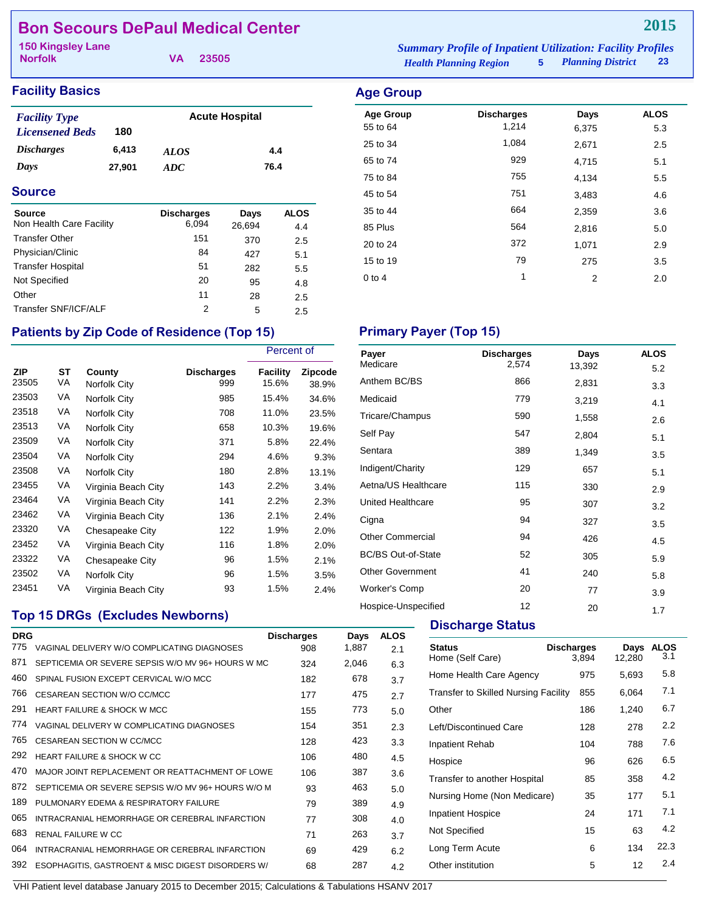# **Bon Secours DePaul Medical Center**

**Norfolk**

**VA 23505**

# **Facility Basics Age Group**

| <b>Facility Type</b>     |        | <b>Acute Hospital</b> |      |  |  |
|--------------------------|--------|-----------------------|------|--|--|
| <b>Licensened Beds</b>   | 180    |                       |      |  |  |
| <i><b>Discharges</b></i> | 6.413  | <i>ALOS</i>           | 4.4  |  |  |
| Days                     | 27,901 | ADC.                  | 76.4 |  |  |

### **Source**

| <b>Source</b><br>Non Health Care Facility | <b>Discharges</b><br>6,094 | Days<br>26,694 | <b>ALOS</b><br>4.4 |
|-------------------------------------------|----------------------------|----------------|--------------------|
| <b>Transfer Other</b>                     | 151                        | 370            | 2.5                |
| Physician/Clinic                          | 84                         | 427            | 5.1                |
| <b>Transfer Hospital</b>                  | 51                         | 282            | 5.5                |
| Not Specified                             | 20                         | 95             | 4.8                |
| Other                                     | 11                         | 28             | 2.5                |
| Transfer SNF/ICF/ALF                      | 2                          | 5              | 2.5                |

# Patients by Zip Code of Residence (Top 15) Primary Payer (Top 15)

|                     |          |                        |                          | Percent of        |                  |
|---------------------|----------|------------------------|--------------------------|-------------------|------------------|
| <b>ZIP</b><br>23505 | SТ<br>VA | County<br>Norfolk City | <b>Discharges</b><br>999 | Facility<br>15.6% | Zipcode<br>38.9% |
| 23503               | VA       | Norfolk City           | 985                      | 15.4%             | 34.6%            |
| 23518               | VA       | Norfolk City           | 708                      | 11.0%             | 23.5%            |
| 23513               | VA       | Norfolk City           | 658                      | 10.3%             | 19.6%            |
| 23509               | VA       | Norfolk City           | 371                      | 5.8%              | 22.4%            |
| 23504               | VA       | Norfolk City           | 294                      | 4.6%              | 9.3%             |
| 23508               | VA       | Norfolk City           | 180                      | 2.8%              | 13.1%            |
| 23455               | VA       | Virginia Beach City    | 143                      | 2.2%              | 3.4%             |
| 23464               | VA       | Virginia Beach City    | 141                      | 2.2%              | 2.3%             |
| 23462               | VA       | Virginia Beach City    | 136                      | 2.1%              | 2.4%             |
| 23320               | VA       | Chesapeake City        | 122                      | 1.9%              | 2.0%             |
| 23452               | VA       | Virginia Beach City    | 116                      | 1.8%              | 2.0%             |
| 23322               | VA       | Chesapeake City        | 96                       | 1.5%              | 2.1%             |
| 23502               | VA       | Norfolk City           | 96                       | 1.5%              | 3.5%             |
| 23451               | VA       | Virginia Beach City    | 93                       | 1.5%              | 2.4%             |

## **Top 15 DRGs (Excludes Newborns)**

| <b>DRG</b> |                                                    | <b>Discharges</b> | Days  | <b>ALOS</b> |
|------------|----------------------------------------------------|-------------------|-------|-------------|
| 775        | VAGINAL DELIVERY W/O COMPLICATING DIAGNOSES        | 908               | 1,887 | 2.1         |
| 871        | SEPTICEMIA OR SEVERE SEPSIS W/O MV 96+ HOURS W MC  | 324               | 2,046 | 6.3         |
| 460        | SPINAL FUSION EXCEPT CERVICAL W/O MCC              | 182               | 678   | 3.7         |
| 766        | CESAREAN SECTION W/O CC/MCC                        | 177               | 475   | 2.7         |
| 291        | <b>HEART FAILURE &amp; SHOCK W MCC</b>             | 155               | 773   | 5.0         |
| 774        | VAGINAL DELIVERY W COMPLICATING DIAGNOSES          | 154               | 351   | 2.3         |
| 765        | <b>CESAREAN SECTION W CC/MCC</b>                   | 128               | 423   | 3.3         |
| 292        | <b>HEART FAILURE &amp; SHOCK W CC</b>              | 106               | 480   | 4.5         |
| 470        | MAJOR JOINT REPLACEMENT OR REATTACHMENT OF LOWE    | 106               | 387   | 3.6         |
| 872        | SEPTICEMIA OR SEVERE SEPSIS W/O MV 96+ HOURS W/O M | 93                | 463   | 5.0         |
| 189        | PULMONARY EDEMA & RESPIRATORY FAILURE              | 79                | 389   | 4.9         |
| 065        | INTRACRANIAL HEMORRHAGE OR CEREBRAL INFARCTION     | 77                | 308   | 4.0         |
| 683        | <b>RENAL FAILURE W CC</b>                          | 71                | 263   | 3.7         |
| 064        | INTRACRANIAL HEMORRHAGE OR CEREBRAL INFARCTION     | 69                | 429   | 6.2         |
| 392        | ESOPHAGITIS, GASTROENT & MISC DIGEST DISORDERS W/  | 68                | 287   | 4.2         |
|            |                                                    |                   |       |             |

*Health Planning Region* **5** *Planning District* **23 150 Kingsley Lane** *Summary Profile of Inpatient Utilization: Facility Profiles*

| <b>\ge Group</b> |                   |       |             |
|------------------|-------------------|-------|-------------|
| <b>Age Group</b> | <b>Discharges</b> | Days  | <b>ALOS</b> |
| 55 to 64         | 1,214             | 6,375 | 5.3         |
| 25 to 34         | 1,084             | 2,671 | 2.5         |
| 65 to 74         | 929               | 4,715 | 5.1         |
| 75 to 84         | 755               | 4,134 | 5.5         |
| 45 to 54         | 751               | 3,483 | 4.6         |
| 35 to 44         | 664               | 2,359 | 3.6         |
| 85 Plus          | 564               | 2,816 | 5.0         |
| 20 to 24         | 372               | 1,071 | 2.9         |
| 15 to 19         | 79                | 275   | 3.5         |

0 to 4  $1$  2  $2$  2.0

| Payer                     | <b>Discharges</b> | Days   | <b>ALOS</b> |
|---------------------------|-------------------|--------|-------------|
| Medicare                  | 2,574             | 13,392 | 5.2         |
| Anthem BC/BS              | 866               | 2,831  | 3.3         |
| Medicaid                  | 779               | 3,219  | 4.1         |
| Tricare/Champus           | 590               | 1,558  | 2.6         |
| Self Pay                  | 547               | 2,804  | 5.1         |
| Sentara                   | 389               | 1,349  | 3.5         |
| Indigent/Charity          | 129               | 657    | 5.1         |
| Aetna/US Healthcare       | 115               | 330    | 2.9         |
| United Healthcare         | 95                | 307    | 3.2         |
| Cigna                     | 94                | 327    | 3.5         |
| <b>Other Commercial</b>   | 94                | 426    | 4.5         |
| <b>BC/BS Out-of-State</b> | 52                | 305    | 5.9         |
| <b>Other Government</b>   | 41                | 240    | 5.8         |
| <b>Worker's Comp</b>      | 20                | 77     | 3.9         |
| Hospice-Unspecified       | 12                | 20     | 1.7         |

# **Discharge Status**

| <b>Status</b><br>Home (Self Care)           | <b>Discharges</b><br>3.894 | Days<br>12,280 | <b>ALOS</b><br>3.1 |
|---------------------------------------------|----------------------------|----------------|--------------------|
| Home Health Care Agency                     | 975                        | 5,693          | 5.8                |
| <b>Transfer to Skilled Nursing Facility</b> | 855                        | 6,064          | 7.1                |
| Other                                       | 186                        | 1.240          | 6.7                |
| Left/Discontinued Care                      | 128                        | 278            | 2.2                |
| Inpatient Rehab                             | 104                        | 788            | 7.6                |
| Hospice                                     | 96                         | 626            | 6.5                |
| Transfer to another Hospital                | 85                         | 358            | 4.2                |
| Nursing Home (Non Medicare)                 | 35                         | 177            | 5.1                |
| <b>Inpatient Hospice</b>                    | 24                         | 171            | 7.1                |
| Not Specified                               | 15                         | 63             | 4.2                |
| Long Term Acute                             | 6                          | 134            | 22.3               |
| Other institution                           | 5                          | 12             | 2.4                |
|                                             |                            |                |                    |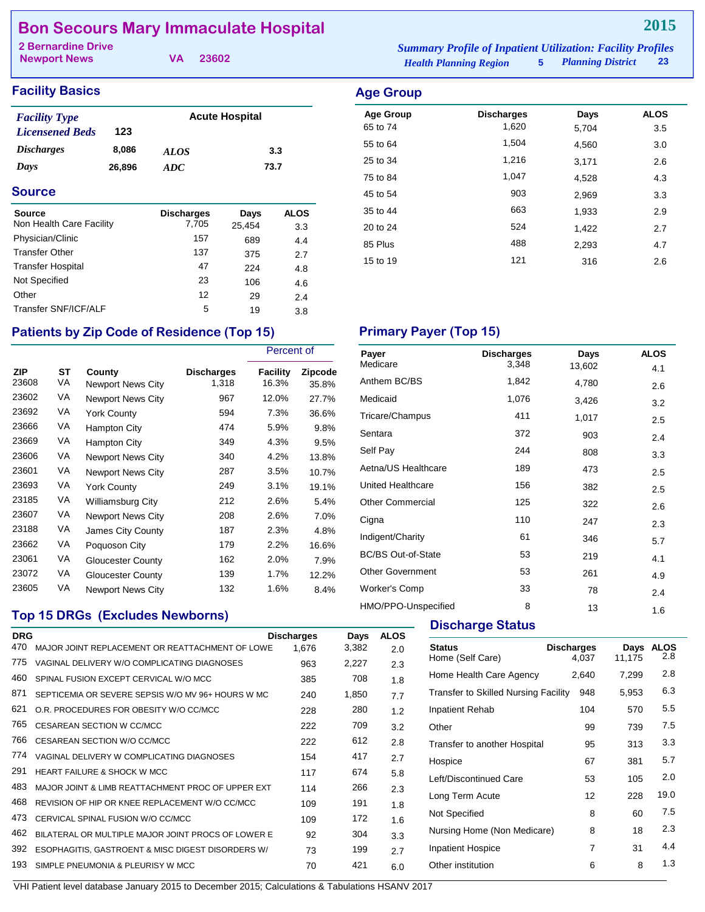# **Bon Secours Mary Immaculate Hospital**

| 2 Bernardine Drive  |  | <b>Summary Profile of Inpatient Utilization: Facility Profiles</b> |                               |                     |    |
|---------------------|--|--------------------------------------------------------------------|-------------------------------|---------------------|----|
| <b>Newport News</b> |  | VA 23602                                                           | <b>Health Planning Region</b> | 5 Planning District | 23 |

## **Facility Basics Age Group Age Group**

| <b>Facility Type</b>   | <b>Acute Hospital</b> |             |      |  |  |
|------------------------|-----------------------|-------------|------|--|--|
| <b>Licensened Beds</b> | 123                   |             |      |  |  |
| <b>Discharges</b>      | 8,086                 | <i>ALOS</i> | 3.3  |  |  |
| Days                   | 26,896                | ADC.        | 73.7 |  |  |

### **Source**

| <b>Source</b><br>Non Health Care Facility | <b>Discharges</b><br>7,705 | Days<br>25.454 | <b>ALOS</b><br>3.3 |
|-------------------------------------------|----------------------------|----------------|--------------------|
| Physician/Clinic                          | 157                        | 689            | 4.4                |
| <b>Transfer Other</b>                     | 137                        | 375            | 2.7                |
| <b>Transfer Hospital</b>                  | 47                         | 224            | 4.8                |
| Not Specified                             | 23                         | 106            | 4.6                |
| Other                                     | 12                         | 29             | 2.4                |
| Transfer SNF/ICF/ALF                      | 5                          | 19             | 3.8                |

# **Age Group bischarges bays ALOS**<br>65 to 74 1,620 5.704 3.5 65 to 74 1,620 5,704 3.5

| 55 to 64 | 1,504 | 4,560 | 3.0 |
|----------|-------|-------|-----|
| 25 to 34 | 1,216 | 3,171 | 2.6 |
| 75 to 84 | 1,047 | 4,528 | 4.3 |
| 45 to 54 | 903   | 2,969 | 3.3 |
| 35 to 44 | 663   | 1,933 | 2.9 |
| 20 to 24 | 524   | 1,422 | 2.7 |
| 85 Plus  | 488   | 2,293 | 4.7 |
| 15 to 19 | 121   | 316   | 2.6 |
|          |       |       |     |

# Patients by Zip Code of Residence (Top 15) **Primary Payer (Top 15)**

|                     |                 |                                    |                            | Percent of        |                  |
|---------------------|-----------------|------------------------------------|----------------------------|-------------------|------------------|
| <b>ZIP</b><br>23608 | <b>ST</b><br>VA | County<br><b>Newport News City</b> | <b>Discharges</b><br>1,318 | Facility<br>16.3% | Zipcode<br>35.8% |
| 23602               | VA              | <b>Newport News City</b>           | 967                        | 12.0%             | 27.7%            |
| 23692               | VA              | <b>York County</b>                 | 594                        | 7.3%              | 36.6%            |
| 23666               | VA              | Hampton City                       | 474                        | 5.9%              | 9.8%             |
| 23669               | VA              | Hampton City                       | 349                        | 4.3%              | 9.5%             |
| 23606               | VA              | <b>Newport News City</b>           | 340                        | 4.2%              | 13.8%            |
| 23601               | VA              | <b>Newport News City</b>           | 287                        | 3.5%              | 10.7%            |
| 23693               | VA              | <b>York County</b>                 | 249                        | 3.1%              | 19.1%            |
| 23185               | VA              | <b>Williamsburg City</b>           | 212                        | 2.6%              | 5.4%             |
| 23607               | VA              | Newport News City                  | 208                        | 2.6%              | 7.0%             |
| 23188               | VA              | James City County                  | 187                        | 2.3%              | 4.8%             |
| 23662               | VA              | Poquoson City                      | 179                        | 2.2%              | 16.6%            |
| 23061               | VA              | <b>Gloucester County</b>           | 162                        | 2.0%              | 7.9%             |
| 23072               | VA              | Gloucester County                  | 139                        | 1.7%              | 12.2%            |
| 23605               | VA              | Newport News City                  | 132                        | 1.6%              | 8.4%             |

## **Top 15 DRGs (Excludes Newborns)**

| <b>DRG</b> |                                                    | <b>Discharges</b> | Days  | <b>ALOS</b> |  |
|------------|----------------------------------------------------|-------------------|-------|-------------|--|
| 470        | MAJOR JOINT REPLACEMENT OR REATTACHMENT OF LOWE    | 1.676             | 3,382 | 2.0         |  |
| 775        | VAGINAL DELIVERY W/O COMPLICATING DIAGNOSES        | 963               | 2,227 | 2.3         |  |
| 460        | SPINAL FUSION EXCEPT CERVICAL W/O MCC              | 385               | 708   | 1.8         |  |
| 871        | SEPTICEMIA OR SEVERE SEPSIS W/O MV 96+ HOURS W MC  | 240               | 1,850 | 7.7         |  |
| 621        | O.R. PROCEDURES FOR OBESITY W/O CC/MCC             | 228               | 280   | 1.2         |  |
| 765        | CESAREAN SECTION W CC/MCC                          | 222               | 709   | 3.2         |  |
| 766        | CESAREAN SECTION W/O CC/MCC                        | 222               | 612   | 2.8         |  |
| 774        | VAGINAL DELIVERY W COMPLICATING DIAGNOSES          | 154               | 417   | 2.7         |  |
| 291        | <b>HEART FAILURE &amp; SHOCK W MCC</b>             | 117               | 674   | 5.8         |  |
| 483        | MAJOR JOINT & LIMB REATTACHMENT PROC OF UPPER EXT  | 114               | 266   | 2.3         |  |
| 468        | REVISION OF HIP OR KNEE REPLACEMENT W/O CC/MCC     | 109               | 191   | 1.8         |  |
| 473        | CERVICAL SPINAL FUSION W/O CC/MCC                  | 109               | 172   | 1.6         |  |
| 462        | BILATERAL OR MULTIPLE MAJOR JOINT PROCS OF LOWER E | 92                | 304   | 3.3         |  |
| 392        | ESOPHAGITIS, GASTROENT & MISC DIGEST DISORDERS W/  | 73                | 199   | 2.7         |  |
| 193        | SIMPLE PNEUMONIA & PLEURISY W MCC                  | 70                | 421   | 6.0         |  |

| Payer                     | <b>Discharges</b> | Days   | <b>ALOS</b> |
|---------------------------|-------------------|--------|-------------|
| Medicare                  | 3,348             | 13,602 | 4.1         |
| Anthem BC/BS              | 1,842             | 4,780  | 2.6         |
| Medicaid                  | 1,076             | 3,426  | 3.2         |
| Tricare/Champus           | 411               | 1,017  | 2.5         |
| Sentara                   | 372               | 903    | 2.4         |
| Self Pay                  | 244               | 808    | 3.3         |
| Aetna/US Healthcare       | 189               | 473    | 2.5         |
| United Healthcare         | 156               | 382    | 2.5         |
| <b>Other Commercial</b>   | 125               | 322    | 2.6         |
| Cigna                     | 110               | 247    | 2.3         |
| Indigent/Charity          | 61                | 346    | 5.7         |
| <b>BC/BS Out-of-State</b> | 53                | 219    | 4.1         |
| <b>Other Government</b>   | 53                | 261    | 4.9         |
| <b>Worker's Comp</b>      | 33                | 78     | 2.4         |
| HMO/PPO-Unspecified       | 8                 | 13     | 1.6         |

### **Discharge Status**

| 4.037 | Days<br>11,175                                                                           | <b>ALOS</b><br>2.8 |
|-------|------------------------------------------------------------------------------------------|--------------------|
| 2,640 | 7,299                                                                                    | 2.8                |
| 948   | 5,953                                                                                    | 6.3                |
| 104   | 570                                                                                      | 5.5                |
| 99    | 739                                                                                      | 7.5                |
| 95    | 313                                                                                      | 3.3                |
| 67    | 381                                                                                      | 5.7                |
| 53    | 105                                                                                      | 2.0                |
| 12    | 228                                                                                      | 19.0               |
| 8     | 60                                                                                       | 7.5                |
| 8     | 18                                                                                       | 2.3                |
| 7     | 31                                                                                       | 4.4                |
| 6     | 8                                                                                        | 1.3                |
|       | <b>Discharges</b><br>Transfer to Skilled Nursing Facility<br>Nursing Home (Non Medicare) |                    |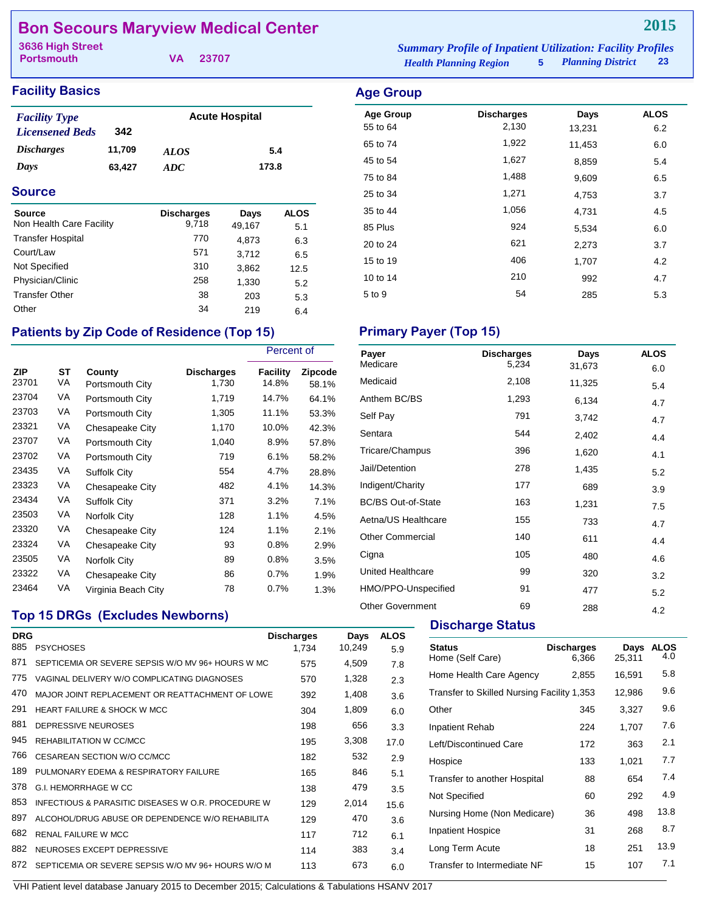# **Bon Secours Maryview Medical Center**

**Portsmouth**

**VA 23707**

| <b>Facility Basics</b> | <b>Age Group</b> |
|------------------------|------------------|
|                        |                  |

| <b>Facility Type</b>   |        |             | <b>Acute Hospital</b> |
|------------------------|--------|-------------|-----------------------|
| <b>Licensened Beds</b> | 342    |             |                       |
| <i>Discharges</i>      | 11,709 | <i>ALOS</i> | 5.4                   |
| Days                   | 63.427 | ADC.        | 173.8                 |

### **Source**

| Source<br>Non Health Care Facility | <b>Discharges</b><br>9,718 | Days<br>49,167 | <b>ALOS</b> |
|------------------------------------|----------------------------|----------------|-------------|
| <b>Transfer Hospital</b>           | 770                        | 4,873          | 5.1<br>6.3  |
| Court/Law                          | 571                        | 3.712          | 6.5         |
| Not Specified                      | 310                        | 3,862          | 12.5        |
| Physician/Clinic                   | 258                        | 1,330          | 5.2         |
| <b>Transfer Other</b>              | 38                         | 203            | 5.3         |
| Other                              | 34                         | 219            | 6.4         |

# Patients by Zip Code of Residence (Top 15) Primary Payer (Top 15)

|                     |          |                           |                            | Percent of        |                  |
|---------------------|----------|---------------------------|----------------------------|-------------------|------------------|
| <b>ZIP</b><br>23701 | ST<br>VA | County<br>Portsmouth City | <b>Discharges</b><br>1,730 | Facility<br>14.8% | Zipcode<br>58.1% |
| 23704               | VA       | Portsmouth City           | 1,719                      | 14.7%             | 64.1%            |
| 23703               | VA       | Portsmouth City           | 1,305                      | 11.1%             | 53.3%            |
| 23321               | VA       | Chesapeake City           | 1,170                      | 10.0%             | 42.3%            |
| 23707               | VA       | Portsmouth City           | 1,040                      | 8.9%              | 57.8%            |
| 23702               | VA       | Portsmouth City           | 719                        | 6.1%              | 58.2%            |
| 23435               | VA       | <b>Suffolk City</b>       | 554                        | 4.7%              | 28.8%            |
| 23323               | VA       | Chesapeake City           | 482                        | 4.1%              | 14.3%            |
| 23434               | VA       | Suffolk City              | 371                        | 3.2%              | 7.1%             |
| 23503               | VA       | Norfolk City              | 128                        | 1.1%              | 4.5%             |
| 23320               | VA       | Chesapeake City           | 124                        | 1.1%              | 2.1%             |
| 23324               | VA       | Chesapeake City           | 93                         | 0.8%              | 2.9%             |
| 23505               | VA       | Norfolk City              | 89                         | 0.8%              | 3.5%             |
| 23322               | VA       | Chesapeake City           | 86                         | $0.7\%$           | 1.9%             |
| 23464               | VA       | Virginia Beach City       | 78                         | $0.7\%$           | 1.3%             |

## **Top 15 DRGs (Excludes Newborns)**

| <b>DRG</b> |                                                    | <b>Discharges</b> | Days   | <b>ALOS</b> |
|------------|----------------------------------------------------|-------------------|--------|-------------|
| 885        | <b>PSYCHOSES</b>                                   | 1.734             | 10,249 | 5.9         |
| 871        | SEPTICEMIA OR SEVERE SEPSIS W/O MV 96+ HOURS W MC  | 575               | 4,509  | 7.8         |
| 775        | VAGINAL DELIVERY W/O COMPLICATING DIAGNOSES        | 570               | 1,328  | 2.3         |
| 470        | MAJOR JOINT REPLACEMENT OR REATTACHMENT OF LOWE    | 392               | 1,408  | 3.6         |
| 291        | <b>HEART FAILURE &amp; SHOCK W MCC</b>             | 304               | 1,809  | 6.0         |
| 881        | DEPRESSIVE NEUROSES                                | 198               | 656    | 3.3         |
| 945        | REHABILITATION W CC/MCC                            | 195               | 3,308  | 17.0        |
| 766        | CESAREAN SECTION W/O CC/MCC                        | 182               | 532    | 2.9         |
| 189        | PULMONARY FDEMA & RESPIRATORY FAILURE              | 165               | 846    | 5.1         |
| 378        | <b>G.I. HEMORRHAGE W CC</b>                        | 138               | 479    | 3.5         |
| 853        | INFECTIOUS & PARASITIC DISEASES W O.R. PROCEDURE W | 129               | 2,014  | 15.6        |
| 897        | ALCOHOL/DRUG ABUSE OR DEPENDENCE W/O REHABILITA    | 129               | 470    | 3.6         |
| 682        | <b>RENAL FAILURE W MCC</b>                         | 117               | 712    | 6.1         |
| 882        | NEUROSES EXCEPT DEPRESSIVE                         | 114               | 383    | 3.4         |
| 872        | SEPTICEMIA OR SEVERE SEPSIS W/O MV 96+ HOURS W/O M | 113               | 673    | 6.0         |
|            |                                                    |                   |        |             |

*Health Planning Region* **5** *Planning District* **23 3636 High Street** *Summary Profile of Inpatient Utilization: Facility Profiles*

# Age Group **Discharges** Days ALOS 55 to 64 2,130 13,231 6.2 65 to 74 1,922 11,453 6.0 45 to 54 1,627 8,859 5.4 75 to 84 1,488 9,609 6.5 25 to 34 **1,271** 4,753 3.7 35 to 44 1,056 4,731 4.5 85 Plus 6.0 20 to 24 621 2,273 3.7 15 to 19 1,707 406 406 10 to 14 210 992 4.7  $5 \text{ to } 9$  54 285 5.3

| Payer<br>Medicare         | <b>Discharges</b><br>5,234 | Days   | <b>ALOS</b> |
|---------------------------|----------------------------|--------|-------------|
|                           |                            | 31,673 | 6.0         |
| Medicaid                  | 2,108                      | 11,325 | 5.4         |
| Anthem BC/BS              | 1,293                      | 6,134  | 4.7         |
| Self Pay                  | 791                        | 3,742  | 4.7         |
| Sentara                   | 544                        | 2,402  | 4.4         |
| Tricare/Champus           | 396                        | 1,620  | 4.1         |
| Jail/Detention            | 278                        | 1,435  | 5.2         |
| Indigent/Charity          | 177                        | 689    | 3.9         |
| <b>BC/BS Out-of-State</b> | 163                        | 1,231  | 7.5         |
| Aetna/US Healthcare       | 155                        | 733    | 4.7         |
| <b>Other Commercial</b>   | 140                        | 611    | 4.4         |
| Cigna                     | 105                        | 480    | 4.6         |
| United Healthcare         | 99                         | 320    | 3.2         |
| HMO/PPO-Unspecified       | 91                         | 477    | 5.2         |
| <b>Other Government</b>   | 69                         | 288    | 4.2         |

### **Discharge Status**

| <b>Status</b><br>Home (Self Care)          | <b>Discharges</b><br>6.366 | Days<br>25.311 | <b>ALOS</b><br>4.0 |
|--------------------------------------------|----------------------------|----------------|--------------------|
| Home Health Care Agency                    | 2,855                      | 16,591         | 5.8                |
| Transfer to Skilled Nursing Facility 1,353 |                            | 12,986         | 9.6                |
| Other                                      | 345                        | 3,327          | 9.6                |
| <b>Inpatient Rehab</b>                     | 224                        | 1,707          | 7.6                |
| Left/Discontinued Care                     | 172                        | 363            | 2.1                |
| Hospice                                    | 133                        | 1,021          | 7.7                |
| Transfer to another Hospital               | 88                         | 654            | 7.4                |
| Not Specified                              | 60                         | 292            | 4.9                |
| Nursing Home (Non Medicare)                | 36                         | 498            | 13.8               |
| <b>Inpatient Hospice</b>                   | 31                         | 268            | 8.7                |
| Long Term Acute                            | 18                         | 251            | 13.9               |
| Transfer to Intermediate NF                | 15                         | 107            | 7.1                |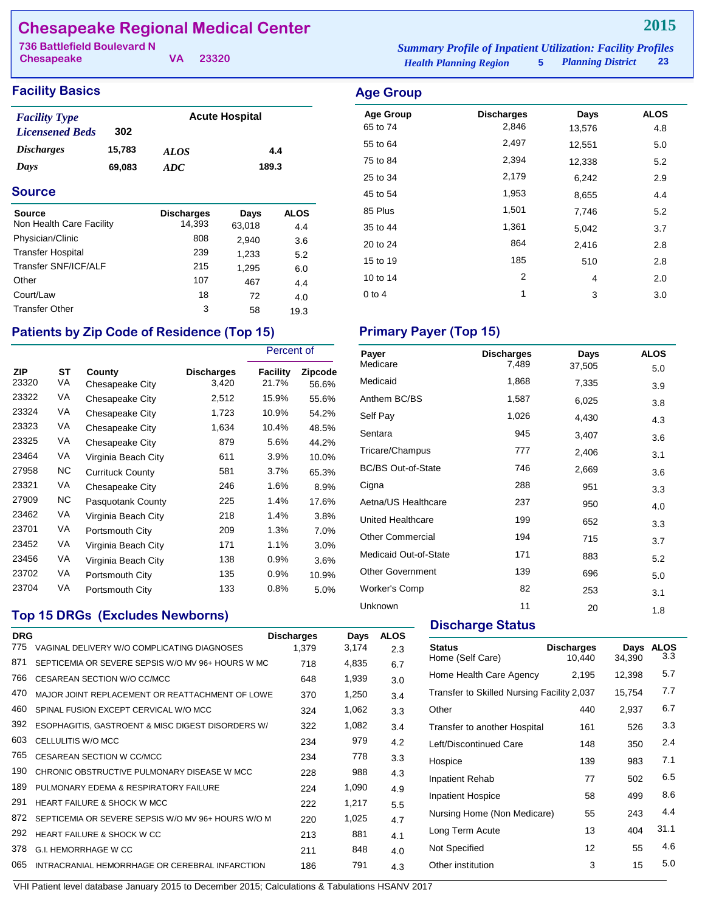# **Chesapeake Regional Medical Center**

| <b>736 Battlefield Boulevard N</b><br><b>Chesapeake</b> | VA. | 23320 | <b>Summary Profile of Inpatient Utilization: Facility Profiles</b> |    |
|---------------------------------------------------------|-----|-------|--------------------------------------------------------------------|----|
|                                                         |     |       | <b>5</b> Planning District<br><b>Health Planning Region</b>        | 23 |

## **Facility Basics Age Group**

| <b>Facility Type</b>   |        |             | <b>Acute Hospital</b> |
|------------------------|--------|-------------|-----------------------|
| <b>Licensened Beds</b> | 302    |             |                       |
| <i>Discharges</i>      | 15,783 | <b>ALOS</b> | 4.4                   |
| Days                   | 69,083 | ADC.        | 189.3                 |

### **Source**

| Source<br>Non Health Care Facility | <b>Discharges</b><br>14,393 | Days<br>63,018 | <b>ALOS</b> |
|------------------------------------|-----------------------------|----------------|-------------|
| Physician/Clinic                   | 808                         | 2,940          | 4.4<br>3.6  |
| <b>Transfer Hospital</b>           | 239                         | 1,233          | 5.2         |
| Transfer SNF/ICF/ALF               | 215                         | 1,295          | 6.0         |
| Other                              | 107                         | 467            | 4.4         |
| Court/Law                          | 18                          | 72             | 4.0         |
| <b>Transfer Other</b>              | 3                           | 58             | 19.3        |

# Patients by Zip Code of Residence (Top 15) **Primary Payer (Top 15)**

|                     |          |                           |                            | Percent of        |                  |
|---------------------|----------|---------------------------|----------------------------|-------------------|------------------|
| <b>ZIP</b><br>23320 | ST<br>VA | County<br>Chesapeake City | <b>Discharges</b><br>3,420 | Facility<br>21.7% | Zipcode<br>56.6% |
| 23322               | VA       | Chesapeake City           | 2,512                      | 15.9%             | 55.6%            |
| 23324               | VA       | Chesapeake City           | 1,723                      | 10.9%             | 54.2%            |
| 23323               | VA       | Chesapeake City           | 1,634                      | 10.4%             | 48.5%            |
| 23325               | VA       | Chesapeake City           | 879                        | 5.6%              | 44.2%            |
| 23464               | VA       | Virginia Beach City       | 611                        | $3.9\%$           | 10.0%            |
| 27958               | NC.      | <b>Currituck County</b>   | 581                        | 3.7%              | 65.3%            |
| 23321               | VA       | Chesapeake City           | 246                        | 1.6%              | 8.9%             |
| 27909               | NC.      | Pasquotank County         | 225                        | 1.4%              | 17.6%            |
| 23462               | VA       | Virginia Beach City       | 218                        | $1.4\%$           | 3.8%             |
| 23701               | VA       | Portsmouth City           | 209                        | 1.3%              | 7.0%             |
| 23452               | VA       | Virginia Beach City       | 171                        | 1.1%              | $3.0\%$          |
| 23456               | VA       | Virginia Beach City       | 138                        | $0.9\%$           | 3.6%             |
| 23702               | VA       | Portsmouth City           | 135                        | 0.9%              | 10.9%            |
| 23704               | VA       | Portsmouth City           | 133                        | 0.8%              | 5.0%             |

## **Top 15 DRGs (Excludes Newborns)**

| <b>DRG</b> |                                                    | <b>Discharges</b> | Days  | <b>ALOS</b> |
|------------|----------------------------------------------------|-------------------|-------|-------------|
| 775        | VAGINAL DELIVERY W/O COMPLICATING DIAGNOSES        | 1,379             | 3,174 | 2.3         |
| 871        | SEPTICEMIA OR SEVERE SEPSIS W/O MV 96+ HOURS W MC  | 718               | 4,835 | 6.7         |
| 766        | CESAREAN SECTION W/O CC/MCC                        | 648               | 1,939 | 3.0         |
| 470        | MAJOR JOINT REPLACEMENT OR REATTACHMENT OF LOWE    | 370               | 1,250 | 3.4         |
| 460        | SPINAL FUSION EXCEPT CERVICAL W/O MCC              | 324               | 1,062 | 3.3         |
| 392        | ESOPHAGITIS, GASTROENT & MISC DIGEST DISORDERS W/  | 322               | 1,082 | 3.4         |
| 603        | CELLULITIS W/O MCC                                 | 234               | 979   | 4.2         |
| 765        | <b>CESAREAN SECTION W CC/MCC</b>                   | 234               | 778   | 3.3         |
| 190        | CHRONIC OBSTRUCTIVE PULMONARY DISEASE W MCC        | 228               | 988   | 4.3         |
| 189        | PULMONARY EDEMA & RESPIRATORY FAILURE              | 224               | 1,090 | 4.9         |
| 291        | <b>HEART FAILURE &amp; SHOCK W MCC</b>             | 222               | 1,217 | 5.5         |
| 872        | SEPTICEMIA OR SEVERE SEPSIS W/O MV 96+ HOURS W/O M | 220               | 1,025 | 4.7         |
| 292        | HEART FAILURE & SHOCK W CC                         | 213               | 881   | 4.1         |
| 378        | <b>G.I. HEMORRHAGE W CC</b>                        | 211               | 848   | 4.0         |
| 065        | INTRACRANIAL HEMORRHAGE OR CEREBRAL INFARCTION     | 186               | 791   | 4.3         |
|            |                                                    |                   |       |             |

| $1.90 \, \text{cm}$ |                   |        |             |
|---------------------|-------------------|--------|-------------|
| <b>Age Group</b>    | <b>Discharges</b> | Days   | <b>ALOS</b> |
| 65 to 74            | 2,846             | 13,576 | 4.8         |
| 55 to 64            | 2,497             | 12,551 | 5.0         |
| 75 to 84            | 2,394             | 12,338 | 5.2         |
| 25 to 34            | 2,179             | 6,242  | 2.9         |
| 45 to 54            | 1,953             | 8,655  | 4.4         |
| 85 Plus             | 1,501             | 7,746  | 5.2         |
| 35 to 44            | 1,361             | 5,042  | 3.7         |
| 20 to 24            | 864               | 2,416  | 2.8         |
| 15 to 19            | 185               | 510    | 2.8         |
| 10 to 14            | 2                 | 4      | 2.0         |
| $0$ to 4            | 1                 | 3      | 3.0         |
|                     |                   |        |             |

| Payer                     | <b>Discharges</b> | Days   | <b>ALOS</b> |
|---------------------------|-------------------|--------|-------------|
| Medicare                  | 7,489             | 37,505 | 5.0         |
| Medicaid                  | 1,868             | 7,335  | 3.9         |
| Anthem BC/BS              | 1,587             | 6,025  | 3.8         |
| Self Pay                  | 1,026             | 4,430  | 4.3         |
| Sentara                   | 945               | 3,407  | 3.6         |
| Tricare/Champus           | 777               | 2,406  | 3.1         |
| <b>BC/BS Out-of-State</b> | 746               | 2,669  | 3.6         |
| Cigna                     | 288               | 951    | 3.3         |
| Aetna/US Healthcare       | 237               | 950    | 4.0         |
| United Healthcare         | 199               | 652    | 3.3         |
| <b>Other Commercial</b>   | 194               | 715    | 3.7         |
| Medicaid Out-of-State     | 171               | 883    | 5.2         |
| <b>Other Government</b>   | 139               | 696    | 5.0         |
| Worker's Comp             | 82                | 253    | 3.1         |
| Unknown                   | 11                | 20     | 1.8         |

# **Discharge Status**

| <b>Status</b><br>Home (Self Care)          | <b>Discharges</b><br>10.440 | Days<br>34,390 | <b>ALOS</b><br>3.3 |
|--------------------------------------------|-----------------------------|----------------|--------------------|
| Home Health Care Agency                    | 2,195                       | 12,398         | 5.7                |
| Transfer to Skilled Nursing Facility 2,037 |                             | 15,754         | 7.7                |
| Other                                      | 440                         | 2,937          | 6.7                |
| Transfer to another Hospital               | 161                         | 526            | 3.3                |
| Left/Discontinued Care                     | 148                         | 350            | 2.4                |
| Hospice                                    | 139                         | 983            | 7.1                |
| Inpatient Rehab                            | 77                          | 502            | 6.5                |
| <b>Inpatient Hospice</b>                   | 58                          | 499            | 8.6                |
| Nursing Home (Non Medicare)                | 55                          | 243            | 4.4                |
| Long Term Acute                            | 13                          | 404            | 31.1               |
| Not Specified                              | 12                          | 55             | 4.6                |
| Other institution                          | 3                           | 15             | 5.0                |
|                                            |                             |                |                    |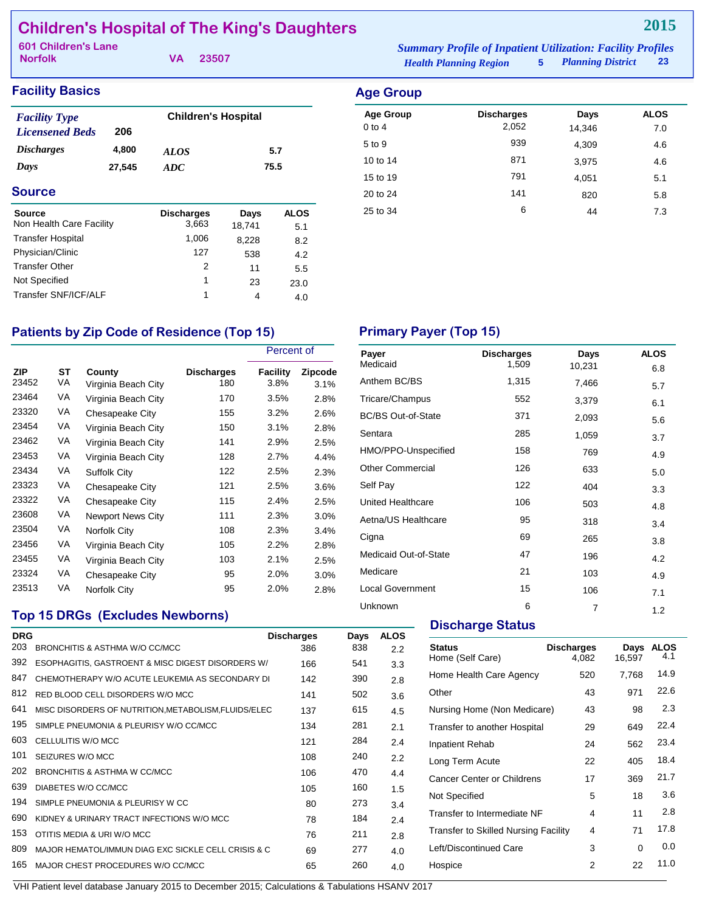# **Children's Hospital of The King's Daughters**

| 601 Children's Lane |  |          | <b>Summary Profile of Inpatient Utilization: Facility Profiles</b> |  |                        |  |
|---------------------|--|----------|--------------------------------------------------------------------|--|------------------------|--|
| <b>Norfolk</b>      |  | VA 23507 | <b>Health Planning Region</b>                                      |  | 5 Planning District 23 |  |

**2015**

| <b>Facility Basics</b>                         |        |                            |        |             | <b>Age G</b>        |
|------------------------------------------------|--------|----------------------------|--------|-------------|---------------------|
| <b>Facility Type</b><br><b>Licensened Beds</b> | 206    | <b>Children's Hospital</b> |        |             | Age G<br>$0$ to $4$ |
| <b>Discharges</b>                              | 4,800  | <b>ALOS</b>                |        | 5.7         | 5 to 9              |
| Days                                           | 27,545 | ADC                        |        | 75.5        | 10 to 1.            |
|                                                |        |                            |        |             | 15 to 1             |
| <b>Source</b>                                  |        |                            |        |             | 20 to 2             |
| <b>Source</b><br>Non Health Care Facility      |        | <b>Discharges</b><br>3,663 | Days   | <b>ALOS</b> | $25$ to $3$         |
| <b>Transfer Hospital</b>                       |        | 1,006                      | 18.741 | 5.1         |                     |
|                                                |        |                            | 8.228  | 8.2         |                     |
| Physician/Clinic                               |        | 127                        | 538    | 4.2         |                     |

Transfer Other 2 11 5.5<br>Not Specified 1 23 23.0 Not Specified 1 23 23.0 Transfer SNF/ICF/ALF 1 4 4.0

| <b>Age Group</b> |            |        |             |
|------------------|------------|--------|-------------|
| <b>Age Group</b> | Discharges | Days   | <b>ALOS</b> |
| $0$ to $4$       | 2,052      | 14,346 | 7.0         |
| 5 to 9           | 939        | 4,309  | 4.6         |
| 10 to 14         | 871        | 3,975  | 4.6         |
| 15 to 19         | 791        | 4,051  | 5.1         |
| 20 to 24         | 141        | 820    | 5.8         |
| 25 to 34         | 6          | 44     | 7.3         |
|                  |            |        |             |

# Patients by Zip Code of Residence (Top 15) Primary Payer (Top 15)

|                     |                 |                               |                          | Percent of       |                 |
|---------------------|-----------------|-------------------------------|--------------------------|------------------|-----------------|
| <b>ZIP</b><br>23452 | <b>ST</b><br>VA | County<br>Virginia Beach City | <b>Discharges</b><br>180 | Facility<br>3.8% | Zipcode<br>3.1% |
| 23464               | VA              | Virginia Beach City           | 170                      | 3.5%             | 2.8%            |
| 23320               | VA              | Chesapeake City               | 155                      | 3.2%             | 2.6%            |
| 23454               | VA              | Virginia Beach City           | 150                      | 3.1%             | 2.8%            |
| 23462               | VA              | Virginia Beach City           | 141                      | 2.9%             | 2.5%            |
| 23453               | VA              | Virginia Beach City           | 128                      | 2.7%             | 4.4%            |
| 23434               | VA              | <b>Suffolk City</b>           | 122                      | 2.5%             | 2.3%            |
| 23323               | VA              | Chesapeake City               | 121                      | 2.5%             | 3.6%            |
| 23322               | VA              | Chesapeake City               | 115                      | 2.4%             | 2.5%            |
| 23608               | VA              | Newport News City             | 111                      | 2.3%             | $3.0\%$         |
| 23504               | VA              | Norfolk City                  | 108                      | 2.3%             | $3.4\%$         |
| 23456               | VA              | Virginia Beach City           | 105                      | 2.2%             | 2.8%            |
| 23455               | VA              | Virginia Beach City           | 103                      | 2.1%             | 2.5%            |
| 23324               | VA              | Chesapeake City               | 95                       | 2.0%             | $3.0\%$         |
| 23513               | VA              | Norfolk City                  | 95                       | 2.0%             | 2.8%            |

# **Top 15 DRGs (Excludes Newborns)**

| <b>DRG</b> |                                                      | <b>Discharges</b> | Days | <b>ALOS</b> |
|------------|------------------------------------------------------|-------------------|------|-------------|
| 203        | BRONCHITIS & ASTHMA W/O CC/MCC                       | 386               | 838  | 2.2         |
| 392        | ESOPHAGITIS, GASTROENT & MISC DIGEST DISORDERS W/    | 166               | 541  | 3.3         |
| 847        | CHEMOTHERAPY W/O ACUTE LEUKEMIA AS SECONDARY DI      | 142               | 390  | 2.8         |
| 812        | RED BLOOD CELL DISORDERS W/O MCC                     | 141               | 502  | 3.6         |
| 641        | MISC DISORDERS OF NUTRITION, METABOLISM, FLUIDS/ELEC | 137               | 615  | 4.5         |
| 195        | SIMPLE PNEUMONIA & PLEURISY W/O CC/MCC               | 134               | 281  | 2.1         |
| 603        | CELLULITIS W/O MCC                                   | 121               | 284  | 2.4         |
| 101        | SEIZURES W/O MCC                                     | 108               | 240  | 2.2         |
| 202        | BRONCHITIS & ASTHMA W CC/MCC                         | 106               | 470  | 4.4         |
| 639        | DIABETES W/O CC/MCC                                  | 105               | 160  | 1.5         |
| 194        | SIMPLE PNEUMONIA & PLEURISY W CC                     | 80                | 273  | 3.4         |
| 690        | KIDNEY & URINARY TRACT INFECTIONS W/O MCC            | 78                | 184  | 2.4         |
| 153        | OTITIS MEDIA & URI W/O MCC                           | 76                | 211  | 2.8         |
| 809        | MAJOR HEMATOL/IMMUN DIAG EXC SICKLE CELL CRISIS & C  | 69                | 277  | 4.0         |
| 165        | MAJOR CHEST PROCEDURES W/O CC/MCC                    | 65                | 260  | 4.0         |

| Payer                     | <b>Discharges</b> | Days   | <b>ALOS</b> |
|---------------------------|-------------------|--------|-------------|
| Medicaid                  | 1,509             | 10,231 | 6.8         |
| Anthem BC/BS              | 1,315             | 7,466  | 5.7         |
| Tricare/Champus           | 552               | 3,379  | 6.1         |
| <b>BC/BS Out-of-State</b> | 371               | 2,093  | 5.6         |
| Sentara                   | 285               | 1,059  | 3.7         |
| HMO/PPO-Unspecified       | 158               | 769    | 4.9         |
| <b>Other Commercial</b>   | 126               | 633    | 5.0         |
| Self Pay                  | 122               | 404    | 3.3         |
| United Healthcare         | 106               | 503    | 4.8         |
| Aetna/US Healthcare       | 95                | 318    | 3.4         |
| Cigna                     | 69                | 265    | 3.8         |
| Medicaid Out-of-State     | 47                | 196    | 4.2         |
| Medicare                  | 21                | 103    | 4.9         |
| <b>Local Government</b>   | 15                | 106    | 7.1         |
| Unknown                   | 6                 | 7      | 1.2         |

## **Discharge Status**

| <b>Status</b><br>Home (Self Care)    | <b>Discharges</b><br>4.082 | Days<br>16.597 | <b>ALOS</b><br>4.1 |
|--------------------------------------|----------------------------|----------------|--------------------|
| Home Health Care Agency              | 520                        | 7,768          | 14.9               |
| Other                                | 43                         | 971            | 22.6               |
| Nursing Home (Non Medicare)          | 43                         | 98             | 2.3                |
| Transfer to another Hospital         | 29                         | 649            | 22.4               |
| Inpatient Rehab                      | 24                         | 562            | 23.4               |
| Long Term Acute                      | 22                         | 405            | 18.4               |
| <b>Cancer Center or Childrens</b>    | 17                         | 369            | 21.7               |
| Not Specified                        | 5                          | 18             | 3.6                |
| Transfer to Intermediate NF          | 4                          | 11             | 2.8                |
| Transfer to Skilled Nursing Facility | 4                          | 71             | 17.8               |
| Left/Discontinued Care               | 3                          | 0              | 0.0                |
| Hospice                              | 2                          | 22             | 11.0               |
|                                      |                            |                |                    |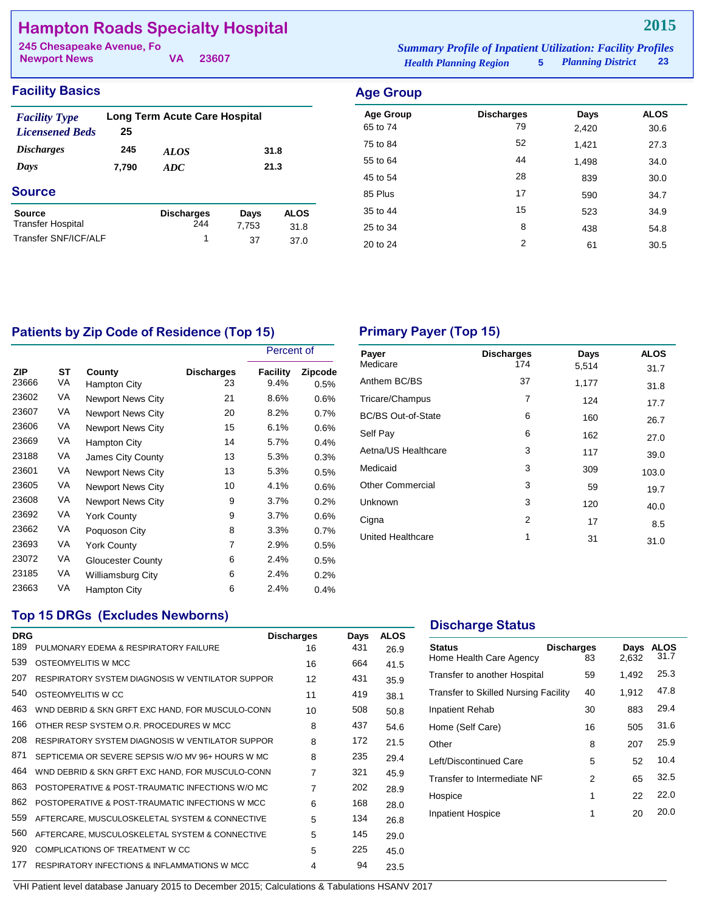# **Hampton Roads Specialty Hospital**

| 245 Chesapeake Avenue, Fo |       |                               | <b>Summary Profile of Inpatient Utilization: Facility Profiles</b> |  |    |
|---------------------------|-------|-------------------------------|--------------------------------------------------------------------|--|----|
| <b>Newport News</b>       | 23607 | <b>Health Planning Region</b> | 5 Planning District                                                |  | 23 |

|  | <b>Facility Basics</b> |  |
|--|------------------------|--|
|  |                        |  |

| <b>Facility Type</b><br><b>Licensened Beds</b> | 25    | Long Term Acute Care Hospital |               |                     |
|------------------------------------------------|-------|-------------------------------|---------------|---------------------|
| <b>Discharges</b>                              | 245   | <b>ALOS</b>                   |               | 31.8                |
| Days                                           | 7,790 | 21.3<br>ADC                   |               |                     |
| <b>Source</b>                                  |       |                               |               |                     |
| Source<br><b>Transfer Hospital</b>             |       | <b>Discharges</b><br>244      | Days<br>7,753 | <b>ALOS</b><br>31.8 |
| Transfer SNF/ICF/ALF                           |       | 1                             | 37            | 37.0                |

| <b>Age Group</b> |                   |       |             |
|------------------|-------------------|-------|-------------|
| <b>Age Group</b> | <b>Discharges</b> | Days  | <b>ALOS</b> |
| 65 to 74         | 79                | 2,420 | 30.6        |
| 75 to 84         | 52                | 1.421 | 27.3        |
| 55 to 64         | 44                | 1,498 | 34.0        |
| 45 to 54         | 28                | 839   | 30.0        |
| 85 Plus          | 17                | 590   | 34.7        |
| 35 to 44         | 15                | 523   | 34.9        |
| 25 to 34         | 8                 | 438   | 54.8        |
| 20 to 24         | 2                 | 61    | 30.5        |

# Patients by Zip Code of Residence (Top 15) **Primary Payer (Top 15)**

|              |          |                          |                         | Percent of              |                 |
|--------------|----------|--------------------------|-------------------------|-------------------------|-----------------|
| ZIP<br>23666 | ST<br>VA | County<br>Hampton City   | <b>Discharges</b><br>23 | <b>Facility</b><br>9.4% | Zipcode<br>0.5% |
| 23602        | VA       | <b>Newport News City</b> | 21                      | 8.6%                    | 0.6%            |
| 23607        | VA       | <b>Newport News City</b> | 20                      | 8.2%                    | 0.7%            |
| 23606        | VA       | <b>Newport News City</b> | 15                      | 6.1%                    | 0.6%            |
| 23669        | VA       | Hampton City             | 14                      | 5.7%                    | 0.4%            |
| 23188        | VA       | James City County        | 13                      | 5.3%                    | 0.3%            |
| 23601        | VA       | <b>Newport News City</b> | 13                      | 5.3%                    | 0.5%            |
| 23605        | VA       | <b>Newport News City</b> | 10                      | 4.1%                    | 0.6%            |
| 23608        | VA       | <b>Newport News City</b> | 9                       | 3.7%                    | 0.2%            |
| 23692        | VA       | York County              | 9                       | 3.7%                    | 0.6%            |
| 23662        | VA       | Poquoson City            | 8                       | 3.3%                    | 0.7%            |
| 23693        | VA       | <b>York County</b>       | 7                       | 2.9%                    | 0.5%            |
| 23072        | VA       | <b>Gloucester County</b> | 6                       | 2.4%                    | 0.5%            |
| 23185        | VA       | <b>Williamsburg City</b> | 6                       | 2.4%                    | 0.2%            |
| 23663        | VA       | Hampton City             | 6                       | 2.4%                    | 0.4%            |

| Payer<br>Medicare         | <b>Discharges</b><br>174 | Days<br>5,514 | <b>ALOS</b><br>31.7 |
|---------------------------|--------------------------|---------------|---------------------|
| Anthem BC/BS              | 37                       | 1,177         | 31.8                |
| Tricare/Champus           | 7                        | 124           | 17.7                |
| <b>BC/BS Out-of-State</b> | 6                        | 160           | 26.7                |
| Self Pay                  | 6                        | 162           | 27.0                |
| Aetna/US Healthcare       | 3                        | 117           | 39.0                |
| Medicaid                  | 3                        | 309           | 103.0               |
| <b>Other Commercial</b>   | 3                        | 59            | 19.7                |
| Unknown                   | 3                        | 120           | 40.0                |
| Cigna                     | 2                        | 17            | 8.5                 |
| <b>United Healthcare</b>  | 1                        | 31            | 31.0                |

## **Top 15 DRGs (Excludes Newborns)**

| <b>DRG</b>                                      |                                       | Days                                                                                                                                                                                                                                                                                                                                             | <b>ALOS</b> |
|-------------------------------------------------|---------------------------------------|--------------------------------------------------------------------------------------------------------------------------------------------------------------------------------------------------------------------------------------------------------------------------------------------------------------------------------------------------|-------------|
|                                                 |                                       |                                                                                                                                                                                                                                                                                                                                                  | 26.9        |
| OSTEOMYELITIS W MCC                             | 16                                    | 664                                                                                                                                                                                                                                                                                                                                              | 41.5        |
|                                                 | 12                                    | 431                                                                                                                                                                                                                                                                                                                                              | 35.9        |
| OSTEOMYELITIS W CC                              | 11                                    | 419                                                                                                                                                                                                                                                                                                                                              | 38.1        |
|                                                 | 10                                    | 508                                                                                                                                                                                                                                                                                                                                              | 50.8        |
| OTHER RESP SYSTEM O.R. PROCEDURES W MCC         | 8                                     | 437                                                                                                                                                                                                                                                                                                                                              | 54.6        |
|                                                 | 8                                     | 172                                                                                                                                                                                                                                                                                                                                              | 21.5        |
|                                                 | 8                                     | 235                                                                                                                                                                                                                                                                                                                                              | 29.4        |
|                                                 | 7                                     | 321                                                                                                                                                                                                                                                                                                                                              | 45.9        |
|                                                 | $\overline{7}$                        | 202                                                                                                                                                                                                                                                                                                                                              | 28.9        |
| POSTOPERATIVE & POST-TRAUMATIC INFECTIONS W MCC | 6                                     | 168                                                                                                                                                                                                                                                                                                                                              | 28.0        |
| AFTERCARE, MUSCULOSKELETAL SYSTEM & CONNECTIVE  | 5                                     | 134                                                                                                                                                                                                                                                                                                                                              | 26.8        |
| AFTERCARE, MUSCULOSKELETAL SYSTEM & CONNECTIVE  | 5                                     | 145                                                                                                                                                                                                                                                                                                                                              | 29.0        |
| COMPLICATIONS OF TREATMENT W CC                 | 5                                     | 225                                                                                                                                                                                                                                                                                                                                              | 45.0        |
| RESPIRATORY INFECTIONS & INFLAMMATIONS W MCC    | 4                                     | 94                                                                                                                                                                                                                                                                                                                                               | 23.5        |
|                                                 | PULMONARY EDEMA & RESPIRATORY FAILURE | <b>Discharges</b><br>16<br>RESPIRATORY SYSTEM DIAGNOSIS W VENTILATOR SUPPOR<br>WND DEBRID & SKN GRFT EXC HAND, FOR MUSCULO-CONN<br>RESPIRATORY SYSTEM DIAGNOSIS W VENTILATOR SUPPOR<br>SEPTICEMIA OR SEVERE SEPSIS W/O MV 96+ HOURS W MC<br>WND DEBRID & SKN GRFT EXC HAND, FOR MUSCULO-CONN<br>POSTOPERATIVE & POST-TRAUMATIC INFECTIONS W/O MC | 431         |

## **Discharge Status**

| <b>Status</b><br>Home Health Care Agency | <b>Discharges</b><br>83 | Days<br>2,632 | ALOS<br>31.7 |
|------------------------------------------|-------------------------|---------------|--------------|
| Transfer to another Hospital             | 59                      | 1,492         | 25.3         |
| Transfer to Skilled Nursing Facility     | 40                      | 1,912         | 47.8         |
| Inpatient Rehab                          | 30                      | 883           | 29.4         |
| Home (Self Care)                         | 16                      | 505           | 31.6         |
| Other                                    | 8                       | 207           | 25.9         |
| Left/Discontinued Care                   | 5                       | 52            | 10.4         |
| Transfer to Intermediate NF              | 2                       | 65            | 32.5         |
| Hospice                                  | 1                       | 22            | 22.0         |
| <b>Inpatient Hospice</b>                 | 1                       | 20            | 20.0         |
|                                          |                         |               |              |
|                                          |                         |               |              |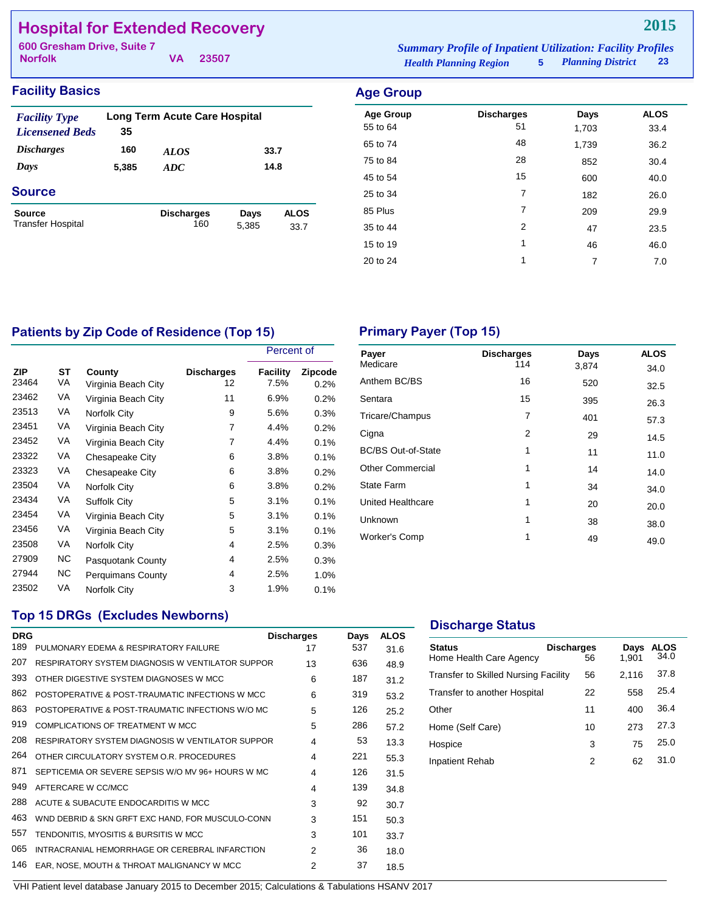# **Hospital for Extended Recovery**

**Norfolk**

**VA 23507**

### *Health Planning Region* **5** *Planning District* **23 600 Gresham Drive, Suite 7** *Summary Profile of Inpatient Utilization: Facility Profiles*

### **Facility Basics Age Group**

| 35    |                          |               |                                                      |
|-------|--------------------------|---------------|------------------------------------------------------|
| 160   | <i>ALOS</i>              |               |                                                      |
| 5,385 | ADC                      |               |                                                      |
|       |                          |               |                                                      |
|       | <b>Discharges</b><br>160 | Days<br>5,385 | <b>ALOS</b><br>33.7                                  |
|       |                          |               | <b>Long Term Acute Care Hospital</b><br>33.7<br>14.8 |

| Aye Group        |                   |       |             |
|------------------|-------------------|-------|-------------|
| <b>Age Group</b> | <b>Discharges</b> | Days  | <b>ALOS</b> |
| 55 to 64         | 51                | 1,703 | 33.4        |
| 65 to 74         | 48                | 1,739 | 36.2        |
| 75 to 84         | 28                | 852   | 30.4        |
| 45 to 54         | 15                | 600   | 40.0        |
| 25 to 34         | 7                 | 182   | 26.0        |
| 85 Plus          | 7                 | 209   | 29.9        |
| 35 to 44         | $\overline{2}$    | 47    | 23.5        |
| 15 to 19         | 1                 | 46    | 46.0        |
| 20 to 24         | 1                 | 7     | 7.0         |
|                  |                   |       |             |

# Patients by Zip Code of Residence (Top 15) **Primary Payer (Top 15)**

|              |          |                               |                         | Percent of       |                        |
|--------------|----------|-------------------------------|-------------------------|------------------|------------------------|
| ZIP<br>23464 | ST<br>VA | County<br>Virginia Beach City | <b>Discharges</b><br>12 | Facility<br>7.5% | <b>Zipcode</b><br>0.2% |
| 23462        | VA       | Virginia Beach City           | 11                      | 6.9%             | 0.2%                   |
| 23513        | VA       | Norfolk City                  | 9                       | 5.6%             | 0.3%                   |
| 23451        | VA       | Virginia Beach City           | 7                       | 4.4%             | 0.2%                   |
| 23452        | VA       | Virginia Beach City           | 7                       | 4.4%             | 0.1%                   |
| 23322        | VA       | Chesapeake City               | 6                       | 3.8%             | 0.1%                   |
| 23323        | VA       | Chesapeake City               | 6                       | 3.8%             | 0.2%                   |
| 23504        | VA       | Norfolk City                  | 6                       | 3.8%             | 0.2%                   |
| 23434        | VA       | <b>Suffolk City</b>           | 5                       | 3.1%             | 0.1%                   |
| 23454        | VA       | Virginia Beach City           | 5                       | 3.1%             | 0.1%                   |
| 23456        | VA       | Virginia Beach City           | 5                       | 3.1%             | 0.1%                   |
| 23508        | VA       | Norfolk City                  | 4                       | 2.5%             | 0.3%                   |
| 27909        | NC.      | Pasquotank County             | 4                       | 2.5%             | 0.3%                   |
| 27944        | NC.      | <b>Perquimans County</b>      | 4                       | 2.5%             | 1.0%                   |
| 23502        | VA       | Norfolk City                  | 3                       | 1.9%             | 0.1%                   |

| Payer<br>Medicare         | <b>Discharges</b> | Days  | <b>ALOS</b> |
|---------------------------|-------------------|-------|-------------|
|                           | 114               | 3,874 | 34.0        |
| Anthem BC/BS              | 16                | 520   | 32.5        |
| Sentara                   | 15                | 395   | 26.3        |
| Tricare/Champus           | 7                 | 401   | 57.3        |
| Cigna                     | 2                 | 29    | 14.5        |
| <b>BC/BS Out-of-State</b> | 1                 | 11    | 11.0        |
| <b>Other Commercial</b>   | 1                 | 14    | 14.0        |
| <b>State Farm</b>         | 1                 | 34    | 34.0        |
| United Healthcare         | 1                 | 20    | 20.0        |
| Unknown                   | 1                 | 38    | 38.0        |
| Worker's Comp             | 1                 | 49    | 49.0        |
|                           |                   |       |             |

# **Top 15 DRGs (Excludes Newborns)**

| <b>DRG</b> |                                                   | <b>Discharges</b> | Days | <b>ALOS</b> |
|------------|---------------------------------------------------|-------------------|------|-------------|
| 189        | PULMONARY EDEMA & RESPIRATORY FAILURE             | 17                | 537  | 31.6        |
| 207        | RESPIRATORY SYSTEM DIAGNOSIS W VENTILATOR SUPPOR  | 13                | 636  | 48.9        |
| 393        | OTHER DIGESTIVE SYSTEM DIAGNOSES W MCC            | 6                 | 187  | 31.2        |
| 862        | POSTOPERATIVE & POST-TRAUMATIC INFECTIONS W MCC   | 6                 | 319  | 53.2        |
| 863        | POSTOPERATIVE & POST-TRAUMATIC INFECTIONS W/O MC  | 5                 | 126  | 25.2        |
| 919        | COMPLICATIONS OF TREATMENT W MCC                  | 5                 | 286  | 57.2        |
| 208        | RESPIRATORY SYSTEM DIAGNOSIS W VENTILATOR SUPPOR  | 4                 | 53   | 13.3        |
| 264        | OTHER CIRCULATORY SYSTEM O.R. PROCEDURES          | 4                 | 221  | 55.3        |
| 871        | SEPTICEMIA OR SEVERE SEPSIS W/O MV 96+ HOURS W MC | 4                 | 126  | 31.5        |
| 949        | AFTERCARE W CC/MCC                                | 4                 | 139  | 34.8        |
| 288        | ACUTE & SUBACUTE ENDOCARDITIS W MCC               | 3                 | 92   | 30.7        |
| 463        | WND DEBRID & SKN GRFT EXC HAND, FOR MUSCULO-CONN  | 3                 | 151  | 50.3        |
| 557        | TENDONITIS, MYOSITIS & BURSITIS W MCC             | 3                 | 101  | 33.7        |
| 065        | INTRACRANIAL HEMORRHAGE OR CEREBRAL INFARCTION    | $\mathfrak{p}$    | 36   | 18.0        |
| 146        | EAR, NOSE, MOUTH & THROAT MALIGNANCY W MCC        | 2                 | 37   | 18.5        |
|            |                                                   |                   |      |             |

### **Discharge Status**

| <b>Status</b><br>Home Health Care Agency    | <b>Discharges</b><br>56 | Days<br>1.901 | ALOS<br>34.0 |
|---------------------------------------------|-------------------------|---------------|--------------|
| <b>Transfer to Skilled Nursing Facility</b> | 56                      | 2.116         | 37.8         |
| Transfer to another Hospital                | 22                      | 558           | 25.4         |
| Other                                       | 11                      | 400           | 36.4         |
| Home (Self Care)                            | 10                      | 273           | 27.3         |
| Hospice                                     | 3                       | 75            | 25.0         |
| Inpatient Rehab                             | 2                       | 62            | 31.0         |
|                                             |                         |               |              |

**2015**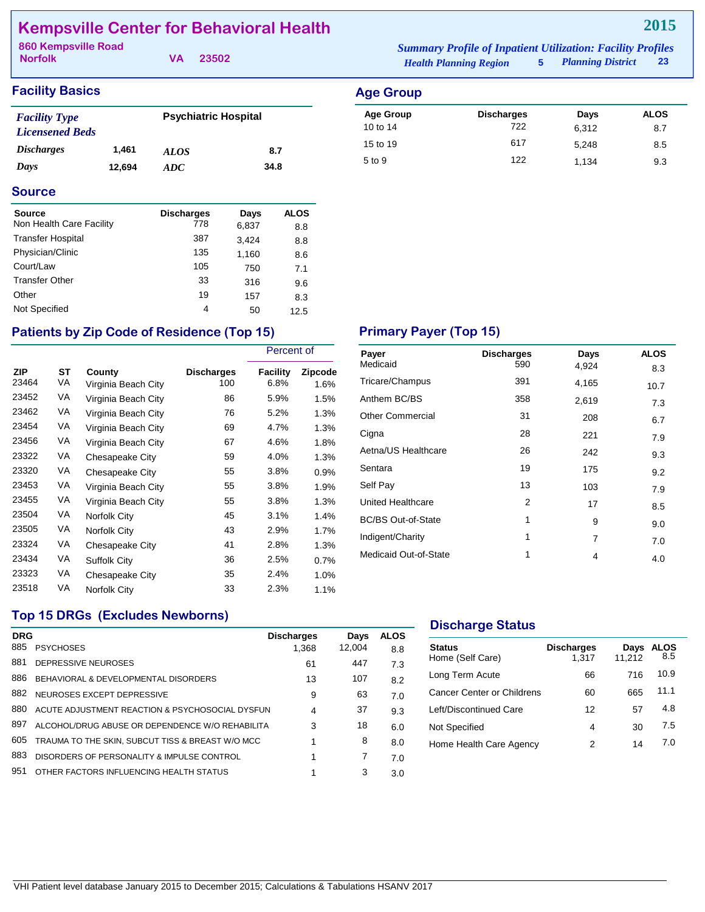# **Kempsville Center for Behavioral Health**

**Norfolk 860 Kempsville Road** *Summary Profile of Inpatient Utilization: Facility Profiles*

**VA 23502**

| <b>Summary Profile of Inpatient Utilization: Facility Profiles</b> |                          |                 |
|--------------------------------------------------------------------|--------------------------|-----------------|
| <b>Health Planning Region</b>                                      | <b>Planning District</b> | 23 <sup>1</sup> |

| <b>Facility Basics</b>                         |        |                             |      |  |
|------------------------------------------------|--------|-----------------------------|------|--|
| <b>Facility Type</b><br><b>Licensened Beds</b> |        | <b>Psychiatric Hospital</b> |      |  |
| <i><b>Discharges</b></i>                       | 1.461  | ALOS                        | 8.7  |  |
| Days                                           | 12.694 | ADC                         | 34.8 |  |

| <b>Age Group</b> |                   |       |             |
|------------------|-------------------|-------|-------------|
| <b>Age Group</b> | <b>Discharges</b> | Days  | <b>ALOS</b> |
| 10 to 14         | 722               | 6.312 | 8.7         |
| 15 to 19         | 617               | 5,248 | 8.5         |
| 5 to 9           | 122               | 1.134 | 9.3         |

### **Source**

| <b>Source</b>            | <b>Discharges</b> | Days  | <b>ALOS</b> |
|--------------------------|-------------------|-------|-------------|
| Non Health Care Facility | 778               | 6,837 | 8.8         |
| <b>Transfer Hospital</b> | 387               | 3,424 | 8.8         |
| Physician/Clinic         | 135               | 1,160 | 8.6         |
| Court/Law                | 105               | 750   | 7.1         |
| <b>Transfer Other</b>    | 33                | 316   | 9.6         |
| Other                    | 19                | 157   | 8.3         |
| Not Specified            | 4                 | 50    | 12.5        |

# Patients by Zip Code of Residence (Top 15) **Primary Payer (Top 15)**

|                     |          |                               |                          | Percent of              |                 |  |
|---------------------|----------|-------------------------------|--------------------------|-------------------------|-----------------|--|
| <b>ZIP</b><br>23464 | SТ<br>VA | County<br>Virginia Beach City | <b>Discharges</b><br>100 | <b>Facility</b><br>6.8% | Zipcode<br>1.6% |  |
| 23452               | VA       | Virginia Beach City           | 86                       | 5.9%                    | 1.5%            |  |
| 23462               | VA       | Virginia Beach City           | 76                       | 5.2%                    | 1.3%            |  |
| 23454               | VA       | Virginia Beach City           | 69                       | 4.7%                    | 1.3%            |  |
| 23456               | VA       | Virginia Beach City           | 67                       | 4.6%                    | 1.8%            |  |
| 23322               | VA       | Chesapeake City               | 59                       | 4.0%                    | $1.3\%$         |  |
| 23320               | VA       | Chesapeake City               | 55                       | 3.8%                    | $0.9\%$         |  |
| 23453               | VA       | Virginia Beach City           | 55                       | 3.8%                    | 1.9%            |  |
| 23455               | VA       | Virginia Beach City           | 55                       | 3.8%                    | $1.3\%$         |  |
| 23504               | VA       | Norfolk City                  | 45                       | 3.1%                    | 1.4%            |  |
| 23505               | VA       | Norfolk City                  | 43                       | 2.9%                    | 1.7%            |  |
| 23324               | VA       | Chesapeake City               | 41                       | 2.8%                    | 1.3%            |  |
| 23434               | VA       | <b>Suffolk City</b>           | 36                       | 2.5%                    | 0.7%            |  |
| 23323               | VA       | Chesapeake City               | 35                       | 2.4%                    | $1.0\%$         |  |
| 23518               | VA       | Norfolk City                  | 33                       | 2.3%                    | 1.1%            |  |

| Payer                     | <b>Discharges</b> | Days  | <b>ALOS</b> |
|---------------------------|-------------------|-------|-------------|
| Medicaid                  | 590               | 4,924 | 8.3         |
| Tricare/Champus           | 391               | 4,165 | 10.7        |
| Anthem BC/BS              | 358               | 2,619 | 7.3         |
| <b>Other Commercial</b>   | 31                | 208   | 6.7         |
| Cigna                     | 28                | 221   | 7.9         |
| Aetna/US Healthcare       | 26                | 242   | 9.3         |
| Sentara                   | 19                | 175   | 9.2         |
| Self Pay                  | 13                | 103   | 7.9         |
| <b>United Healthcare</b>  | 2                 | 17    | 8.5         |
| <b>BC/BS Out-of-State</b> | 1                 | 9     | 9.0         |
| Indigent/Charity          | 1                 | 7     | 7.0         |
| Medicaid Out-of-State     | 1                 | 4     | 4.0         |

# **Top 15 DRGs (Excludes Newborns)**

| <b>DRG</b> |                                                  | <b>Discharges</b> | Days   | <b>ALOS</b> |
|------------|--------------------------------------------------|-------------------|--------|-------------|
| 885        | <b>PSYCHOSES</b>                                 | 1.368             | 12.004 | 8.8         |
| 881        | DEPRESSIVE NEUROSES                              | 61                | 447    | 7.3         |
| 886        | BEHAVIORAL & DEVELOPMENTAL DISORDERS             | 13                | 107    | 8.2         |
| 882        | NEUROSES EXCEPT DEPRESSIVE                       | 9                 | 63     | 7.0         |
| 880        | ACUTE ADJUSTMENT REACTION & PSYCHOSOCIAL DYSFUN  | 4                 | 37     | 9.3         |
| 897        | ALCOHOL/DRUG ABUSE OR DEPENDENCE W/O REHABILITA  | 3                 | 18     | 6.0         |
| 605        | TRAUMA TO THE SKIN, SUBCUT TISS & BREAST W/O MCC |                   | 8      | 8.0         |
| 883        | DISORDERS OF PERSONALITY & IMPULSE CONTROL       |                   |        | 7.0         |
| 951        | OTHER FACTORS INFLUENCING HEALTH STATUS          |                   | 3      | 3.0         |
|            |                                                  |                   |        |             |

## **Discharge Status**

| <b>Status</b><br>Home (Self Care) | <b>Discharges</b><br>1.317 | Days<br>11.212 | <b>ALOS</b><br>8.5 |
|-----------------------------------|----------------------------|----------------|--------------------|
| Long Term Acute                   | 66                         | 716            | 10.9               |
| Cancer Center or Childrens        | 60                         | 665            | 11.1               |
| Left/Discontinued Care            | 12                         | 57             | 4.8                |
| Not Specified                     | 4                          | 30             | 7.5                |
| Home Health Care Agency           | 2                          | 14             | 7 በ                |
|                                   |                            |                |                    |

# **2015**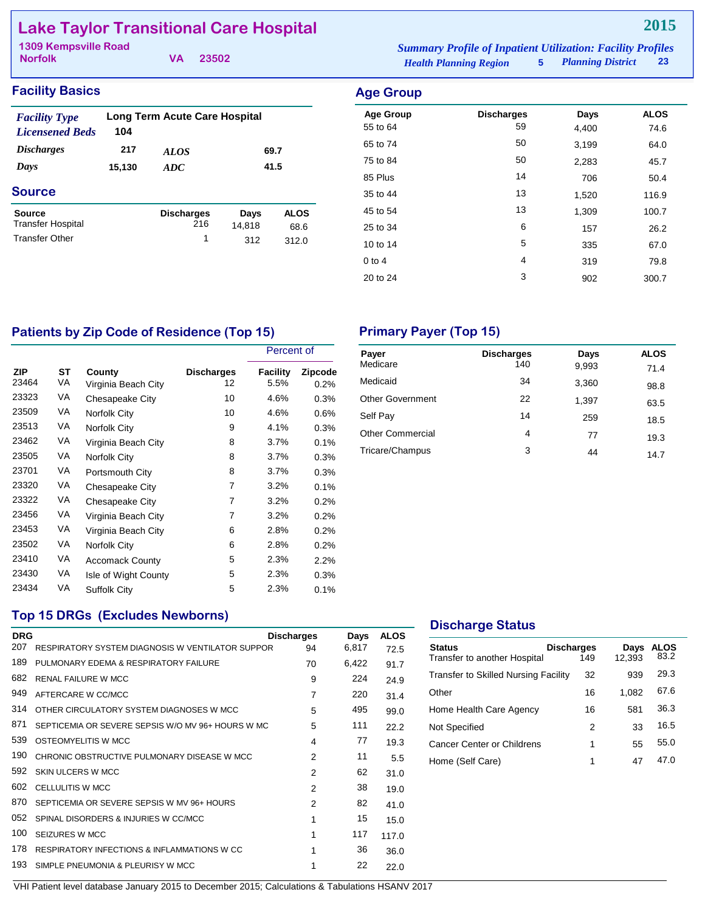# **Lake Taylor Transitional Care Hospital**

| <b>1309 Kempsville Road</b> |  |          |                               | <b>Summary Profile of Inpatient Utilization: Facility Profiles</b> |                     |    |
|-----------------------------|--|----------|-------------------------------|--------------------------------------------------------------------|---------------------|----|
| <b>Norfolk</b>              |  | VA 23502 | <b>Health Planning Region</b> |                                                                    | 5 Planning District | 23 |

## **Facility Basics Age Group**

| <b>Facility Type</b><br><b>Licensened Beds</b> | 104    | <b>Long Term Acute Care Hospital</b> |        |             |
|------------------------------------------------|--------|--------------------------------------|--------|-------------|
| <b>Discharges</b>                              | 217    | <i>ALOS</i>                          |        | 69.7        |
| Days                                           | 15,130 | 41.5<br>ADC                          |        |             |
| <b>Source</b>                                  |        |                                      |        |             |
| Source<br><b>Transfer Hospital</b>             |        | <b>Discharges</b><br>216             | Days   | <b>ALOS</b> |
|                                                |        |                                      | 14,818 | 68.6        |
| <b>Transfer Other</b>                          |        | 1                                    | 312    | 312.0       |

| nya uluw         |                   |       |             |
|------------------|-------------------|-------|-------------|
| <b>Age Group</b> | <b>Discharges</b> | Days  | <b>ALOS</b> |
| 55 to 64         | 59                | 4,400 | 74.6        |
| 65 to 74         | 50                | 3,199 | 64.0        |
| 75 to 84         | 50                | 2,283 | 45.7        |
| 85 Plus          | 14                | 706   | 50.4        |
| 35 to 44         | 13                | 1,520 | 116.9       |
| 45 to 54         | 13                | 1,309 | 100.7       |
| 25 to 34         | 6                 | 157   | 26.2        |
| 10 to 14         | 5                 | 335   | 67.0        |
| $0$ to $4$       | 4                 | 319   | 79.8        |
| 20 to 24         | 3                 | 902   | 300.7       |

# Patients by Zip Code of Residence (Top 15) **Primary Payer (Top 15)**

|              |          |                               |                         |                  | Percent of      |  |
|--------------|----------|-------------------------------|-------------------------|------------------|-----------------|--|
| ZIP<br>23464 | ST<br>VA | County<br>Virginia Beach City | <b>Discharges</b><br>12 | Facility<br>5.5% | Zipcode<br>0.2% |  |
| 23323        | VA       | Chesapeake City               | 10                      | 4.6%             | 0.3%            |  |
| 23509        | VA       | Norfolk City                  | 10                      | 4.6%             | 0.6%            |  |
| 23513        | VA       | Norfolk City                  | 9                       | 4.1%             | 0.3%            |  |
| 23462        | VA       | Virginia Beach City           | 8                       | 3.7%             | 0.1%            |  |
| 23505        | VA       | Norfolk City                  | 8                       | 3.7%             | 0.3%            |  |
| 23701        | VA       | Portsmouth City               | 8                       | 3.7%             | 0.3%            |  |
| 23320        | VA       | Chesapeake City               | $\overline{7}$          | 3.2%             | 0.1%            |  |
| 23322        | VA       | Chesapeake City               | 7                       | 3.2%             | 0.2%            |  |
| 23456        | VA       | Virginia Beach City           | 7                       | 3.2%             | 0.2%            |  |
| 23453        | VA       | Virginia Beach City           | 6                       | 2.8%             | 0.2%            |  |
| 23502        | VA       | Norfolk City                  | 6                       | 2.8%             | 0.2%            |  |
| 23410        | VA       | <b>Accomack County</b>        | 5                       | 2.3%             | 2.2%            |  |
| 23430        | VA       | Isle of Wight County          | 5                       | 2.3%             | 0.3%            |  |
| 23434        | VA       | Suffolk City                  | 5                       | 2.3%             | 0.1%            |  |

| Payer<br>Medicare       | <b>Discharges</b><br>140 | Days<br>9,993 | <b>ALOS</b><br>71.4 |
|-------------------------|--------------------------|---------------|---------------------|
| Medicaid                | 34                       | 3,360         | 98.8                |
| <b>Other Government</b> | 22                       | 1,397         | 63.5                |
| Self Pay                | 14                       | 259           | 18.5                |
| <b>Other Commercial</b> | 4                        | 77            | 19.3                |
| Tricare/Champus         | 3                        | 44            | 14.7                |

## **Top 15 DRGs (Excludes Newborns)**

| <b>DRG</b> |                                                        | <b>Discharges</b> | Days  | <b>ALOS</b> |
|------------|--------------------------------------------------------|-------------------|-------|-------------|
| 207        | RESPIRATORY SYSTEM DIAGNOSIS W VENTILATOR SUPPOR       | 94                | 6,817 | 72.5        |
| 189        | PULMONARY EDEMA & RESPIRATORY FAILURE                  | 70                | 6,422 | 91.7        |
| 682        | <b>RENAL FAILURE W MCC</b>                             | 9                 | 224   | 24.9        |
| 949        | AFTERCARE W CC/MCC                                     | $\overline{7}$    | 220   | 31.4        |
| 314        | OTHER CIRCULATORY SYSTEM DIAGNOSES W MCC               | 5                 | 495   | 99.0        |
| 871        | SEPTICEMIA OR SEVERE SEPSIS W/O MV 96+ HOURS W MC      | 5                 | 111   | 22.2        |
| 539        | OSTEOMYELITIS W MCC                                    | 4                 | 77    | 19.3        |
| 190        | CHRONIC OBSTRUCTIVE PULMONARY DISEASE W MCC            | $\mathfrak{p}$    | 11    | 5.5         |
| 592        | SKIN ULCERS W MCC                                      | 2                 | 62    | 31.0        |
| 602        | <b>CELLULITIS W MCC</b>                                | 2                 | 38    | 19.0        |
| 870        | SEPTICEMIA OR SEVERE SEPSIS W MV 96+ HOURS             | $\mathfrak{p}$    | 82    | 41.0        |
| 052        | SPINAL DISORDERS & INJURIES W CC/MCC                   | 1                 | 15    | 15.0        |
| 100        | SEIZURES W MCC                                         | 1                 | 117   | 117.0       |
| 178        | <b>RESPIRATORY INFECTIONS &amp; INFLAMMATIONS W CC</b> | 1                 | 36    | 36.0        |
| 193        | SIMPLE PNEUMONIA & PLEURISY W MCC                      | 1                 | 22    | 22.0        |
|            |                                                        |                   |       |             |

# **Discharge Status**

| <b>Status</b><br>Transfer to another Hospital | <b>Discharges</b><br>149 | Days<br>12,393 | ALOS<br>83.2 |
|-----------------------------------------------|--------------------------|----------------|--------------|
| <b>Transfer to Skilled Nursing Facility</b>   | 32                       | 939            | 29.3         |
| Other                                         | 16                       | 1,082          | 67.6         |
| Home Health Care Agency                       | 16                       | 581            | 36.3         |
| Not Specified                                 | 2                        | 33             | 16.5         |
| Cancer Center or Childrens                    | 1                        | 55             | 55.0         |
| Home (Self Care)                              | 1                        | 47             | 47.O         |
|                                               |                          |                |              |

### **2015**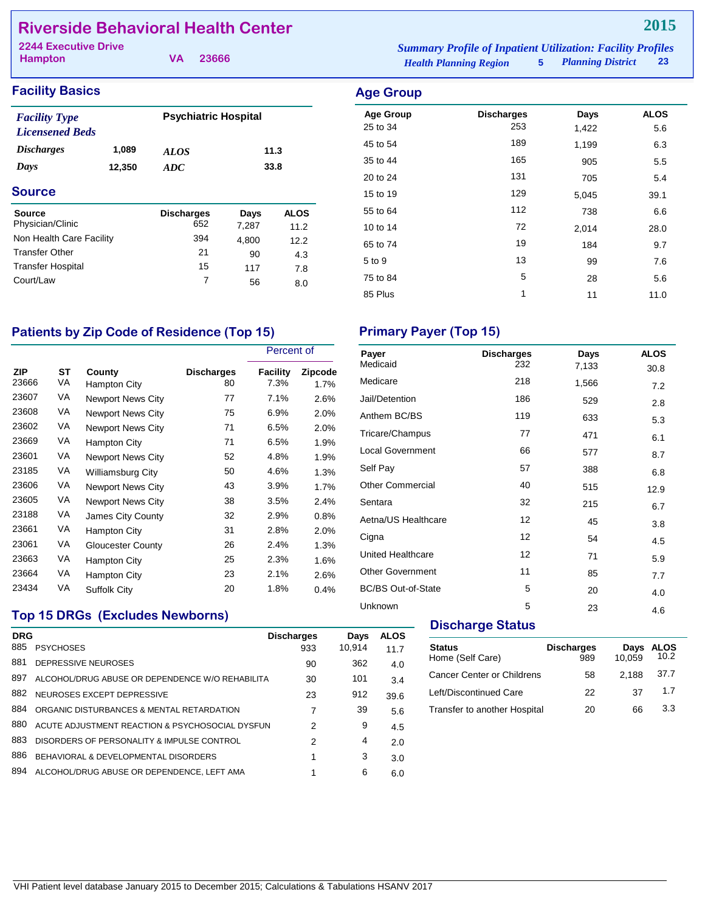# **Riverside Behavioral Health Center**

| <b>2244 Executive Drive</b> |  |       | <b>Summary Profile of Inpatient Utilization: Facility Profiles</b> |    |
|-----------------------------|--|-------|--------------------------------------------------------------------|----|
| Hampton                     |  | 23666 | 5 Planning District<br><b>Health Planning Region</b>               | 23 |

| <b>Facility Basics</b>                         |        |                             |       |             | <b>Age Group</b>             |
|------------------------------------------------|--------|-----------------------------|-------|-------------|------------------------------|
| <b>Facility Type</b><br><b>Licensened Beds</b> |        | <b>Psychiatric Hospital</b> |       |             | <b>Age Group</b><br>25 to 34 |
| <i>Discharges</i><br>1,089                     |        | <b>ALOS</b>                 | 11.3  |             | 45 to 54                     |
| Days                                           | 12,350 | 33.8<br>ADC                 |       |             | 35 to 44                     |
|                                                |        |                             |       |             | 20 to 24                     |
| <b>Source</b>                                  |        |                             |       |             | 15 to 19                     |
| Source                                         |        | <b>Discharges</b>           | Days  | <b>ALOS</b> | 55 to 64                     |
| Physician/Clinic                               |        | 652                         | 7,287 | 11.2        | 10 to 14                     |
| Non Health Care Facility                       |        | 394                         | 4.800 | 12.2        | 65 to 74                     |
| <b>Transfer Other</b>                          |        | 21                          | 90    | 4.3         |                              |
| <b>Transfer Hospital</b>                       |        | 15                          | 117   | 7.8         | 5 to 9                       |
| Court/Law                                      |        | 7                           | 56    | 8.0         | 75 to 84                     |

| <b>Age Group</b> | <b>Discharges</b> | Days  | <b>ALOS</b> |
|------------------|-------------------|-------|-------------|
| 25 to 34         | 253               | 1,422 | 5.6         |
| 45 to 54         | 189               | 1,199 | 6.3         |
| 35 to 44         | 165               | 905   | 5.5         |
| 20 to 24         | 131               | 705   | 5.4         |
| 15 to 19         | 129               | 5,045 | 39.1        |
| 55 to 64         | 112               | 738   | 6.6         |
| 10 to 14         | 72                | 2,014 | 28.0        |
| 65 to 74         | 19                | 184   | 9.7         |
| 5 to 9           | 13                | 99    | 7.6         |
| 75 to 84         | 5                 | 28    | 5.6         |
| 85 Plus          | 1                 | 11    | 11.0        |

# Patients by Zip Code of Residence (Top 15) **Primary Payer (Top 15)**

|              |          |                          |                         | Percent of       |                 |
|--------------|----------|--------------------------|-------------------------|------------------|-----------------|
| ZIP<br>23666 | ST<br>VA | County<br>Hampton City   | <b>Discharges</b><br>80 | Facility<br>7.3% | Zipcode<br>1.7% |
| 23607        | VA       | <b>Newport News City</b> | 77                      | 7.1%             | 2.6%            |
| 23608        | VA       | <b>Newport News City</b> | 75                      | 6.9%             | 2.0%            |
| 23602        | VA       | <b>Newport News City</b> | 71                      | 6.5%             | 2.0%            |
| 23669        | VA       | Hampton City             | 71                      | 6.5%             | 1.9%            |
| 23601        | VA       | <b>Newport News City</b> | 52                      | 4.8%             | 1.9%            |
| 23185        | VA       | Williamsburg City        | 50                      | 4.6%             | $1.3\%$         |
| 23606        | VA       | <b>Newport News City</b> | 43                      | 3.9%             | 1.7%            |
| 23605        | VA       | <b>Newport News City</b> | 38                      | 3.5%             | 2.4%            |
| 23188        | VA       | James City County        | 32                      | 2.9%             | 0.8%            |
| 23661        | VA       | Hampton City             | 31                      | 2.8%             | 2.0%            |
| 23061        | VA       | Gloucester County        | 26                      | 2.4%             | 1.3%            |
| 23663        | VA       | Hampton City             | 25                      | 2.3%             | 1.6%            |
| 23664        | VA       | Hampton City             | 23                      | 2.1%             | 2.6%            |
| 23434        | VA       | Suffolk City             | 20                      | 1.8%             | $0.4\%$         |

| Payer                     | <b>Discharges</b> | Days  | <b>ALOS</b> |
|---------------------------|-------------------|-------|-------------|
| Medicaid                  | 232               | 7,133 | 30.8        |
| Medicare                  | 218               | 1,566 | 7.2         |
| Jail/Detention            | 186               | 529   | 2.8         |
| Anthem BC/BS              | 119               | 633   | 5.3         |
| Tricare/Champus           | 77                | 471   | 6.1         |
| <b>Local Government</b>   | 66                | 577   | 8.7         |
| Self Pay                  | 57                | 388   | 6.8         |
| <b>Other Commercial</b>   | 40                | 515   | 12.9        |
| Sentara                   | 32                | 215   | 6.7         |
| Aetna/US Healthcare       | 12                | 45    | 3.8         |
| Cigna                     | 12                | 54    | 4.5         |
| United Healthcare         | 12                | 71    | 5.9         |
| <b>Other Government</b>   | 11                | 85    | 7.7         |
| <b>BC/BS Out-of-State</b> | 5                 | 20    | 4.0         |
| Unknown                   | 5                 | 23    | 4.6         |

# **Top 15 DRGs (Excludes Newborns)**

| <b>DRG</b><br>885 | <b>PSYCHOSES</b>                                | <b>Discharges</b><br>933 | Days<br>10.914 | <b>ALOS</b><br>11.7 |
|-------------------|-------------------------------------------------|--------------------------|----------------|---------------------|
| 881               | DEPRESSIVE NEUROSES                             | 90                       | 362            | 4.0                 |
| 897               | ALCOHOL/DRUG ABUSE OR DEPENDENCE W/O REHABILITA | 30                       | 101            | 3.4                 |
| 882               | NEUROSES EXCEPT DEPRESSIVE                      | 23                       | 912            | 39.6                |
| 884               | ORGANIC DISTURBANCES & MENTAL RETARDATION       | 7                        | 39             | 5.6                 |
| 880               | ACUTE ADJUSTMENT REACTION & PSYCHOSOCIAL DYSFUN | $\mathcal{P}$            | 9              | 4.5                 |
| 883               | DISORDERS OF PERSONALITY & IMPULSE CONTROL      | 2                        | 4              | 2.0                 |
| 886               | BEHAVIORAL & DEVELOPMENTAL DISORDERS            |                          | 3              | 3.0                 |
| 894               | ALCOHOL/DRUG ABUSE OR DEPENDENCE. LEFT AMA      |                          | 6              | 6.0                 |
|                   |                                                 |                          |                |                     |

## **Discharge Status**

| <b>Status</b><br>Home (Self Care) | <b>Discharges</b><br>989 | Days<br>10,059 | <b>ALOS</b><br>10.2 |
|-----------------------------------|--------------------------|----------------|---------------------|
| <b>Cancer Center or Childrens</b> | 58                       | 2.188          | 37.7                |
| Left/Discontinued Care            | 22                       | 37             | 1.7                 |
| Transfer to another Hospital      | 20                       | 66             | 33                  |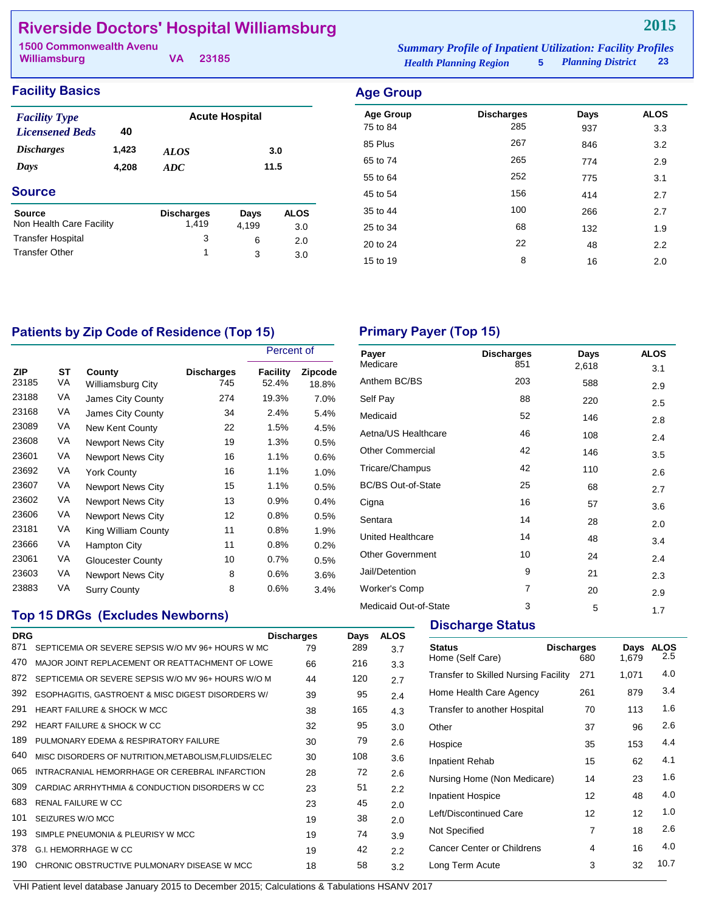# **Riverside Doctors' Hospital Williamsburg**

| <b>1500 Commonwealth Avenu</b> |  |          | <b>Summary Profile of Inpatient Utilization: Facility Profiles</b> |  |                        |  |
|--------------------------------|--|----------|--------------------------------------------------------------------|--|------------------------|--|
| Williamsburg                   |  | VA 23185 | <b>Health Planning Region</b>                                      |  | 5 Planning District 23 |  |

| <b>Facility Basics</b>                         |       |                   |                       |             | <b>Age Group</b>             |                          |             |                    |  |
|------------------------------------------------|-------|-------------------|-----------------------|-------------|------------------------------|--------------------------|-------------|--------------------|--|
| <b>Facility Type</b><br><b>Licensened Beds</b> | 40    |                   | <b>Acute Hospital</b> |             | <b>Age Group</b><br>75 to 84 | <b>Discharges</b><br>285 | Days<br>937 | <b>ALOS</b><br>3.3 |  |
| <b>Discharges</b>                              | 1,423 | <b>ALOS</b>       |                       | 3.0         | 85 Plus                      | 267                      | 846         | 3.2                |  |
| Days                                           | 4,208 | ADC               |                       | 11.5        | 65 to 74                     | 265                      | 774         | 2.9                |  |
|                                                |       |                   |                       |             | 55 to 64                     | 252                      | 775         | 3.1                |  |
| <b>Source</b>                                  |       |                   |                       |             | 45 to 54                     | 156                      | 414         | 2.7                |  |
| <b>Source</b>                                  |       | <b>Discharges</b> | Days                  | <b>ALOS</b> | 35 to 44                     | 100                      | 266         | 2.7                |  |
| Non Health Care Facility                       |       | 1,419             | 4,199                 | 3.0         | 25 to 34                     | 68                       | 132         | 1.9                |  |
| <b>Transfer Hospital</b>                       |       | 3                 | 6                     | 2.0         | 20 to 24                     | 22                       | 48          | 2.2                |  |
| <b>Transfer Other</b>                          |       |                   | 3                     | 3.0         | 15 to 19                     | 8                        | 16          | 2.0                |  |
|                                                |       |                   |                       |             |                              |                          |             |                    |  |

# Patients by Zip Code of Residence (Top 15) **Primary Payer (Top 15)**

|                     |                 |                                    |                          | Percent of        |                  |
|---------------------|-----------------|------------------------------------|--------------------------|-------------------|------------------|
| <b>ZIP</b><br>23185 | <b>ST</b><br>VA | County<br><b>Williamsburg City</b> | <b>Discharges</b><br>745 | Facility<br>52.4% | Zipcode<br>18.8% |
| 23188               | VA              | James City County                  | 274                      | 19.3%             | 7.0%             |
| 23168               | VA              | James City County                  | 34                       | 2.4%              | 5.4%             |
| 23089               | VA              | New Kent County                    | 22                       | 1.5%              | 4.5%             |
| 23608               | VA              | <b>Newport News City</b>           | 19                       | 1.3%              | 0.5%             |
| 23601               | VA              | <b>Newport News City</b>           | 16                       | 1.1%              | 0.6%             |
| 23692               | VA              | York County                        | 16                       | 1.1%              | $1.0\%$          |
| 23607               | VA              | <b>Newport News City</b>           | 15                       | 1.1%              | 0.5%             |
| 23602               | VA              | <b>Newport News City</b>           | 13                       | 0.9%              | 0.4%             |
| 23606               | VA              | Newport News City                  | 12                       | 0.8%              | 0.5%             |
| 23181               | VA              | King William County                | 11                       | 0.8%              | 1.9%             |
| 23666               | VA              | <b>Hampton City</b>                | 11                       | 0.8%              | 0.2%             |
| 23061               | VA              | Gloucester County                  | 10                       | 0.7%              | 0.5%             |
| 23603               | VA              | <b>Newport News City</b>           | 8                        | 0.6%              | 3.6%             |
| 23883               | VA              | <b>Surry County</b>                | 8                        | 0.6%              | 3.4%             |

# **Top 15 DRGs (Excludes Newborns)**

| <b>DRG</b> |                                                      | <b>Discharges</b> | Days | <b>ALOS</b> |
|------------|------------------------------------------------------|-------------------|------|-------------|
| 871        | SEPTICEMIA OR SEVERE SEPSIS W/O MV 96+ HOURS W MC    | 79                | 289  | 3.7         |
| 470        | MAJOR JOINT REPLACEMENT OR REATTACHMENT OF LOWE      | 66                | 216  | 3.3         |
| 872        | SEPTICEMIA OR SEVERE SEPSIS W/O MV 96+ HOURS W/O M   | 44                | 120  | 2.7         |
| 392        | ESOPHAGITIS, GASTROENT & MISC DIGEST DISORDERS W/    | 39                | 95   | 2.4         |
| 291        | <b>HEART FAILURE &amp; SHOCK W MCC</b>               | 38                | 165  | 4.3         |
| 292        | <b>HEART FAILURE &amp; SHOCK W CC</b>                | 32                | 95   | 3.0         |
| 189        | PULMONARY EDEMA & RESPIRATORY FAILURE                | 30                | 79   | 2.6         |
| 640        | MISC DISORDERS OF NUTRITION, METABOLISM, FLUIDS/ELEC | 30                | 108  | 3.6         |
| 065        | INTRACRANIAL HEMORRHAGE OR CEREBRAL INFARCTION       | 28                | 72   | 2.6         |
| 309        | CARDIAC ARRHYTHMIA & CONDUCTION DISORDERS W CC       | 23                | 51   | 2.2         |
| 683        | <b>RENAL FAILURE W CC</b>                            | 23                | 45   | 2.0         |
| 101        | SEIZURES W/O MCC                                     | 19                | 38   | 2.0         |
| 193        | SIMPLE PNEUMONIA & PLEURISY W MCC                    | 19                | 74   | 3.9         |
| 378        | <b>G.I. HEMORRHAGE W CC</b>                          | 19                | 42   | 2.2         |
| 190        | CHRONIC OBSTRUCTIVE PULMONARY DISEASE W MCC          | 18                | 58   | 3.2         |
|            |                                                      |                   |      |             |

| Payer                     | <b>Discharges</b> | Days  | <b>ALOS</b> |
|---------------------------|-------------------|-------|-------------|
| Medicare                  | 851               | 2,618 | 3.1         |
| Anthem BC/BS              | 203               | 588   | 2.9         |
| Self Pay                  | 88                | 220   | 2.5         |
| Medicaid                  | 52                | 146   | 2.8         |
| Aetna/US Healthcare       | 46                | 108   | 2.4         |
| <b>Other Commercial</b>   | 42                | 146   | 3.5         |
| Tricare/Champus           | 42                | 110   | 2.6         |
| <b>BC/BS Out-of-State</b> | 25                | 68    | 2.7         |
| Cigna                     | 16                | 57    | 3.6         |
| Sentara                   | 14                | 28    | 2.0         |
| United Healthcare         | 14                | 48    | 3.4         |
| <b>Other Government</b>   | 10                | 24    | 2.4         |
| Jail/Detention            | 9                 | 21    | 2.3         |
| <b>Worker's Comp</b>      | $\overline{7}$    | 20    | 2.9         |
| Medicaid Out-of-State     | 3                 | 5     | 1.7         |

## **Discharge Status**

| <b>Status</b><br>Home (Self Care)           | <b>Discharges</b><br>680 | Days<br>1.679 | <b>ALOS</b><br>2.5 |
|---------------------------------------------|--------------------------|---------------|--------------------|
| <b>Transfer to Skilled Nursing Facility</b> | 271                      | 1,071         | 4.0                |
| Home Health Care Agency                     | 261                      | 879           | 3.4                |
| Transfer to another Hospital                | 70                       | 113           | 1.6                |
| Other                                       | 37                       | 96            | 2.6                |
| Hospice                                     | 35                       | 153           | 4.4                |
| Inpatient Rehab                             | 15                       | 62            | 4.1                |
| Nursing Home (Non Medicare)                 | 14                       | 23            | 1.6                |
| <b>Inpatient Hospice</b>                    | 12                       | 48            | 4.0                |
| Left/Discontinued Care                      | 12                       | 12            | 1.0                |
| Not Specified                               | 7                        | 18            | 2.6                |
| <b>Cancer Center or Childrens</b>           | 4                        | 16            | 4.0                |
| Long Term Acute                             | 3                        | 32            | 10.7               |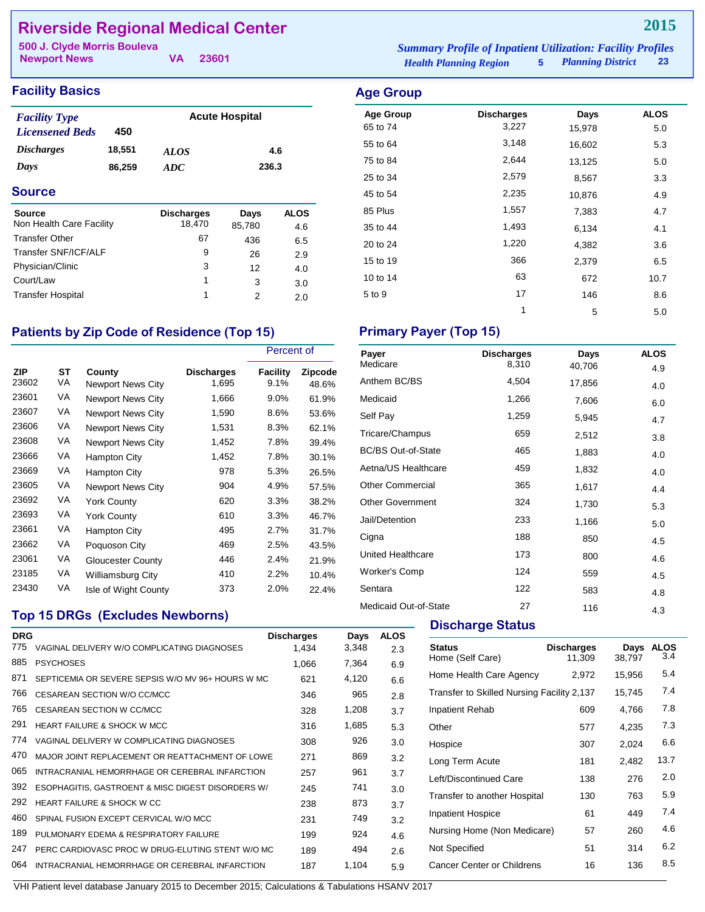# **Riverside Regional Medical Center**

| 500 J. Clyde Morris Bouleva |  | <b>Summary Profile of Inpatient Utilization: Facility Profiles</b> |                               |                     |    |
|-----------------------------|--|--------------------------------------------------------------------|-------------------------------|---------------------|----|
| <b>Newport News</b>         |  | VA 23601                                                           | <b>Health Planning Region</b> | 5 Planning District | 23 |

## **Facility Basics Age Group**

| <b>Facility Type</b>     |        |             | <b>Acute Hospital</b> |
|--------------------------|--------|-------------|-----------------------|
| <b>Licensened Beds</b>   | 450    |             |                       |
| <i><b>Discharges</b></i> | 18,551 | <i>ALOS</i> | 4.6                   |
| Days                     | 86.259 | ADC.        | 236.3                 |

### **Source**

| <b>Source</b>            | <b>Discharges</b> | Days   | <b>ALOS</b> |
|--------------------------|-------------------|--------|-------------|
| Non Health Care Facility | 18,470            | 85,780 | 4.6         |
| <b>Transfer Other</b>    | 67                | 436    | 6.5         |
| Transfer SNF/ICF/ALF     | 9                 | 26     | 2.9         |
| Physician/Clinic         | 3                 | 12     | 4.0         |
| Court/Law                | 1                 | 3      | 3.0         |
| <b>Transfer Hospital</b> | 1                 | っ      | 2.0         |

# Patients by Zip Code of Residence (Top 15) **Primary Payer (Top 15)**

|              |          |                             |                            | Percent of              |                         |
|--------------|----------|-----------------------------|----------------------------|-------------------------|-------------------------|
| ZIP<br>23602 | ST<br>VA | County<br>Newport News City | <b>Discharges</b><br>1,695 | <b>Facility</b><br>9.1% | <b>Zipcode</b><br>48.6% |
| 23601        | VA       | <b>Newport News City</b>    | 1,666                      | $9.0\%$                 | 61.9%                   |
| 23607        | VA       | <b>Newport News City</b>    | 1,590                      | 8.6%                    | 53.6%                   |
| 23606        | VA       | <b>Newport News City</b>    | 1,531                      | 8.3%                    | 62.1%                   |
| 23608        | VA       | <b>Newport News City</b>    | 1,452                      | 7.8%                    | 39.4%                   |
| 23666        | VA       | Hampton City                | 1,452                      | 7.8%                    | 30.1%                   |
| 23669        | VA       | Hampton City                | 978                        | 5.3%                    | 26.5%                   |
| 23605        | VA       | <b>Newport News City</b>    | 904                        | 4.9%                    | 57.5%                   |
| 23692        | VA       | <b>York County</b>          | 620                        | 3.3%                    | 38.2%                   |
| 23693        | VA       | York County                 | 610                        | 3.3%                    | 46.7%                   |
| 23661        | VA       | Hampton City                | 495                        | 2.7%                    | 31.7%                   |
| 23662        | VA       | Poquoson City               | 469                        | 2.5%                    | 43.5%                   |
| 23061        | VA       | <b>Gloucester County</b>    | 446                        | 2.4%                    | 21.9%                   |
| 23185        | VA       | Williamsburg City           | 410                        | 2.2%                    | 10.4%                   |
| 23430        | VA       | Isle of Wight County        | 373                        | 2.0%                    | 22.4%                   |

# **Top 15 DRGs (Excludes Newborns)**

| <b>DRG</b><br>775 | VAGINAL DELIVERY W/O COMPLICATING DIAGNOSES       | <b>Discharges</b><br>1,434 | Days<br>3,348 | <b>ALOS</b> |
|-------------------|---------------------------------------------------|----------------------------|---------------|-------------|
| 885               | <b>PSYCHOSES</b>                                  | 1,066                      | 7,364         | 2.3<br>6.9  |
| 871               | SEPTICEMIA OR SEVERE SEPSIS W/O MV 96+ HOURS W MC | 621                        | 4,120         | 6.6         |
| 766               | CESAREAN SECTION W/O CC/MCC                       | 346                        | 965           | 2.8         |
| 765               | CESAREAN SECTION W CC/MCC                         | 328                        | 1,208         | 3.7         |
| 291               | <b>HEART FAILURE &amp; SHOCK W MCC</b>            | 316                        | 1,685         | 5.3         |
| 774               | VAGINAL DELIVERY W COMPLICATING DIAGNOSES         | 308                        | 926           | 3.0         |
| 470               | MAJOR JOINT REPLACEMENT OR REATTACHMENT OF LOWE   | 271                        | 869           | 3.2         |
| 065               | INTRACRANIAL HEMORRHAGE OR CEREBRAL INFARCTION    | 257                        | 961           | 3.7         |
| 392               | ESOPHAGITIS, GASTROENT & MISC DIGEST DISORDERS W/ | 245                        | 741           | 3.0         |
| 292               | HEART FAILURE & SHOCK W CC                        | 238                        | 873           | 3.7         |
| 460               | SPINAL FUSION EXCEPT CERVICAL W/O MCC             | 231                        | 749           | 3.2         |
| 189               | PULMONARY EDEMA & RESPIRATORY FAILURE             | 199                        | 924           | 4.6         |
| 247               | PERC CARDIOVASC PROC W DRUG-ELUTING STENT W/O MC  | 189                        | 494           | 2.6         |
| 064               | INTRACRANIAL HEMORRHAGE OR CEREBRAL INFARCTION    | 187                        | 1.104         | 5.9         |
|                   |                                                   |                            |               |             |

| Age Group        |                   |        |             |
|------------------|-------------------|--------|-------------|
| <b>Age Group</b> | <b>Discharges</b> | Days   | <b>ALOS</b> |
| 65 to 74         | 3,227             | 15,978 | 5.0         |
| 55 to 64         | 3,148             | 16,602 | 5.3         |
| 75 to 84         | 2,644             | 13,125 | 5.0         |
| 25 to 34         | 2,579             | 8,567  | 3.3         |
| 45 to 54         | 2,235             | 10,876 | 4.9         |
| 85 Plus          | 1,557             | 7,383  | 4.7         |
| 35 to 44         | 1,493             | 6,134  | 4.1         |
| 20 to 24         | 1,220             | 4,382  | 3.6         |
| 15 to 19         | 366               | 2,379  | 6.5         |
| 10 to 14         | 63                | 672    | 10.7        |
| 5 to 9           | 17                | 146    | 8.6         |
|                  | 1                 | 5      | 5.0         |

| Payer                     | <b>Discharges</b> | Days   | <b>ALOS</b> |
|---------------------------|-------------------|--------|-------------|
| Medicare                  | 8,310             | 40,706 | 4.9         |
| Anthem BC/BS              | 4,504             | 17,856 | 4.0         |
| Medicaid                  | 1,266             | 7,606  | 6.0         |
| Self Pay                  | 1,259             | 5,945  | 4.7         |
| Tricare/Champus           | 659               | 2,512  | 3.8         |
| <b>BC/BS Out-of-State</b> | 465               | 1,883  | 4.0         |
| Aetna/US Healthcare       | 459               | 1,832  | 4.0         |
| <b>Other Commercial</b>   | 365               | 1,617  | 4.4         |
| <b>Other Government</b>   | 324               | 1,730  | 5.3         |
| Jail/Detention            | 233               | 1,166  | 5.0         |
| Cigna                     | 188               | 850    | 4.5         |
| United Healthcare         | 173               | 800    | 4.6         |
| <b>Worker's Comp</b>      | 124               | 559    | 4.5         |
| Sentara                   | 122               | 583    | 4.8         |
| Medicaid Out-of-State     | 27                | 116    | 4.3         |

### **Discharge Status**

| <b>Status</b><br>Home (Self Care)          | <b>Discharges</b><br>11,309 | Days<br>38,797 | <b>ALOS</b><br>3.4 |
|--------------------------------------------|-----------------------------|----------------|--------------------|
| Home Health Care Agency                    | 2,972                       | 15,956         | 5.4                |
| Transfer to Skilled Nursing Facility 2,137 |                             | 15.745         | 7.4                |
| Inpatient Rehab                            | 609                         | 4.766          | 7.8                |
| Other                                      | 577                         | 4,235          | 7.3                |
| Hospice                                    | 307                         | 2,024          | 6.6                |
| Long Term Acute                            | 181                         | 2,482          | 13.7               |
| Left/Discontinued Care                     | 138                         | 276            | 2.0                |
| Transfer to another Hospital               | 130                         | 763            | 5.9                |
| <b>Inpatient Hospice</b>                   | 61                          | 449            | 7.4                |
| Nursing Home (Non Medicare)                | 57                          | 260            | 4.6                |
| Not Specified                              | 51                          | 314            | 6.2                |
| Cancer Center or Childrens                 | 16                          | 136            | 8.5                |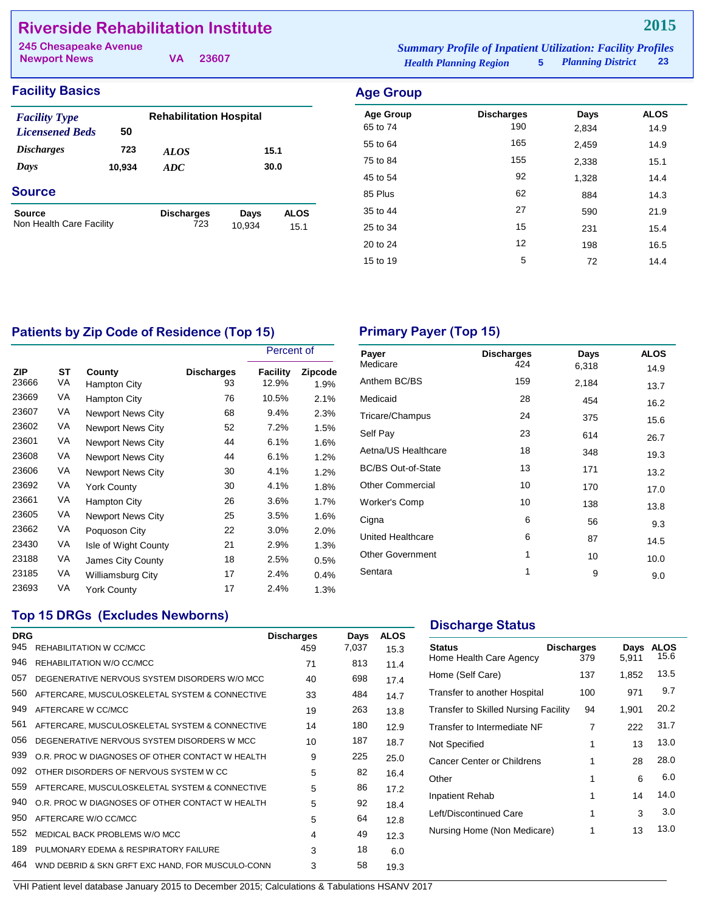# **Riverside Rehabilitation Institute**

| 245 Chesapeake Avenue |          | <b>Summary Profile of Inpatient Utilization: Facility Profiles</b> |                            |    |
|-----------------------|----------|--------------------------------------------------------------------|----------------------------|----|
| <b>Newport News</b>   | VA 23607 | <b>Health Planning Region</b>                                      | <b>5</b> Planning District | 23 |

## **Facility Basics Age Group**

| <b>Facility Type</b>                      |        | <b>Rehabilitation Hospital</b> |                |                     |
|-------------------------------------------|--------|--------------------------------|----------------|---------------------|
| <b>Licensened Beds</b>                    | 50     |                                |                |                     |
| <i><b>Discharges</b></i>                  | 723    | <i>ALOS</i>                    | 15.1           |                     |
| Days                                      | 10,934 | ADC                            | 30.0           |                     |
| <b>Source</b>                             |        |                                |                |                     |
| <b>Source</b><br>Non Health Care Facility |        | <b>Discharges</b><br>723       | Days<br>10,934 | <b>ALOS</b><br>15.1 |
|                                           |        |                                |                |                     |

| nyu ulup         |                   |       |             |
|------------------|-------------------|-------|-------------|
| <b>Age Group</b> | <b>Discharges</b> | Days  | <b>ALOS</b> |
| 65 to 74         | 190               | 2,834 | 14.9        |
| 55 to 64         | 165               | 2,459 | 14.9        |
| 75 to 84         | 155               | 2,338 | 15.1        |
| 45 to 54         | 92                | 1,328 | 14.4        |
| 85 Plus          | 62                | 884   | 14.3        |
| 35 to 44         | 27                | 590   | 21.9        |
| 25 to 34         | 15                | 231   | 15.4        |
| 20 to 24         | 12                | 198   | 16.5        |
| 15 to 19         | 5                 | 72    | 14.4        |
|                  |                   |       |             |

# Patients by Zip Code of Residence (Top 15) **Primary Payer (Top 15)**

|                     |          |                          |                         | Percent of        |                 |
|---------------------|----------|--------------------------|-------------------------|-------------------|-----------------|
| <b>ZIP</b><br>23666 | ST<br>VA | County<br>Hampton City   | <b>Discharges</b><br>93 | Facility<br>12.9% | Zipcode<br>1.9% |
| 23669               | VA       | Hampton City             | 76                      | 10.5%             | 2.1%            |
| 23607               | VA       | <b>Newport News City</b> | 68                      | 9.4%              | 2.3%            |
| 23602               | VA       | <b>Newport News City</b> | 52                      | 7.2%              | 1.5%            |
| 23601               | VA       | <b>Newport News City</b> | 44                      | 6.1%              | 1.6%            |
| 23608               | VA       | Newport News City        | 44                      | 6.1%              | 1.2%            |
| 23606               | VA       | <b>Newport News City</b> | 30                      | 4.1%              | 1.2%            |
| 23692               | VA       | <b>York County</b>       | 30                      | 4.1%              | 1.8%            |
| 23661               | VA       | Hampton City             | 26                      | 3.6%              | 1.7%            |
| 23605               | VA       | <b>Newport News City</b> | 25                      | 3.5%              | 1.6%            |
| 23662               | VA       | Poquoson City            | 22                      | 3.0%              | 2.0%            |
| 23430               | VA       | Isle of Wight County     | 21                      | 2.9%              | 1.3%            |
| 23188               | VA       | James City County        | 18                      | 2.5%              | 0.5%            |
| 23185               | VA       | <b>Williamsburg City</b> | 17                      | 2.4%              | 0.4%            |
| 23693               | VA       | York County              | 17                      | 2.4%              | 1.3%            |

| Payer                     | <b>Discharges</b> | Days  | <b>ALOS</b> |
|---------------------------|-------------------|-------|-------------|
| Medicare                  | 424               | 6,318 | 14.9        |
| Anthem BC/BS              | 159               | 2,184 | 13.7        |
| Medicaid                  | 28                | 454   | 16.2        |
| Tricare/Champus           | 24                | 375   | 15.6        |
| Self Pay                  | 23                | 614   | 26.7        |
| Aetna/US Healthcare       | 18                | 348   | 19.3        |
| <b>BC/BS Out-of-State</b> | 13                | 171   | 13.2        |
| <b>Other Commercial</b>   | 10                | 170   | 17.0        |
| <b>Worker's Comp</b>      | 10                | 138   | 13.8        |
| Cigna                     | 6                 | 56    | 9.3         |
| United Healthcare         | 6                 | 87    | 14.5        |
| <b>Other Government</b>   | 1                 | 10    | 10.0        |
| Sentara                   | 1                 | 9     | 9.0         |
|                           |                   |       |             |

## **Top 15 DRGs (Excludes Newborns)**

| <b>DRG</b><br>945 | REHABILITATION W CC/MCC                          | <b>Discharges</b><br>459 | Days<br>7,037 | <b>ALOS</b><br>15.3 |
|-------------------|--------------------------------------------------|--------------------------|---------------|---------------------|
| 946               | REHABILITATION W/O CC/MCC                        | 71                       | 813           | 11.4                |
| 057               | DEGENERATIVE NERVOUS SYSTEM DISORDERS W/O MCC    | 40                       | 698           | 17.4                |
| 560               | AFTERCARE, MUSCULOSKELETAL SYSTEM & CONNECTIVE   | 33                       | 484           | 14.7                |
| 949               | AFTERCARE W CC/MCC                               | 19                       | 263           | 13.8                |
| 561               | AFTERCARE, MUSCULOSKELETAL SYSTEM & CONNECTIVE   | 14                       | 180           | 12.9                |
| 056               | DEGENERATIVE NERVOUS SYSTEM DISORDERS W MCC      | 10                       | 187           | 18.7                |
| 939               | O.R. PROC W DIAGNOSES OF OTHER CONTACT W HEALTH  | 9                        | 225           | 25.0                |
| 092               | OTHER DISORDERS OF NERVOUS SYSTEM W CC.          | 5                        | 82            | 16.4                |
| 559               | AFTERCARE, MUSCULOSKELETAL SYSTEM & CONNECTIVE   | 5                        | 86            | 17.2                |
| 940               | O.R. PROC W DIAGNOSES OF OTHER CONTACT W HEALTH  | 5                        | 92            | 18.4                |
| 950               | AFTERCARE W/O CC/MCC                             | 5                        | 64            | 12.8                |
| 552               | MEDICAL BACK PROBLEMS W/O MCC                    | 4                        | 49            | 12.3                |
| 189               | PULMONARY EDEMA & RESPIRATORY FAILURE            | 3                        | 18            | 6.0                 |
| 464               | WND DEBRID & SKN GRFT EXC HAND. FOR MUSCULO-CONN | 3                        | 58            | 19.3                |

## **Discharge Status**

| <b>Status</b><br>Home Health Care Agency | <b>Discharges</b><br>379 | Days<br>5.911 | ALOS<br>15.6 |
|------------------------------------------|--------------------------|---------------|--------------|
| Home (Self Care)                         | 137                      | 1,852         | 13.5         |
| Transfer to another Hospital             | 100                      | 971           | 9.7          |
| Transfer to Skilled Nursing Facility     | 94                       | 1,901         | 20.2         |
| Transfer to Intermediate NF              | 7                        | 222           | 31.7         |
| Not Specified                            | 1                        | 13            | 13.0         |
| <b>Cancer Center or Childrens</b>        | 1                        | 28            | 28.0         |
| Other                                    | 1                        | 6             | 6.0          |
| Inpatient Rehab                          | 1                        | 14            | 14.0         |
| Left/Discontinued Care                   | 1                        | 3             | 3.0          |
| Nursing Home (Non Medicare)              | 1                        | 13            | 13.0         |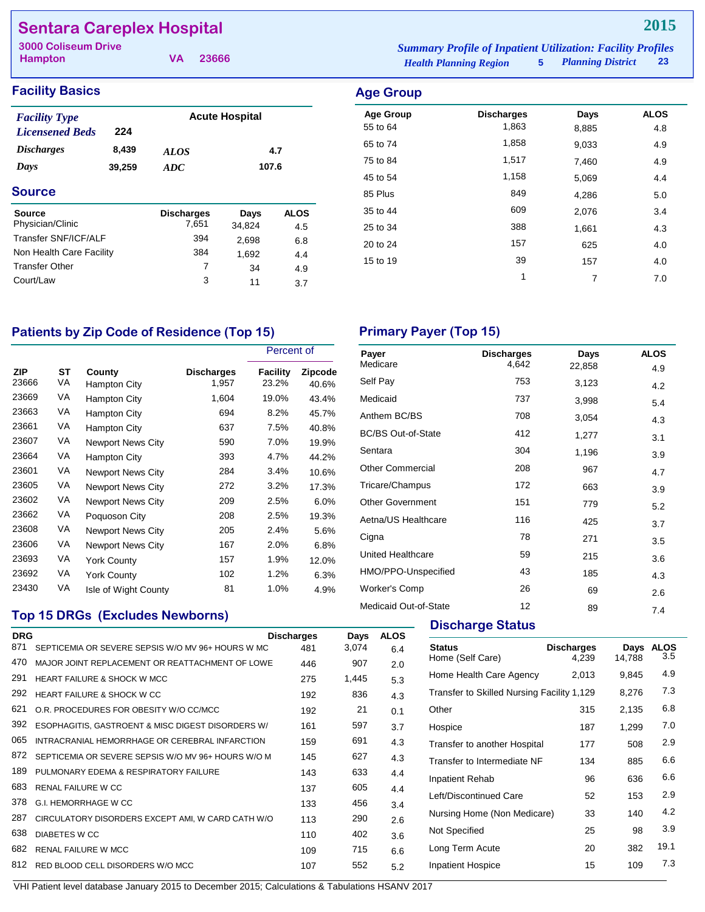# **Sentara Careplex Hospital**

**Hampton 3000 Coliseum Drive Summary Profile of Inpatient UK and Inpatient UK and Input<br>Facility Profile of Inpatient Profiles<br>Facility Profiless Profiless Profiless Profiless Profiless Profiless Profiless Profiless Profiless Pr** 

**VA 23666**

| <b>Iummary Profile of Inpatient Utilization: Facility Profiles</b> |                          |           |
|--------------------------------------------------------------------|--------------------------|-----------|
| <b>Health Planning Region</b>                                      | <b>Planning District</b> | <b>23</b> |

# **Facility Basics Age Group**

| <b>Facility Type</b><br><b>Licensened Beds</b> | 224   |                            | <b>Acute Hospital</b> |                    |
|------------------------------------------------|-------|----------------------------|-----------------------|--------------------|
| <i><b>Discharges</b></i>                       | 8,439 | <b>ALOS</b>                |                       | 4.7                |
| Days<br>39,259                                 |       | ADC                        | 107.6                 |                    |
| <b>Source</b>                                  |       |                            |                       |                    |
| <b>Source</b><br>Physician/Clinic              |       | <b>Discharges</b><br>7,651 | Days<br>34,824        | <b>ALOS</b><br>4.5 |
| Transfer SNF/ICF/ALF                           |       | 394                        | 2,698                 | 6.8                |
| Non Health Care Facility                       |       | 384                        | 1,692                 | 4.4                |
| <b>Transfer Other</b>                          |       | 7                          | 34                    | 4.9                |
| Court/Law                                      |       | 3                          | 11                    | 3.7                |

| Age Group        |                   |       |             |
|------------------|-------------------|-------|-------------|
| <b>Age Group</b> | <b>Discharges</b> | Days  | <b>ALOS</b> |
| 55 to 64         | 1,863             | 8,885 | 4.8         |
| 65 to 74         | 1,858             | 9,033 | 4.9         |
| 75 to 84         | 1,517             | 7,460 | 4.9         |
| 45 to 54         | 1,158             | 5,069 | 4.4         |
| 85 Plus          | 849               | 4,286 | 5.0         |
| 35 to 44         | 609               | 2,076 | 3.4         |
| 25 to 34         | 388               | 1,661 | 4.3         |
| 20 to 24         | 157               | 625   | 4.0         |
| 15 to 19         | 39                | 157   | 4.0         |
|                  | 1                 | 7     | 7.0         |
|                  |                   |       |             |

# Patients by Zip Code of Residence (Top 15) **Primary Payer (Top 15)**

|                     |          |                          |                            | Percent of               |                         |
|---------------------|----------|--------------------------|----------------------------|--------------------------|-------------------------|
| <b>ZIP</b><br>23666 | ST<br>VA | County<br>Hampton City   | <b>Discharges</b><br>1,957 | <b>Facility</b><br>23.2% | <b>Zipcode</b><br>40.6% |
| 23669               | VA       | Hampton City             | 1,604                      | 19.0%                    | 43.4%                   |
| 23663               | VA       | Hampton City             | 694                        | 8.2%                     | 45.7%                   |
| 23661               | VA       | Hampton City             | 637                        | 7.5%                     | 40.8%                   |
| 23607               | VA       | <b>Newport News City</b> | 590                        | 7.0%                     | 19.9%                   |
| 23664               | VA       | Hampton City             | 393                        | 4.7%                     | 44.2%                   |
| 23601               | VA       | <b>Newport News City</b> | 284                        | 3.4%                     | 10.6%                   |
| 23605               | VA       | <b>Newport News City</b> | 272                        | 3.2%                     | 17.3%                   |
| 23602               | VA       | <b>Newport News City</b> | 209                        | 2.5%                     | 6.0%                    |
| 23662               | VA       | Poquoson City            | 208                        | 2.5%                     | 19.3%                   |
| 23608               | VA       | <b>Newport News City</b> | 205                        | 2.4%                     | 5.6%                    |
| 23606               | VA       | <b>Newport News City</b> | 167                        | 2.0%                     | 6.8%                    |
| 23693               | VA       | <b>York County</b>       | 157                        | 1.9%                     | 12.0%                   |
| 23692               | VA       | York County              | 102                        | 1.2%                     | 6.3%                    |
| 23430               | VA       | Isle of Wight County     | 81                         | 1.0%                     | 4.9%                    |

## **Top 15 DRGs (Excludes Newborns)**

| <b>DRG</b> |                                                    | <b>Discharges</b> | Days  | <b>ALOS</b> |
|------------|----------------------------------------------------|-------------------|-------|-------------|
| 871        | SEPTICEMIA OR SEVERE SEPSIS W/O MV 96+ HOURS W MC  | 481               | 3,074 | 6.4         |
| 470        | MAJOR JOINT REPLACEMENT OR REATTACHMENT OF LOWE    | 446               | 907   | 2.0         |
| 291        | <b>HEART FAILURE &amp; SHOCK W MCC</b>             | 275               | 1,445 | 5.3         |
| 292        | HEART FAILURE & SHOCK W CC                         | 192               | 836   | 4.3         |
| 621        | O.R. PROCEDURES FOR OBESITY W/O CC/MCC             | 192               | 21    | 0.1         |
| 392        | ESOPHAGITIS, GASTROENT & MISC DIGEST DISORDERS W/  | 161               | 597   | 3.7         |
| 065        | INTRACRANIAL HEMORRHAGE OR CEREBRAL INFARCTION     | 159               | 691   | 4.3         |
| 872        | SEPTICEMIA OR SEVERE SEPSIS W/O MV 96+ HOURS W/O M | 145               | 627   | 4.3         |
| 189        | PULMONARY EDEMA & RESPIRATORY FAILURE              | 143               | 633   | 4.4         |
| 683        | <b>RENAL FAILURE W CC</b>                          | 137               | 605   | 4.4         |
| 378        | G.I. HEMORRHAGE W CC                               | 133               | 456   | 3.4         |
| 287        | CIRCULATORY DISORDERS EXCEPT AMI, W CARD CATH W/O  | 113               | 290   | 2.6         |
| 638        | <b>DIABETES W CC</b>                               | 110               | 402   | 3.6         |
| 682        | <b>RENAL FAILURE W MCC</b>                         | 109               | 715   | 6.6         |
| 812        | RED BLOOD CELL DISORDERS W/O MCC                   | 107               | 552   | 5.2         |

| Payer                     | <b>Discharges</b> | Days   | <b>ALOS</b> |
|---------------------------|-------------------|--------|-------------|
| Medicare                  | 4,642             | 22,858 | 4.9         |
| Self Pay                  | 753               | 3,123  | 4.2         |
| Medicaid                  | 737               | 3,998  | 5.4         |
| Anthem BC/BS              | 708               | 3,054  | 4.3         |
| <b>BC/BS Out-of-State</b> | 412               | 1,277  | 3.1         |
| Sentara                   | 304               | 1,196  | 3.9         |
| <b>Other Commercial</b>   | 208               | 967    | 4.7         |
| Tricare/Champus           | 172               | 663    | 3.9         |
| <b>Other Government</b>   | 151               | 779    | 5.2         |
| Aetna/US Healthcare       | 116               | 425    | 3.7         |
| Cigna                     | 78                | 271    | 3.5         |
| United Healthcare         | 59                | 215    | 3.6         |
| HMO/PPO-Unspecified       | 43                | 185    | 4.3         |
| <b>Worker's Comp</b>      | 26                | 69     | 2.6         |
| Medicaid Out-of-State     | 12                | 89     | 7.4         |

# **Discharge Status**

| <b>Status</b><br>Home (Self Care)          | <b>Discharges</b><br>4,239 | Days<br>14,788 | <b>ALOS</b><br>3.5 |
|--------------------------------------------|----------------------------|----------------|--------------------|
| Home Health Care Agency                    | 2,013                      | 9.845          | 4.9                |
| Transfer to Skilled Nursing Facility 1,129 |                            | 8,276          | 7.3                |
| Other                                      | 315                        | 2,135          | 6.8                |
| Hospice                                    | 187                        | 1,299          | 7.0                |
| Transfer to another Hospital               | 177                        | 508            | 2.9                |
| Transfer to Intermediate NF                | 134                        | 885            | 6.6                |
| <b>Inpatient Rehab</b>                     | 96                         | 636            | 6.6                |
| Left/Discontinued Care                     | 52                         | 153            | 2.9                |
| Nursing Home (Non Medicare)                | 33                         | 140            | 4.2                |
| Not Specified                              | 25                         | 98             | 3.9                |
| Long Term Acute                            | 20                         | 382            | 19.1               |
| Inpatient Hospice                          | 15                         | 109            | 7.3                |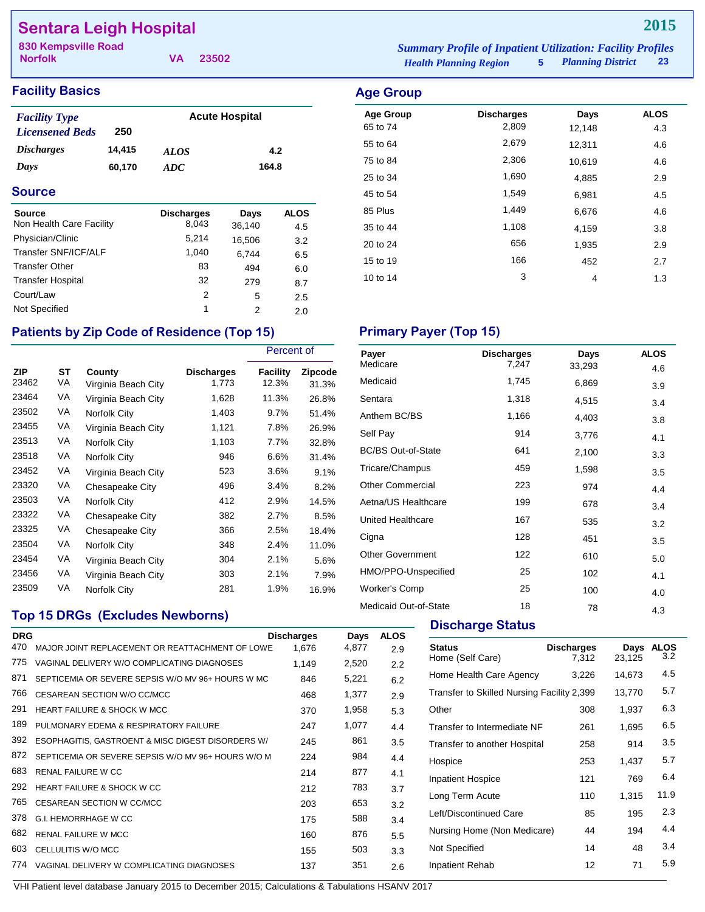# **Sentara Leigh Hospital**

| 830 Kempsville Road |          | <b>Summary Profile of Inpatient Utilization: Facility Profiles</b> |                        |  |
|---------------------|----------|--------------------------------------------------------------------|------------------------|--|
| <b>Norfolk</b>      | VA 23502 | <b>Health Planning Region</b>                                      | 5 Planning District 23 |  |

Age Group **Discharges** Days ALOS 65 to 74 2,809 12,148 4.3 55 to 64 2,679 12,311 4.6

35 to 44 1,108 4,159 3.8 20 to 24 **656** 1,935 2.9 15 to 19 166 166 167 2.7 10 to 14 1.3

**2015**

## **Facility Basics Age Group**

| <b>Facility Type</b>   |        |             | <b>Acute Hospital</b> |
|------------------------|--------|-------------|-----------------------|
| <b>Licensened Beds</b> | 250    |             |                       |
| <b>Discharges</b>      | 14,415 | <b>ALOS</b> | 4.2                   |
| Days                   | 60,170 | ADC.        | 164.8                 |

### **Source**

| <b>Source</b>            | <b>Discharges</b> | Days   | <b>ALOS</b> |
|--------------------------|-------------------|--------|-------------|
| Non Health Care Facility | 8,043             | 36,140 | 4.5         |
| Physician/Clinic         | 5,214             | 16,506 | 3.2         |
| Transfer SNF/ICF/ALF     | 1,040             | 6.744  | 6.5         |
| <b>Transfer Other</b>    | 83                | 494    | 6.0         |
| <b>Transfer Hospital</b> | 32                | 279    | 8.7         |
| Court/Law                | 2                 | 5      | 2.5         |
| Not Specified            | 1                 | 2      | 2.0         |

## 75 to 84 2,306 10,619 4.6 25 to 34 1,690 4,885 2.9 45 to 54 1,549 6,981 4.5 85 Plus 1,449 6,676 4.6

# Patients by Zip Code of Residence (Top 15) Primary Payer (Top 15)

|                     |          |                               |                            | Percent of               |                  |
|---------------------|----------|-------------------------------|----------------------------|--------------------------|------------------|
| <b>ZIP</b><br>23462 | ST<br>VA | County<br>Virginia Beach City | <b>Discharges</b><br>1,773 | <b>Facility</b><br>12.3% | Zipcode<br>31.3% |
| 23464               | VA       | Virginia Beach City           | 1,628                      | 11.3%                    | 26.8%            |
| 23502               | VA       | Norfolk City                  | 1,403                      | 9.7%                     | 51.4%            |
| 23455               | VA       | Virginia Beach City           | 1,121                      | 7.8%                     | 26.9%            |
| 23513               | VA       | Norfolk City                  | 1,103                      | 7.7%                     | 32.8%            |
| 23518               | VA       | Norfolk City                  | 946                        | 6.6%                     | 31.4%            |
| 23452               | VA       | Virginia Beach City           | 523                        | 3.6%                     | 9.1%             |
| 23320               | VA       | Chesapeake City               | 496                        | 3.4%                     | 8.2%             |
| 23503               | VA       | Norfolk City                  | 412                        | 2.9%                     | 14.5%            |
| 23322               | VA       | Chesapeake City               | 382                        | 2.7%                     | 8.5%             |
| 23325               | VA       | Chesapeake City               | 366                        | 2.5%                     | 18.4%            |
| 23504               | VA       | Norfolk City                  | 348                        | 2.4%                     | 11.0%            |
| 23454               | VA       | Virginia Beach City           | 304                        | 2.1%                     | 5.6%             |
| 23456               | VA       | Virginia Beach City           | 303                        | 2.1%                     | 7.9%             |
| 23509               | VA       | Norfolk City                  | 281                        | 1.9%                     | 16.9%            |

| Payer                     | <b>Discharges</b> | Days   | <b>ALOS</b> |
|---------------------------|-------------------|--------|-------------|
| Medicare                  | 7,247             | 33,293 | 4.6         |
| Medicaid                  | 1,745             | 6,869  | 3.9         |
| Sentara                   | 1,318             | 4,515  | 3.4         |
| Anthem BC/BS              | 1,166             | 4,403  | 3.8         |
| Self Pay                  | 914               | 3,776  | 4.1         |
| <b>BC/BS Out-of-State</b> | 641               | 2,100  | 3.3         |
| Tricare/Champus           | 459               | 1,598  | 3.5         |
| <b>Other Commercial</b>   | 223               | 974    | 4.4         |
| Aetna/US Healthcare       | 199               | 678    | 3.4         |
| <b>United Healthcare</b>  | 167               | 535    | 3.2         |
| Cigna                     | 128               | 451    | 3.5         |
| <b>Other Government</b>   | 122               | 610    | 5.0         |
| HMO/PPO-Unspecified       | 25                | 102    | 4.1         |
| <b>Worker's Comp</b>      | 25                | 100    | 4.0         |
| Medicaid Out-of-State     | 18                | 78     | 4.3         |

## **Top 15 DRGs (Excludes Newborns)**

| <b>DRG</b> |                                                    | <b>Discharges</b> | Days  | <b>ALOS</b> |
|------------|----------------------------------------------------|-------------------|-------|-------------|
| 470        | MAJOR JOINT REPLACEMENT OR REATTACHMENT OF LOWE    | 1.676             | 4,877 | 2.9         |
| 775        | VAGINAL DELIVERY W/O COMPLICATING DIAGNOSES        | 1,149             | 2,520 | 2.2         |
| 871        | SEPTICEMIA OR SEVERE SEPSIS W/O MV 96+ HOURS W MC  | 846               | 5,221 | 6.2         |
| 766        | CESAREAN SECTION W/O CC/MCC                        | 468               | 1,377 | 2.9         |
| 291        | <b>HEART FAILURE &amp; SHOCK W MCC</b>             | 370               | 1,958 | 5.3         |
| 189        | PULMONARY EDEMA & RESPIRATORY FAILURE              | 247               | 1,077 | 4.4         |
| 392        | ESOPHAGITIS, GASTROENT & MISC DIGEST DISORDERS W/  | 245               | 861   | 3.5         |
| 872        | SEPTICEMIA OR SEVERE SEPSIS W/O MV 96+ HOURS W/O M | 224               | 984   | 4.4         |
| 683        | <b>RENAL FAILURE W CC</b>                          | 214               | 877   | 4.1         |
| 292        | <b>HEART FAILURE &amp; SHOCK W CC</b>              | 212               | 783   | 3.7         |
| 765        | CESAREAN SECTION W CC/MCC                          | 203               | 653   | 3.2         |
| 378        | <b>G.I. HEMORRHAGE W CC</b>                        | 175               | 588   | 3.4         |
| 682        | <b>RENAL FAILURE W MCC</b>                         | 160               | 876   | 5.5         |
| 603        | CELLULITIS W/O MCC                                 | 155               | 503   | 3.3         |
| 774        | VAGINAL DELIVERY W COMPLICATING DIAGNOSES          | 137               | 351   | 2.6         |

### **Discharge Status**

| <b>Status</b><br>Home (Self Care)          | <b>Discharges</b><br>7,312 | Days<br>23,125 | <b>ALOS</b><br>3.2 |
|--------------------------------------------|----------------------------|----------------|--------------------|
| Home Health Care Agency                    | 3,226                      | 14,673         | 4.5                |
| Transfer to Skilled Nursing Facility 2,399 |                            | 13,770         | 5.7                |
| Other                                      | 308                        | 1,937          | 6.3                |
| Transfer to Intermediate NF                | 261                        | 1,695          | 6.5                |
| Transfer to another Hospital               | 258                        | 914            | 3.5                |
| Hospice                                    | 253                        | 1,437          | 5.7                |
| Inpatient Hospice                          | 121                        | 769            | 6.4                |
| Long Term Acute                            | 110                        | 1,315          | 11.9               |
| Left/Discontinued Care                     | 85                         | 195            | 2.3                |
| Nursing Home (Non Medicare)                | 44                         | 194            | 4.4                |
| Not Specified                              | 14                         | 48             | 3.4                |
| Inpatient Rehab                            | 12                         | 71             | 5.9                |
|                                            |                            |                |                    |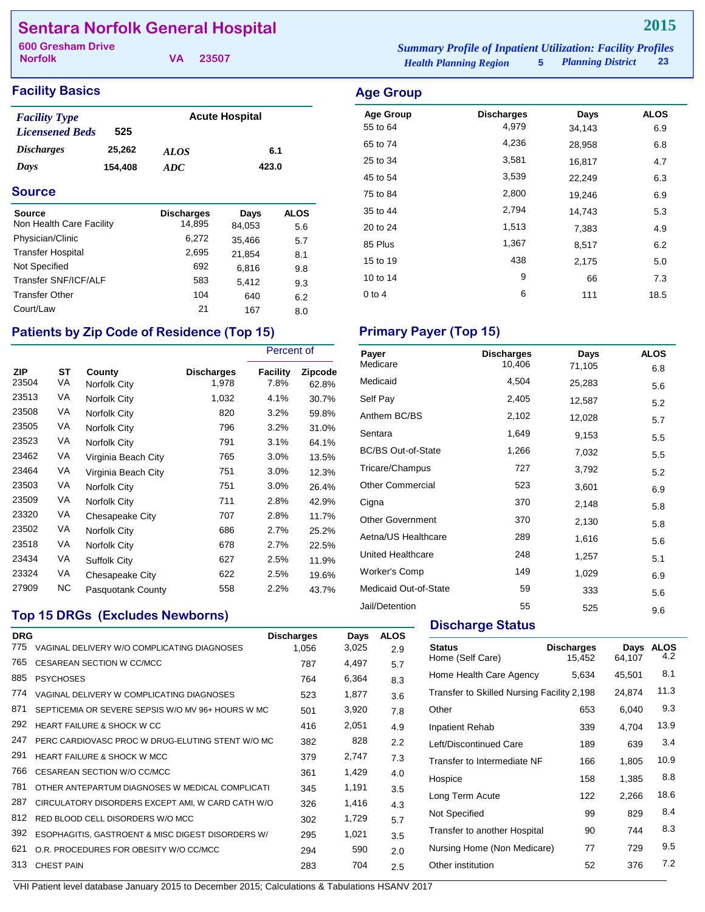# **Sentara Norfolk General Hospital**

**Norfolk**

**VA 23507**

# **Facility Basics Age Group Age Group**

| <b>Facility Type</b>     |         | <b>Acute Hospital</b> |       |
|--------------------------|---------|-----------------------|-------|
| <b>Licensened Beds</b>   | 525     |                       |       |
| <i><b>Discharges</b></i> | 25.262  | <i>ALOS</i>           | 6.1   |
| Days                     | 154.408 | ADC.                  | 423.0 |

### **Source**

| Source                   | <b>Discharges</b> | Days   | <b>ALOS</b> |
|--------------------------|-------------------|--------|-------------|
| Non Health Care Facility | 14,895            | 84,053 | 5.6         |
| Physician/Clinic         | 6,272             | 35,466 | 5.7         |
| <b>Transfer Hospital</b> | 2,695             | 21.854 | 8.1         |
| Not Specified            | 692               | 6,816  | 9.8         |
| Transfer SNF/ICF/ALF     | 583               | 5.412  | 9.3         |
| <b>Transfer Other</b>    | 104               | 640    | 6.2         |
| Court/Law                | 21                | 167    | 8.0         |

# Patients by Zip Code of Residence (Top 15) Primary Payer (Top 15)

|                     |                 |                        |                            | Percent of       |                  |
|---------------------|-----------------|------------------------|----------------------------|------------------|------------------|
| <b>ZIP</b><br>23504 | <b>ST</b><br>VA | County<br>Norfolk City | <b>Discharges</b><br>1,978 | Facility<br>7.8% | Zipcode<br>62.8% |
| 23513               | VA              | Norfolk City           | 1,032                      | 4.1%             | 30.7%            |
| 23508               | VA              | Norfolk City           | 820                        | 3.2%             | 59.8%            |
| 23505               | VA              | Norfolk City           | 796                        | 3.2%             | 31.0%            |
| 23523               | VA              | Norfolk City           | 791                        | 3.1%             | 64.1%            |
| 23462               | VA              | Virginia Beach City    | 765                        | 3.0%             | 13.5%            |
| 23464               | VA              | Virginia Beach City    | 751                        | 3.0%             | 12.3%            |
| 23503               | VA              | Norfolk City           | 751                        | 3.0%             | 26.4%            |
| 23509               | VA              | Norfolk City           | 711                        | 2.8%             | 42.9%            |
| 23320               | VA              | Chesapeake City        | 707                        | 2.8%             | 11.7%            |
| 23502               | VA              | Norfolk City           | 686                        | 2.7%             | 25.2%            |
| 23518               | VA              | Norfolk City           | 678                        | 2.7%             | 22.5%            |
| 23434               | VA              | <b>Suffolk City</b>    | 627                        | 2.5%             | 11.9%            |
| 23324               | VA              | Chesapeake City        | 622                        | 2.5%             | 19.6%            |
| 27909               | NC.             | Pasquotank County      | 558                        | 2.2%             | 43.7%            |

# **Top 15 DRGs (Excludes Newborns)**

| <b>DRG</b> |                                                   | <b>Discharges</b> | Days  | <b>ALOS</b> |
|------------|---------------------------------------------------|-------------------|-------|-------------|
| 775        | VAGINAL DELIVERY W/O COMPLICATING DIAGNOSES       | 1,056             | 3,025 | 2.9         |
| 765        | <b>CESAREAN SECTION W CC/MCC</b>                  | 787               | 4,497 | 5.7         |
| 885        | <b>PSYCHOSES</b>                                  | 764               | 6,364 | 8.3         |
| 774        | VAGINAL DELIVERY W COMPLICATING DIAGNOSES         | 523               | 1,877 | 3.6         |
| 871        | SEPTICEMIA OR SEVERE SEPSIS W/O MV 96+ HOURS W MC | 501               | 3,920 | 7.8         |
| 292        | HEART FAILURE & SHOCK W CC                        | 416               | 2,051 | 4.9         |
| 247        | PERC CARDIOVASC PROC W DRUG-ELUTING STENT W/O MC  | 382               | 828   | 2.2         |
| 291        | <b>HEART FAILURE &amp; SHOCK W MCC</b>            | 379               | 2,747 | 7.3         |
| 766        | CESAREAN SECTION W/O CC/MCC                       | 361               | 1,429 | 4.0         |
| 781        | OTHER ANTEPARTUM DIAGNOSES W MEDICAL COMPLICATI   | 345               | 1,191 | 3.5         |
| 287        | CIRCULATORY DISORDERS EXCEPT AMI, W CARD CATH W/O | 326               | 1,416 | 4.3         |
| 812        | RED BLOOD CELL DISORDERS W/O MCC                  | 302               | 1,729 | 5.7         |
| 392        | ESOPHAGITIS, GASTROENT & MISC DIGEST DISORDERS W/ | 295               | 1,021 | 3.5         |
| 621        | O.R. PROCEDURES FOR OBESITY W/O CC/MCC            | 294               | 590   | 2.0         |
| 313        | <b>CHEST PAIN</b>                                 | 283               | 704   | 2.5         |
|            |                                                   |                   |       |             |

*Health Planning Region* **5** *Planning District* **23 600 Gresham Drive** *Summary Profile of Inpatient Utilization: Facility Profiles*

| <b>Age Group</b> |                   |        |             |  |
|------------------|-------------------|--------|-------------|--|
| <b>Age Group</b> | <b>Discharges</b> | Days   | <b>ALOS</b> |  |
| 55 to 64         | 4,979             | 34,143 | 6.9         |  |
| 65 to 74         | 4,236             | 28,958 | 6.8         |  |
| 25 to 34         | 3,581             | 16,817 | 4.7         |  |
| 45 to 54         | 3,539             | 22,249 | 6.3         |  |
| 75 to 84         | 2,800             | 19,246 | 6.9         |  |
| 35 to 44         | 2,794             | 14,743 | 5.3         |  |
| 20 to 24         | 1,513             | 7,383  | 4.9         |  |
| 85 Plus          | 1,367             | 8,517  | 6.2         |  |
| 15 to 19         | 438               | 2,175  | 5.0         |  |
| 10 to 14         | 9                 | 66     | 7.3         |  |
| $0$ to 4         | 6                 | 111    | 18.5        |  |
|                  |                   |        |             |  |

| Payer                     | <b>Discharges</b> | Days   | <b>ALOS</b> |
|---------------------------|-------------------|--------|-------------|
| Medicare                  | 10,406            | 71,105 | 6.8         |
| Medicaid                  | 4,504             | 25,283 | 5.6         |
| Self Pay                  | 2,405             | 12,587 | 5.2         |
| Anthem BC/BS              | 2,102             | 12,028 | 5.7         |
| Sentara                   | 1,649             | 9,153  | 5.5         |
| <b>BC/BS Out-of-State</b> | 1,266             | 7,032  | 5.5         |
| Tricare/Champus           | 727               | 3,792  | 5.2         |
| <b>Other Commercial</b>   | 523               | 3,601  | 6.9         |
| Cigna                     | 370               | 2,148  | 5.8         |
| <b>Other Government</b>   | 370               | 2,130  | 5.8         |
| Aetna/US Healthcare       | 289               | 1,616  | 5.6         |
| United Healthcare         | 248               | 1,257  | 5.1         |
| <b>Worker's Comp</b>      | 149               | 1,029  | 6.9         |
| Medicaid Out-of-State     | 59                | 333    | 5.6         |
| Jail/Detention            | 55                | 525    | 9.6         |

### **Discharge Status**

| <b>Status</b><br>Home (Self Care)          | <b>Discharges</b><br>15,452 | Days<br>64,107 | <b>ALOS</b><br>4.2 |
|--------------------------------------------|-----------------------------|----------------|--------------------|
| Home Health Care Agency                    | 5,634                       | 45,501         | 8.1                |
| Transfer to Skilled Nursing Facility 2,198 |                             | 24,874         | 11.3               |
| Other                                      | 653                         | 6,040          | 9.3                |
| Inpatient Rehab                            | 339                         | 4,704          | 13.9               |
| Left/Discontinued Care                     | 189                         | 639            | 3.4                |
| Transfer to Intermediate NF                | 166                         | 1,805          | 10.9               |
| Hospice                                    | 158                         | 1,385          | 8.8                |
| Long Term Acute                            | 122                         | 2,266          | 18.6               |
| Not Specified                              | 99                          | 829            | 8.4                |
| Transfer to another Hospital               | 90                          | 744            | 8.3                |
| Nursing Home (Non Medicare)                | 77                          | 729            | 9.5                |
| Other institution                          | 52                          | 376            | 7.2                |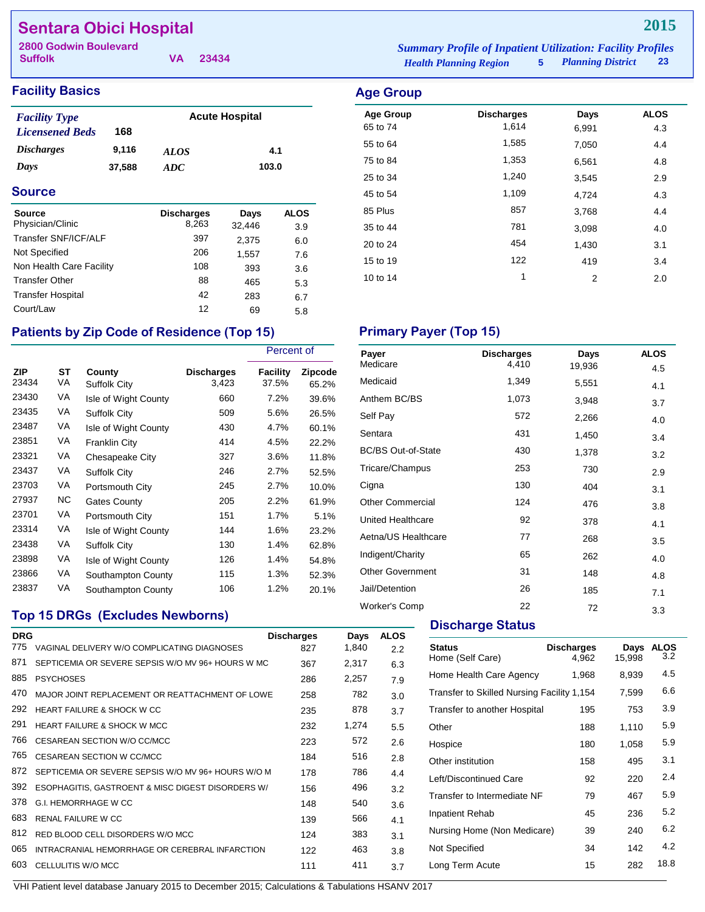# **Sentara Obici Hospital**

**Suffolk 2800 Godwin Boulevard** *Summary Profile of Inpatient Utilization: Facility Profiles*

**VA 23434**

| <b>Iummary Profile of Inpatient Utilization: Facility Profiles</b> |                          |    |
|--------------------------------------------------------------------|--------------------------|----|
| <b>Health Planning Region</b>                                      | <b>Planning District</b> | 23 |

# **Facility Basics Age Group**

| <b>Facility Type</b>     |        |             | <b>Acute Hospital</b> |
|--------------------------|--------|-------------|-----------------------|
| <b>Licensened Beds</b>   | 168    |             |                       |
| <i><b>Discharges</b></i> | 9.116  | <b>ALOS</b> | 4.1                   |
| Days                     | 37,588 | ADC.        | 103.0                 |

### **Source**

| <b>Source</b><br>Physician/Clinic | <b>Discharges</b><br>8,263 | Days<br>32,446 | <b>ALOS</b><br>3.9 |
|-----------------------------------|----------------------------|----------------|--------------------|
| Transfer SNF/ICF/ALF              | 397                        | 2,375          | 6.0                |
| Not Specified                     | 206                        | 1,557          | 7.6                |
| Non Health Care Facility          | 108                        | 393            | 3.6                |
| <b>Transfer Other</b>             | 88                         | 465            | 5.3                |
| <b>Transfer Hospital</b>          | 42                         | 283            | 6.7                |
| Court/Law                         | 12                         | 69             | 5.8                |

# Patients by Zip Code of Residence (Top 15) Primary Payer (Top 15)

|                     |          |                        |                            | Percent of        |                         |
|---------------------|----------|------------------------|----------------------------|-------------------|-------------------------|
| <b>ZIP</b><br>23434 | ST<br>VA | County<br>Suffolk City | <b>Discharges</b><br>3,423 | Facility<br>37.5% | <b>Zipcode</b><br>65.2% |
| 23430               | VA       | Isle of Wight County   | 660                        | 7.2%              | 39.6%                   |
| 23435               | VA       | Suffolk City           | 509                        | 5.6%              | 26.5%                   |
| 23487               | VA       | Isle of Wight County   | 430                        | 4.7%              | 60.1%                   |
| 23851               | VA       | <b>Franklin City</b>   | 414                        | 4.5%              | 22.2%                   |
| 23321               | VA       | Chesapeake City        | 327                        | 3.6%              | 11.8%                   |
| 23437               | VA       | Suffolk City           | 246                        | 2.7%              | 52.5%                   |
| 23703               | VA       | Portsmouth City        | 245                        | 2.7%              | 10.0%                   |
| 27937               | ΝC       | <b>Gates County</b>    | 205                        | 2.2%              | 61.9%                   |
| 23701               | VA       | Portsmouth City        | 151                        | 1.7%              | 5.1%                    |
| 23314               | VA       | Isle of Wight County   | 144                        | 1.6%              | 23.2%                   |
| 23438               | VA       | Suffolk City           | 130                        | 1.4%              | 62.8%                   |
| 23898               | VA       | Isle of Wight County   | 126                        | 1.4%              | 54.8%                   |
| 23866               | VA       | Southampton County     | 115                        | 1.3%              | 52.3%                   |
| 23837               | VA       | Southampton County     | 106                        | 1.2%              | 20.1%                   |

# **Top 15 DRGs (Excludes Newborns)**

| <b>DRG</b> |                                                    | <b>Discharges</b> | Days  | <b>ALOS</b> |
|------------|----------------------------------------------------|-------------------|-------|-------------|
| 775        | VAGINAL DELIVERY W/O COMPLICATING DIAGNOSES        | 827               | 1,840 | 2.2         |
| 871        | SEPTICEMIA OR SEVERE SEPSIS W/O MV 96+ HOURS W MC  | 367               | 2,317 | 6.3         |
| 885        | <b>PSYCHOSES</b>                                   | 286               | 2,257 | 7.9         |
| 470        | MAJOR JOINT REPLACEMENT OR REATTACHMENT OF LOWE    | 258               | 782   | 3.0         |
| 292        | HEART FAILURE & SHOCK W CC                         | 235               | 878   | 3.7         |
| 291        | <b>HEART FAILURE &amp; SHOCK W MCC</b>             | 232               | 1,274 | 5.5         |
| 766        | CESAREAN SECTION W/O CC/MCC                        | 223               | 572   | 2.6         |
| 765        | CESAREAN SECTION W CC/MCC                          | 184               | 516   | 2.8         |
| 872        | SEPTICEMIA OR SEVERE SEPSIS W/O MV 96+ HOURS W/O M | 178               | 786   | 4.4         |
| 392        | ESOPHAGITIS, GASTROENT & MISC DIGEST DISORDERS W/  | 156               | 496   | 3.2         |
| 378        | <b>G.I. HEMORRHAGE W CC</b>                        | 148               | 540   | 3.6         |
| 683        | <b>RENAL FAILURE W CC</b>                          | 139               | 566   | 4.1         |
| 812        | RED BLOOD CELL DISORDERS W/O MCC                   | 124               | 383   | 3.1         |
| 065        | INTRACRANIAL HEMORRHAGE OR CEREBRAL INFARCTION     | 122               | 463   | 3.8         |
| 603        | CELLULITIS W/O MCC                                 | 111               | 411   | 3.7         |
|            |                                                    |                   |       |             |

| <b>Age Group</b> | <b>Discharges</b> | Days  | <b>ALOS</b> |
|------------------|-------------------|-------|-------------|
| 65 to 74         | 1.614             | 6.991 | 4.3         |
| 55 to 64         | 1,585             | 7.050 | 4.4         |

| 75 to 84 | 1,353 | 6,561 | 4.8 |
|----------|-------|-------|-----|
| 25 to 34 | 1,240 | 3,545 | 2.9 |
| 45 to 54 | 1,109 | 4,724 | 4.3 |
| 85 Plus  | 857   | 3,768 | 4.4 |
| 35 to 44 | 781   | 3,098 | 4.0 |
| 20 to 24 | 454   | 1,430 | 3.1 |
| 15 to 19 | 122   | 419   | 3.4 |
| 10 to 14 | 1     | 2     | 2.0 |

| Payer<br>Medicare         | <b>Discharges</b><br>4,410 | Days   | <b>ALOS</b> |
|---------------------------|----------------------------|--------|-------------|
|                           |                            | 19,936 | 4.5         |
| Medicaid                  | 1,349                      | 5,551  | 4.1         |
| Anthem BC/BS              | 1,073                      | 3,948  | 3.7         |
| Self Pay                  | 572                        | 2,266  | 4.0         |
| Sentara                   | 431                        | 1,450  | 3.4         |
| <b>BC/BS Out-of-State</b> | 430                        | 1,378  | 3.2         |
| Tricare/Champus           | 253                        | 730    | 2.9         |
| Cigna                     | 130                        | 404    | 3.1         |
| <b>Other Commercial</b>   | 124                        | 476    | 3.8         |
| United Healthcare         | 92                         | 378    | 4.1         |
| Aetna/US Healthcare       | 77                         | 268    | 3.5         |
| Indigent/Charity          | 65                         | 262    | 4.0         |
| <b>Other Government</b>   | 31                         | 148    | 4.8         |
| Jail/Detention            | 26                         | 185    | 7.1         |
| <b>Worker's Comp</b>      | 22                         | 72     | 3.3         |

# **Discharge Status**

| <b>Status</b><br>Home (Self Care)          | <b>Discharges</b><br>4,962 | Days<br>15,998 | <b>ALOS</b><br>3.2 |
|--------------------------------------------|----------------------------|----------------|--------------------|
| Home Health Care Agency                    | 1,968                      | 8,939          | 4.5                |
| Transfer to Skilled Nursing Facility 1,154 |                            | 7,599          | 6.6                |
| Transfer to another Hospital               | 195                        | 753            | 3.9                |
| Other                                      | 188                        | 1,110          | 5.9                |
| Hospice                                    | 180                        | 1,058          | 5.9                |
| Other institution                          | 158                        | 495            | 3.1                |
| Left/Discontinued Care                     | 92                         | 220            | 2.4                |
| Transfer to Intermediate NF                | 79                         | 467            | 5.9                |
| <b>Inpatient Rehab</b>                     | 45                         | 236            | 5.2                |
| Nursing Home (Non Medicare)                | 39                         | 240            | 6.2                |
| Not Specified                              | 34                         | 142            | 4.2                |
| Long Term Acute                            | 15                         | 282            | 18.8               |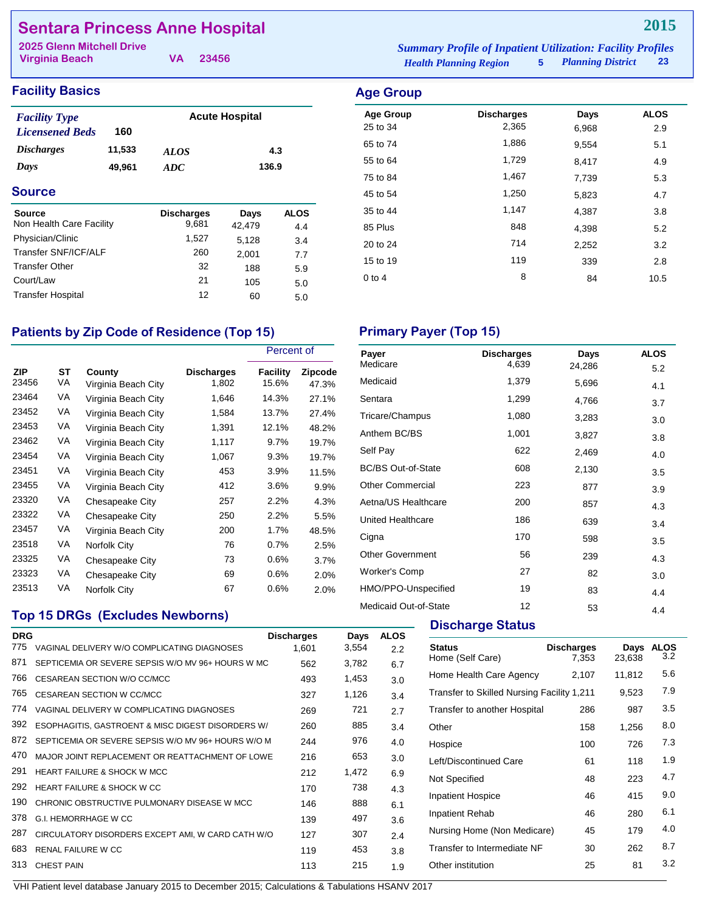# **Sentara Princess Anne Hospital**

| <b>2025 Glenn Mitchell Drive</b> |          | <b>Summary Profile of Inpatient Utilization: Facility Profiles</b> |                            |    |
|----------------------------------|----------|--------------------------------------------------------------------|----------------------------|----|
| Virginia Beach                   | VA 23456 | <b>Health Planning Region</b>                                      | <b>5</b> Planning District | 23 |

Age Group **Discharges** Days ALOS 25 to 34 2,365 6,968 2.9 65 to 74 1,886 9,554 5.1 55 to 64 1,729 8,417 4.9 75 to 84 1,467 7,739 5.3 45 to 54 **1,250** 5,823 4.7 35 to 44 20 3.8 85 Plus 848 4,398 5.2 20 to 24 2,252 3.2 15 to 19 119 339 2.8 0 to 4  $8$  84 10.5

### **Facility Basics Age Group Age Group**

| <b>Facility Type</b>     |        |             | <b>Acute Hospital</b> |
|--------------------------|--------|-------------|-----------------------|
| <b>Licensened Beds</b>   | 160    |             |                       |
| <i><b>Discharges</b></i> | 11,533 | <i>ALOS</i> | 4.3                   |
| Days                     | 49.961 | ADC.        | 136.9                 |

### **Source**

| <b>Source</b>            | <b>Discharges</b> | Days   | <b>ALOS</b> |
|--------------------------|-------------------|--------|-------------|
| Non Health Care Facility | 9,681             | 42,479 | 4.4         |
| Physician/Clinic         | 1.527             | 5.128  | 3.4         |
| Transfer SNF/ICF/ALF     | 260               | 2,001  | 7.7         |
| <b>Transfer Other</b>    | 32                | 188    | 5.9         |
| Court/Law                | 21                | 105    | 5.0         |
| <b>Transfer Hospital</b> | 12                | 60     | 5.0         |

### Patients by Zip Code of Residence (Top 15) Primary Payer (Top 15)

|                     |          |                               |                            | Percent of        |                         |
|---------------------|----------|-------------------------------|----------------------------|-------------------|-------------------------|
| <b>ZIP</b><br>23456 | ST<br>VA | County<br>Virginia Beach City | <b>Discharges</b><br>1,802 | Facility<br>15.6% | <b>Zipcode</b><br>47.3% |
| 23464               | VA       | Virginia Beach City           | 1,646                      | 14.3%             | 27.1%                   |
| 23452               | VA       | Virginia Beach City           | 1,584                      | 13.7%             | 27.4%                   |
| 23453               | VA       | Virginia Beach City           | 1,391                      | 12.1%             | 48.2%                   |
| 23462               | VA       | Virginia Beach City           | 1,117                      | $9.7\%$           | 19.7%                   |
| 23454               | VA       | Virginia Beach City           | 1,067                      | 9.3%              | 19.7%                   |
| 23451               | VA       | Virginia Beach City           | 453                        | 3.9%              | 11.5%                   |
| 23455               | VA       | Virginia Beach City           | 412                        | $3.6\%$           | 9.9%                    |
| 23320               | VA       | Chesapeake City               | 257                        | 2.2%              | 4.3%                    |
| 23322               | VA       | Chesapeake City               | 250                        | $2.2\%$           | 5.5%                    |
| 23457               | VA       | Virginia Beach City           | 200                        | $1.7\%$           | 48.5%                   |
| 23518               | VA       | Norfolk City                  | 76                         | $0.7\%$           | 2.5%                    |
| 23325               | VA       | Chesapeake City               | 73                         | 0.6%              | 3.7%                    |
| 23323               | VA       | Chesapeake City               | 69                         | 0.6%              | 2.0%                    |
| 23513               | VA       | Norfolk City                  | 67                         | 0.6%              | 2.0%                    |

## **Top 15 DRGs (Excludes Newborns)**

| <b>DRG</b> |                                                    | <b>Discharges</b> | Days  | <b>ALOS</b> |
|------------|----------------------------------------------------|-------------------|-------|-------------|
| 775        | VAGINAL DELIVERY W/O COMPLICATING DIAGNOSES        | 1,601             | 3,554 | 2.2         |
| 871        | SEPTICEMIA OR SEVERE SEPSIS W/O MV 96+ HOURS W MC  | 562               | 3,782 | 6.7         |
| 766        | CESAREAN SECTION W/O CC/MCC                        | 493               | 1,453 | 3.0         |
| 765        | CESAREAN SECTION W CC/MCC                          | 327               | 1,126 | 3.4         |
| 774        | VAGINAL DELIVERY W COMPLICATING DIAGNOSES          | 269               | 721   | 2.7         |
| 392        | ESOPHAGITIS, GASTROENT & MISC DIGEST DISORDERS W/  | 260               | 885   | 3.4         |
| 872        | SEPTICEMIA OR SEVERE SEPSIS W/O MV 96+ HOURS W/O M | 244               | 976   | 4.0         |
| 470        | MAJOR JOINT REPLACEMENT OR REATTACHMENT OF LOWE    | 216               | 653   | 3.0         |
| 291        | <b>HEART FAILURE &amp; SHOCK W MCC</b>             | 212               | 1,472 | 6.9         |
| 292        | HEART FAILURE & SHOCK W CC                         | 170               | 738   | 4.3         |
| 190        | CHRONIC OBSTRUCTIVE PULMONARY DISEASE W MCC        | 146               | 888   | 6.1         |
| 378        | <b>G.I. HEMORRHAGE W CC</b>                        | 139               | 497   | 3.6         |
| 287        | CIRCULATORY DISORDERS EXCEPT AMI, W CARD CATH W/O  | 127               | 307   | 2.4         |
| 683        | <b>RENAL FAILURE W CC</b>                          | 119               | 453   | 3.8         |
| 313        | <b>CHEST PAIN</b>                                  | 113               | 215   | 1.9         |

| Payer                     | <b>Discharges</b> | Days   | <b>ALOS</b> |
|---------------------------|-------------------|--------|-------------|
| Medicare                  | 4,639             | 24,286 | 5.2         |
| Medicaid                  | 1,379             | 5,696  | 4.1         |
| Sentara                   | 1,299             | 4,766  | 3.7         |
| Tricare/Champus           | 1,080             | 3,283  | 3.0         |
| Anthem BC/BS              | 1,001             | 3,827  | 3.8         |
| Self Pay                  | 622               | 2,469  | 4.0         |
| <b>BC/BS Out-of-State</b> | 608               | 2,130  | 3.5         |
| <b>Other Commercial</b>   | 223               | 877    | 3.9         |
| Aetna/US Healthcare       | 200               | 857    | 4.3         |
| <b>United Healthcare</b>  | 186               | 639    | 3.4         |
| Cigna                     | 170               | 598    | 3.5         |
| <b>Other Government</b>   | 56                | 239    | 4.3         |
| <b>Worker's Comp</b>      | 27                | 82     | 3.0         |
| HMO/PPO-Unspecified       | 19                | 83     | 4.4         |
| Medicaid Out-of-State     | 12                | 53     | 4.4         |

### **Discharge Status**

| <b>Status</b><br>Home (Self Care)          | <b>Discharges</b><br>7.353 | Days<br>23,638 | <b>ALOS</b><br>3.2 |
|--------------------------------------------|----------------------------|----------------|--------------------|
| Home Health Care Agency                    | 2,107                      | 11,812         | 5.6                |
| Transfer to Skilled Nursing Facility 1,211 |                            | 9,523          | 7.9                |
| Transfer to another Hospital               | 286                        | 987            | 3.5                |
| Other                                      | 158                        | 1,256          | 8.0                |
| Hospice                                    | 100                        | 726            | 7.3                |
| Left/Discontinued Care                     | 61                         | 118            | 1.9                |
| Not Specified                              | 48                         | 223            | 4.7                |
| <b>Inpatient Hospice</b>                   | 46                         | 415            | 9.0                |
| Inpatient Rehab                            | 46                         | 280            | 6.1                |
| Nursing Home (Non Medicare)                | 45                         | 179            | 4.0                |
| Transfer to Intermediate NF                | 30                         | 262            | 8.7                |
| Other institution                          | 25                         | 81             | 3.2                |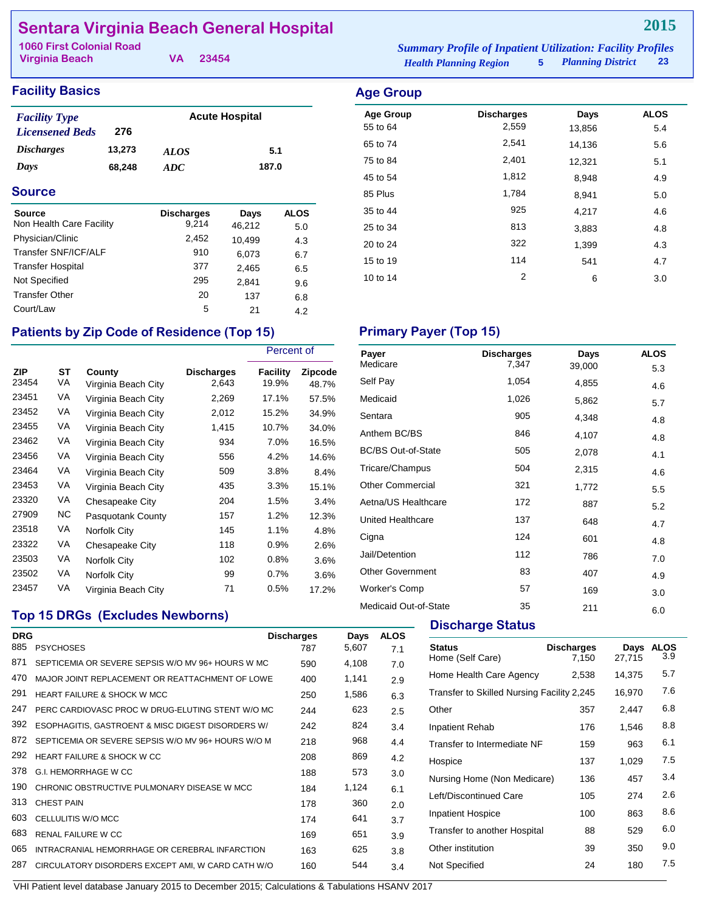# **Sentara Virginia Beach General Hospital**

| 1060 First Colonial Road |          | <b>Summary Profile of Inpatient Utilization: Facility Profiles</b> |                     |    |
|--------------------------|----------|--------------------------------------------------------------------|---------------------|----|
| Virginia Beach           | VA 23454 | <b>Health Planning Region</b>                                      | 5 Planning District | 23 |

Age Group **Discharges** Days ALOS 55 to 64 2,559 13,856 5.4 65 to 74 2,541 14,136 5.6 75 to 84 2,401 12,321 5.1 45 to 54 1,812 8,948 4.9 85 Plus 1,784 8,941 5.0 35 to 44 925 4,217 4.6 25 to 34 and 3,883 and 3,883 and 4.8

### **Facility Basics Age Group Age Group**

| <b>Facility Type</b>   |        |             | <b>Acute Hospital</b> |
|------------------------|--------|-------------|-----------------------|
| <b>Licensened Beds</b> | 276    |             |                       |
| <b>Discharges</b>      | 13,273 | <b>ALOS</b> | 5.1                   |
| Days                   | 68.248 | ADC.        | 187.0                 |

### **Source**

| <b>Source</b>            | <b>Discharges</b> | Days   | <b>ALOS</b> |
|--------------------------|-------------------|--------|-------------|
| Non Health Care Facility | 9.214             | 46,212 | 5.0         |
| Physician/Clinic         | 2,452             | 10,499 | 4.3         |
| Transfer SNF/ICF/ALF     | 910               | 6,073  | 6.7         |
| <b>Transfer Hospital</b> | 377               | 2,465  | 6.5         |
| Not Specified            | 295               | 2.841  | 9.6         |
| <b>Transfer Other</b>    | 20                | 137    | 6.8         |
| Court/Law                | 5                 | 21     | 4.2         |

# Patients by Zip Code of Residence (Top 15) Primary Payer (Top 15)

|                     |          |                               |                            | Percent of        |                  |
|---------------------|----------|-------------------------------|----------------------------|-------------------|------------------|
| <b>ZIP</b><br>23454 | ST<br>VA | County<br>Virginia Beach City | <b>Discharges</b><br>2,643 | Facility<br>19.9% | Zipcode<br>48.7% |
| 23451               | VA       | Virginia Beach City           | 2,269                      | 17.1%             | 57.5%            |
| 23452               | VA       | Virginia Beach City           | 2,012                      | 15.2%             | 34.9%            |
| 23455               | VA       | Virginia Beach City           | 1,415                      | 10.7%             | 34.0%            |
| 23462               | VA       | Virginia Beach City           | 934                        | 7.0%              | 16.5%            |
| 23456               | VA       | Virginia Beach City           | 556                        | 4.2%              | 14.6%            |
| 23464               | VA       | Virginia Beach City           | 509                        | 3.8%              | 8.4%             |
| 23453               | VA       | Virginia Beach City           | 435                        | 3.3%              | 15.1%            |
| 23320               | VA       | Chesapeake City               | 204                        | 1.5%              | 3.4%             |
| 27909               | NC.      | Pasquotank County             | 157                        | 1.2%              | 12.3%            |
| 23518               | VA       | Norfolk City                  | 145                        | 1.1%              | 4.8%             |
| 23322               | VA       | Chesapeake City               | 118                        | 0.9%              | 2.6%             |
| 23503               | VA       | Norfolk City                  | 102                        | 0.8%              | 3.6%             |
| 23502               | VA       | Norfolk City                  | 99                         | 0.7%              | 3.6%             |
| 23457               | VA       | Virginia Beach City           | 71                         | 0.5%              | 17.2%            |

# 20 to 24 and 22 and 22 and 232 and 24 and 24 and 24 and 24 and 24 and 25 and 26 and 26 and 26 and 26 and 26 an 15 to 19 114 541 4.7 10 to 14 2 6 3.0

| Payer                     | <b>Discharges</b> | Days   | <b>ALOS</b> |
|---------------------------|-------------------|--------|-------------|
| Medicare                  | 7,347             | 39,000 | 5.3         |
| Self Pay                  | 1,054             | 4,855  | 4.6         |
| Medicaid                  | 1,026             | 5,862  | 5.7         |
| Sentara                   | 905               | 4,348  | 4.8         |
| Anthem BC/BS              | 846               | 4,107  | 4.8         |
| <b>BC/BS Out-of-State</b> | 505               | 2,078  | 4.1         |
| Tricare/Champus           | 504               | 2,315  | 4.6         |
| <b>Other Commercial</b>   | 321               | 1,772  | 5.5         |
| Aetna/US Healthcare       | 172               | 887    | 5.2         |
| <b>United Healthcare</b>  | 137               | 648    | 4.7         |
| Cigna                     | 124               | 601    | 4.8         |
| Jail/Detention            | 112               | 786    | 7.0         |
| <b>Other Government</b>   | 83                | 407    | 4.9         |
| <b>Worker's Comp</b>      | 57                | 169    | 3.0         |
| Medicaid Out-of-State     | 35                | 211    | 6.0         |

## **Top 15 DRGs (Excludes Newborns)**

| <b>DRG</b> |                                                    | <b>Discharges</b> | Days  | <b>ALOS</b> |
|------------|----------------------------------------------------|-------------------|-------|-------------|
| 885        | <b>PSYCHOSES</b>                                   | 787               | 5,607 | 7.1         |
| 871        | SEPTICEMIA OR SEVERE SEPSIS W/O MV 96+ HOURS W MC  | 590               | 4,108 | 7.0         |
| 470        | MAJOR JOINT REPLACEMENT OR REATTACHMENT OF LOWE    | 400               | 1,141 | 2.9         |
| 291        | <b>HEART FAILURE &amp; SHOCK W MCC</b>             | 250               | 1,586 | 6.3         |
| 247        | PERC CARDIOVASC PROC W DRUG-ELUTING STENT W/O MC   | 244               | 623   | 2.5         |
| 392        | ESOPHAGITIS, GASTROENT & MISC DIGEST DISORDERS W/  | 242               | 824   | 3.4         |
| 872        | SEPTICEMIA OR SEVERE SEPSIS W/O MV 96+ HOURS W/O M | 218               | 968   | 4.4         |
| 292        | <b>HEART FAILURE &amp; SHOCK W CC</b>              | 208               | 869   | 4.2         |
| 378        | <b>G.I. HEMORRHAGE W CC</b>                        | 188               | 573   | 3.0         |
| 190        | CHRONIC OBSTRUCTIVE PULMONARY DISEASE W MCC        | 184               | 1,124 | 6.1         |
| 313        | <b>CHEST PAIN</b>                                  | 178               | 360   | 2.0         |
| 603        | CELLULITIS W/O MCC                                 | 174               | 641   | 3.7         |
| 683        | <b>RENAL FAILURE W CC</b>                          | 169               | 651   | 3.9         |
| 065        | INTRACRANIAL HEMORRHAGE OR CEREBRAL INFARCTION     | 163               | 625   | 3.8         |
| 287        | CIRCULATORY DISORDERS EXCEPT AMI, W CARD CATH W/O  | 160               | 544   | 3.4         |

### **Discharge Status**

|       | 27,715                                                                                                                                            | 3.9 |
|-------|---------------------------------------------------------------------------------------------------------------------------------------------------|-----|
| 2,538 | 14,375                                                                                                                                            | 5.7 |
|       | 16,970                                                                                                                                            | 7.6 |
| 357   | 2,447                                                                                                                                             | 6.8 |
| 176   | 1,546                                                                                                                                             | 8.8 |
| 159   | 963                                                                                                                                               | 6.1 |
| 137   | 1,029                                                                                                                                             | 7.5 |
| 136   | 457                                                                                                                                               | 3.4 |
| 105   | 274                                                                                                                                               | 2.6 |
| 100   | 863                                                                                                                                               | 8.6 |
| 88    | 529                                                                                                                                               | 6.0 |
| 39    | 350                                                                                                                                               | 9.0 |
| 24    | 180                                                                                                                                               | 7.5 |
|       | 7,150<br>Transfer to Skilled Nursing Facility 2,245<br>Transfer to Intermediate NF<br>Nursing Home (Non Medicare)<br>Transfer to another Hospital |     |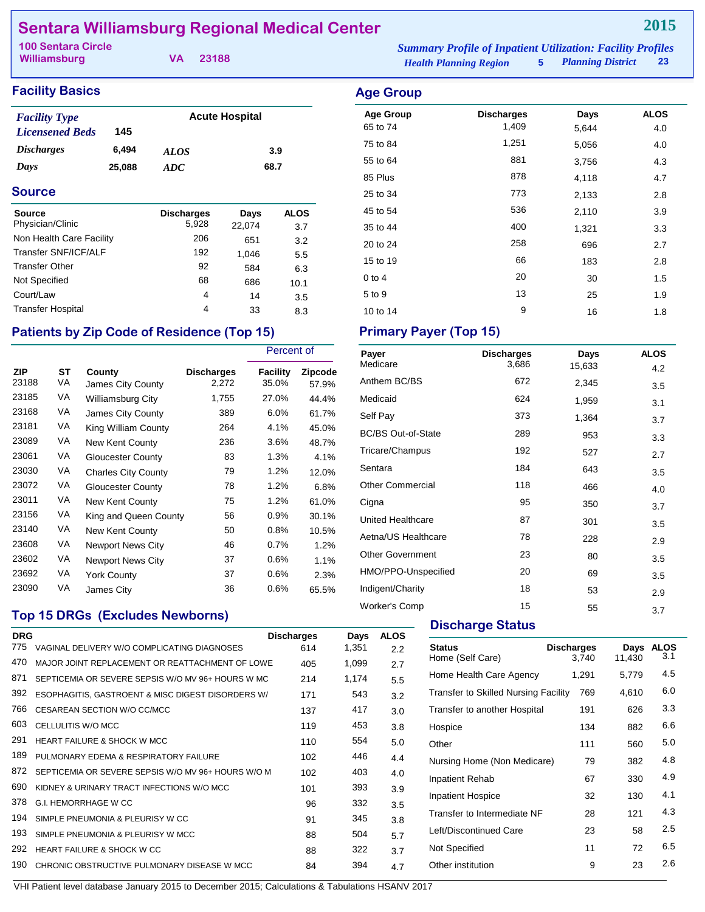# **Sentara Williamsburg Regional Medical Center**

| <b>100 Sentara Circle</b> |          | <b>Summary Profile of Inpatient Utilization: Facility Profiles</b> |                        |  |
|---------------------------|----------|--------------------------------------------------------------------|------------------------|--|
| Williamsburg              | VA 23188 | <b>Health Planning Region</b>                                      | 5 Planning District 23 |  |

### **Facility Basics Age Group Age Group**

| <b>Facility Type</b>     |        | <b>Acute Hospital</b> |      |  |
|--------------------------|--------|-----------------------|------|--|
| <b>Licensened Beds</b>   | 145    |                       |      |  |
| <i><b>Discharges</b></i> | 6.494  | <b>ALOS</b>           | 3.9  |  |
| Days                     | 25,088 | ADC                   | 68.7 |  |

### **Source**

| <b>Source</b><br>Physician/Clinic | <b>Discharges</b><br>5,928 | Days   | <b>ALOS</b> |
|-----------------------------------|----------------------------|--------|-------------|
|                                   |                            | 22,074 | 3.7         |
| Non Health Care Facility          | 206                        | 651    | 3.2         |
| Transfer SNF/ICF/ALF              | 192                        | 1,046  | 5.5         |
| <b>Transfer Other</b>             | 92                         | 584    | 6.3         |
| Not Specified                     | 68                         | 686    | 10.1        |
| Court/Law                         | 4                          | 14     | 3.5         |
| <b>Transfer Hospital</b>          | 4                          | 33     | 8.3         |

## Patients by Zip Code of Residence (Top 15) Primary Payer (Top 15)

|                     |          |                             |                            | Percent of        |                         |
|---------------------|----------|-----------------------------|----------------------------|-------------------|-------------------------|
| <b>ZIP</b><br>23188 | ST<br>VA | County<br>James City County | <b>Discharges</b><br>2,272 | Facility<br>35.0% | <b>Zipcode</b><br>57.9% |
| 23185               | VA       | <b>Williamsburg City</b>    | 1,755                      | 27.0%             | 44.4%                   |
| 23168               | VA       | James City County           | 389                        | 6.0%              | 61.7%                   |
| 23181               | VA       | King William County         | 264                        | 4.1%              | 45.0%                   |
| 23089               | VA       | New Kent County             | 236                        | 3.6%              | 48.7%                   |
| 23061               | VA       | Gloucester County           | 83                         | 1.3%              | 4.1%                    |
| 23030               | VA       | <b>Charles City County</b>  | 79                         | 1.2%              | 12.0%                   |
| 23072               | VA       | Gloucester County           | 78                         | 1.2%              | 6.8%                    |
| 23011               | VA       | New Kent County             | 75                         | 1.2%              | 61.0%                   |
| 23156               | VA       | King and Queen County       | 56                         | 0.9%              | 30.1%                   |
| 23140               | VA       | <b>New Kent County</b>      | 50                         | 0.8%              | 10.5%                   |
| 23608               | VA       | <b>Newport News City</b>    | 46                         | 0.7%              | 1.2%                    |
| 23602               | VA       | <b>Newport News City</b>    | 37                         | 0.6%              | 1.1%                    |
| 23692               | VA       | <b>York County</b>          | 37                         | 0.6%              | 2.3%                    |
| 23090               | VA       | James City                  | 36                         | 0.6%              | 65.5%                   |

# Age Group **Discharges** Days ALOS 65 to 74 1,409 5,644 4.0 75 to 84 1,251 5,056 4.0 55 to 64 and 55 to 64 and 55 to 64 and 50 and 51 and 51 and 51 and 51 and 51 and 51 and 51 and 51 and 51 and 5 85 Plus 2010 120 2010 1310 14.7 25 to 34 773 2,133 2.8 45 to 54 **536** 2,110 3.9 35 to 44 200 1,321 3.3 20 to 24 258 696 2.7 15 to 19 66 183 2.8 0 to 4  $20$   $30$   $1.5$ 5 to 9 13 25 1.9 10 to 14 9 16 1.8

| Payer                     | <b>Discharges</b> | Days   | <b>ALOS</b> |
|---------------------------|-------------------|--------|-------------|
| Medicare                  | 3,686             | 15,633 | 4.2         |
| Anthem BC/BS              | 672               | 2,345  | 3.5         |
| Medicaid                  | 624               | 1,959  | 3.1         |
| Self Pay                  | 373               | 1,364  | 3.7         |
| <b>BC/BS Out-of-State</b> | 289               | 953    | 3.3         |
| Tricare/Champus           | 192               | 527    | 2.7         |
| Sentara                   | 184               | 643    | 3.5         |
| <b>Other Commercial</b>   | 118               | 466    | 4.0         |
| Cigna                     | 95                | 350    | 3.7         |
| United Healthcare         | 87                | 301    | 3.5         |
| Aetna/US Healthcare       | 78                | 228    | 2.9         |
| <b>Other Government</b>   | 23                | 80     | 3.5         |
| HMO/PPO-Unspecified       | 20                | 69     | 3.5         |
| Indigent/Charity          | 18                | 53     | 2.9         |
| <b>Worker's Comp</b>      | 15                | 55     | 3.7         |

# **Top 15 DRGs (Excludes Newborns)**

| <b>DRG</b> |                                                    | <b>Discharges</b> | Days  | <b>ALOS</b> |
|------------|----------------------------------------------------|-------------------|-------|-------------|
| 775        | VAGINAL DELIVERY W/O COMPLICATING DIAGNOSES        | 614               | 1,351 | 2.2         |
| 470        | MAJOR JOINT REPLACEMENT OR REATTACHMENT OF LOWE    | 405               | 1,099 | 2.7         |
| 871        | SEPTICEMIA OR SEVERE SEPSIS W/O MV 96+ HOURS W MC  | 214               | 1,174 | 5.5         |
| 392        | ESOPHAGITIS, GASTROENT & MISC DIGEST DISORDERS W/  | 171               | 543   | 3.2         |
| 766        | CESAREAN SECTION W/O CC/MCC                        | 137               | 417   | 3.0         |
| 603        | CELLULITIS W/O MCC                                 | 119               | 453   | 3.8         |
| 291        | <b>HEART FAILURE &amp; SHOCK W MCC</b>             | 110               | 554   | 5.0         |
| 189        | PULMONARY EDEMA & RESPIRATORY FAILURE              | 102               | 446   | 4.4         |
| 872        | SEPTICEMIA OR SEVERE SEPSIS W/O MV 96+ HOURS W/O M | 102               | 403   | 4.0         |
| 690        | KIDNEY & URINARY TRACT INFECTIONS W/O MCC          | 101               | 393   | 3.9         |
| 378        | G.I. HEMORRHAGE W CC                               | 96                | 332   | 3.5         |
| 194        | SIMPLE PNEUMONIA & PLEURISY W CC                   | 91                | 345   | 3.8         |
| 193        | SIMPLE PNEUMONIA & PLEURISY W MCC                  | 88                | 504   | 5.7         |
| 292        | HEART FAILURE & SHOCK W CC                         | 88                | 322   | 3.7         |
| 190        | CHRONIC OBSTRUCTIVE PULMONARY DISEASE W MCC        | 84                | 394   | 4.7         |
|            |                                                    |                   |       |             |

### **Discharge Status**

| <b>Status</b><br>Home (Self Care)    | <b>Discharges</b><br>3.740 | Days<br>11,430 | <b>ALOS</b><br>3.1 |
|--------------------------------------|----------------------------|----------------|--------------------|
| Home Health Care Agency              | 1,291                      | 5,779          | 4.5                |
| Transfer to Skilled Nursing Facility | 769                        | 4,610          | 6.0                |
| Transfer to another Hospital         | 191                        | 626            | 3.3                |
| Hospice                              | 134                        | 882            | 6.6                |
| Other                                | 111                        | 560            | 5.0                |
| Nursing Home (Non Medicare)          | 79                         | 382            | 4.8                |
| Inpatient Rehab                      | 67                         | 330            | 4.9                |
| <b>Inpatient Hospice</b>             | 32                         | 130            | 4.1                |
| Transfer to Intermediate NF          | 28                         | 121            | 4.3                |
| Left/Discontinued Care               | 23                         | 58             | 2.5                |
| Not Specified                        | 11                         | 72             | 6.5                |
| Other institution                    | 9                          | 23             | 2.6                |
|                                      |                            |                |                    |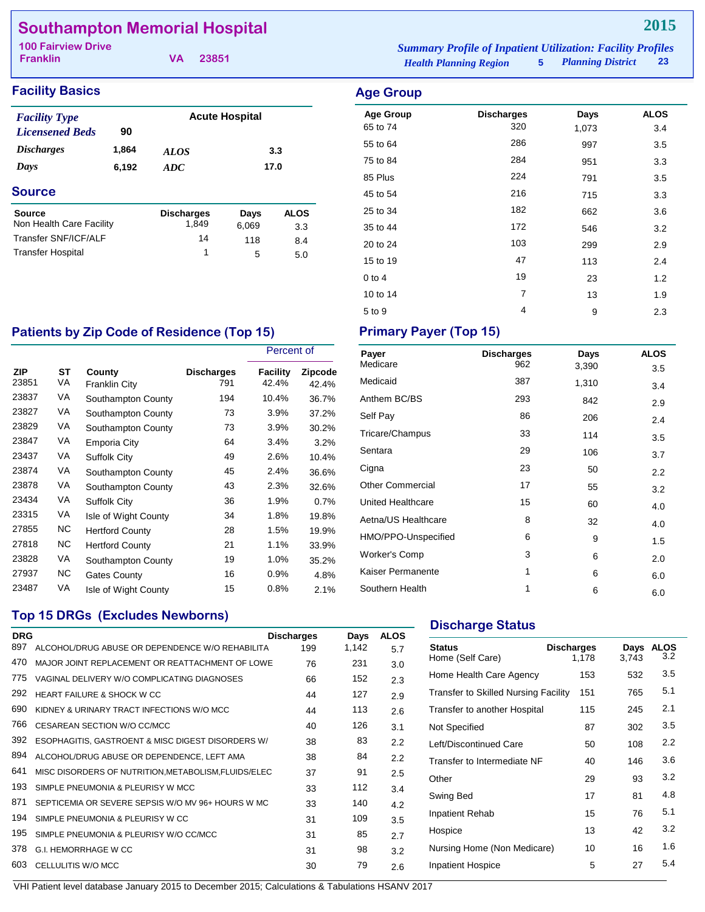# **Southampton Memorial Hospital**

| <b>100 Fairview Drive</b> |          |                               | <b>Summary Profile of Inpatient Utilization: Facility Profiles</b> |                     |    |
|---------------------------|----------|-------------------------------|--------------------------------------------------------------------|---------------------|----|
| <b>Franklin</b>           | VA 23851 | <b>Health Planning Region</b> |                                                                    | 5 Planning District | 23 |

# **Facility Basics Age Group**

| <b>Facility Type</b>       |       |                    | <b>Acute Hospital</b> |             |
|----------------------------|-------|--------------------|-----------------------|-------------|
| <b>Licensened Beds</b>     | 90    |                    |                       |             |
| <b>Discharges</b><br>1,864 |       | <i>ALOS</i>        | 3.3                   |             |
| Days                       | 6,192 | 17.0<br><b>ADC</b> |                       |             |
| <b>Source</b>              |       |                    |                       |             |
| <b>Source</b>              |       | <b>Discharges</b>  | Days                  | <b>ALOS</b> |
| Non Health Care Facility   |       | 1,849              | 6,069                 | 3.3         |
| Transfer SNF/ICF/ALF       |       | 14                 | 118                   | 8.4         |

Transfer Hospital 1 5 5.0

| <b>Age Group</b><br>65 to 74 | <b>Discharges</b><br>320 | Days<br>1,073 | <b>ALOS</b><br>3.4 |
|------------------------------|--------------------------|---------------|--------------------|
| 55 to 64                     | 286                      | 997           | 3.5                |
| 75 to 84                     | 284                      | 951           | 3.3                |
| 85 Plus                      | 224                      | 791           | 3.5                |
| 45 to 54                     | 216                      | 715           | 3.3                |
| 25 to 34                     | 182                      | 662           | 3.6                |
| 35 to 44                     | 172                      | 546           | 3.2                |
| 20 to 24                     | 103                      | 299           | 2.9                |
| 15 to 19                     | 47                       | 113           | 2.4                |
| $0$ to 4                     | 19                       | 23            | 1.2                |
| 10 to 14                     | 7                        | 13            | 1.9                |
| 5 to 9                       | 4                        | 9             | 2.3                |

# Patients by Zip Code of Residence (Top 15) Primary Payer (Top 15)

|              |          |                                |                          | Percent of        |                         |
|--------------|----------|--------------------------------|--------------------------|-------------------|-------------------------|
| ZIP<br>23851 | ST<br>VA | County<br><b>Franklin City</b> | <b>Discharges</b><br>791 | Facility<br>42.4% | <b>Zipcode</b><br>42.4% |
| 23837        | VA       | Southampton County             | 194                      | 10.4%             | 36.7%                   |
| 23827        | VA       | Southampton County             | 73                       | 3.9%              | 37.2%                   |
| 23829        | VA       | Southampton County             | 73                       | 3.9%              | 30.2%                   |
| 23847        | VA       | Emporia City                   | 64                       | 3.4%              | 3.2%                    |
| 23437        | VA       | <b>Suffolk City</b>            | 49                       | 2.6%              | 10.4%                   |
| 23874        | VA       | Southampton County             | 45                       | 2.4%              | 36.6%                   |
| 23878        | VA       | Southampton County             | 43                       | 2.3%              | 32.6%                   |
| 23434        | VA       | <b>Suffolk City</b>            | 36                       | 1.9%              | 0.7%                    |
| 23315        | VA       | Isle of Wight County           | 34                       | 1.8%              | 19.8%                   |
| 27855        | NC.      | <b>Hertford County</b>         | 28                       | 1.5%              | 19.9%                   |
| 27818        | NC.      | <b>Hertford County</b>         | 21                       | 1.1%              | 33.9%                   |
| 23828        | VA       | Southampton County             | 19                       | 1.0%              | 35.2%                   |
| 27937        | NC.      | Gates County                   | 16                       | 0.9%              | 4.8%                    |
| 23487        | VA       | Isle of Wight County           | 15                       | 0.8%              | 2.1%                    |

| Payer<br>Medicare        | <b>Discharges</b> | Days  | <b>ALOS</b>      |
|--------------------------|-------------------|-------|------------------|
|                          | 962               | 3,390 | 3.5              |
| Medicaid                 | 387               | 1,310 | 3.4              |
| Anthem BC/BS             | 293               | 842   | 2.9              |
| Self Pay                 | 86                | 206   | 2.4              |
| Tricare/Champus          | 33                | 114   | 3.5              |
| Sentara                  | 29                | 106   | 3.7              |
| Cigna                    | 23                | 50    | $2.2\phantom{0}$ |
| <b>Other Commercial</b>  | 17                | 55    | 3.2              |
| <b>United Healthcare</b> | 15                | 60    | 4.0              |
| Aetna/US Healthcare      | 8                 | 32    | 4.0              |
| HMO/PPO-Unspecified      | 6                 | 9     | 1.5              |
| <b>Worker's Comp</b>     | 3                 | 6     | 2.0              |
| Kaiser Permanente        | 1                 | 6     | 6.0              |
| Southern Health          | 1                 | 6     | 6.0              |

# **Top 15 DRGs (Excludes Newborns)**

| <b>DRG</b> |                                                      | <b>Discharges</b> | Days  | <b>ALOS</b> |
|------------|------------------------------------------------------|-------------------|-------|-------------|
| 897        | ALCOHOL/DRUG ABUSE OR DEPENDENCE W/O REHABILITA      | 199               | 1,142 | 5.7         |
| 470        | MAJOR JOINT REPLACEMENT OR REATTACHMENT OF LOWE      | 76                | 231   | 3.0         |
| 775        | VAGINAL DELIVERY W/O COMPLICATING DIAGNOSES          | 66                | 152   | 2.3         |
| 292        | HEART FAILURE & SHOCK W CC                           | 44                | 127   | 2.9         |
| 690        | KIDNEY & URINARY TRACT INFECTIONS W/O MCC            | 44                | 113   | 2.6         |
| 766        | CESAREAN SECTION W/O CC/MCC                          | 40                | 126   | 3.1         |
| 392        | ESOPHAGITIS, GASTROENT & MISC DIGEST DISORDERS W/    | 38                | 83    | 2.2         |
| 894        | ALCOHOL/DRUG ABUSE OR DEPENDENCE, LEFT AMA           | 38                | 84    | 2.2         |
| 641        | MISC DISORDERS OF NUTRITION, METABOLISM, FLUIDS/ELEC | 37                | 91    | 2.5         |
| 193        | SIMPLE PNEUMONIA & PLEURISY W MCC                    | 33                | 112   | 3.4         |
| 871        | SEPTICEMIA OR SEVERE SEPSIS W/O MV 96+ HOURS W MC    | 33                | 140   | 4.2         |
| 194        | SIMPLE PNEUMONIA & PLEURISY W CC                     | 31                | 109   | 3.5         |
| 195        | SIMPLE PNEUMONIA & PLEURISY W/O CC/MCC               | 31                | 85    | 2.7         |
| 378        | <b>G.I. HEMORRHAGE W CC</b>                          | 31                | 98    | 3.2         |
| 603        | CELLULITIS W/O MCC                                   | 30                | 79    | 2.6         |
|            |                                                      |                   |       |             |

# **Discharge Status**

| <b>Status</b><br>Home (Self Care)           | <b>Discharges</b><br>1,178 | Days<br>3,743 | <b>ALOS</b><br>3.2 |
|---------------------------------------------|----------------------------|---------------|--------------------|
| Home Health Care Agency                     | 153                        | 532           | 3.5                |
| <b>Transfer to Skilled Nursing Facility</b> | 151                        | 765           | 5.1                |
| Transfer to another Hospital                | 115                        | 245           | 2.1                |
| Not Specified                               | 87                         | 302           | 3.5                |
| Left/Discontinued Care                      | 50                         | 108           | 2.2                |
| Transfer to Intermediate NF                 | 40                         | 146           | 3.6                |
| Other                                       | 29                         | 93            | 3.2                |
| Swing Bed                                   | 17                         | 81            | 4.8                |
| Inpatient Rehab                             | 15                         | 76            | 5.1                |
| Hospice                                     | 13                         | 42            | 3.2                |
| Nursing Home (Non Medicare)                 | 10                         | 16            | 1.6                |
| <b>Inpatient Hospice</b>                    | 5                          | 27            | 5.4                |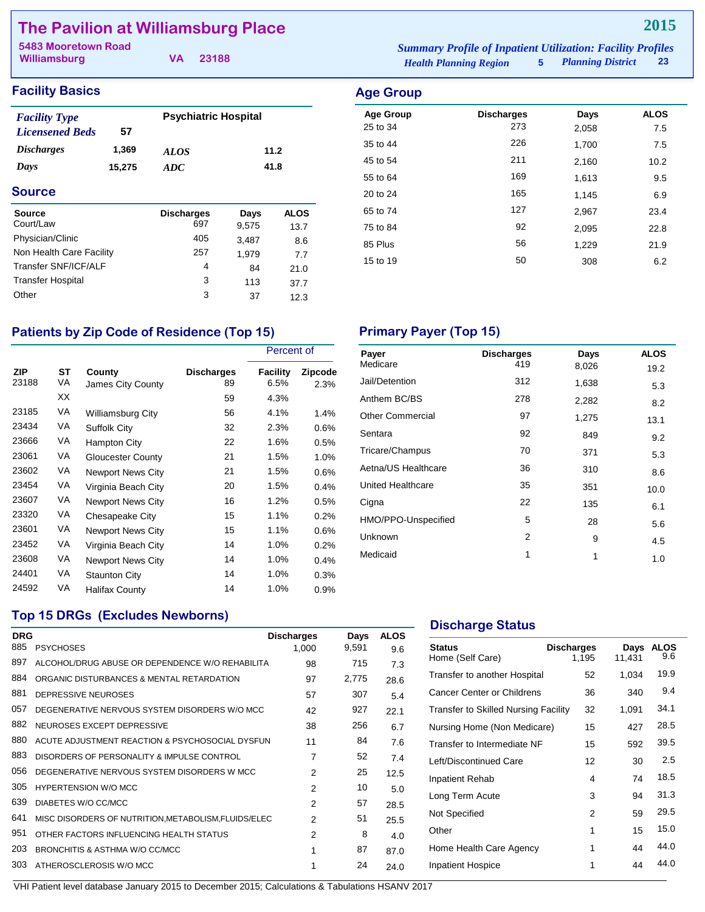# **The Pavilion at Williamsburg Place**

**Williamsburg**

**VA 23188**

### *Health Planning Region* **5** *Planning District* **23 5483 Mooretown Road** *Summary Profile of Inpatient Utilization: Facility Profiles*

Age Group **Discharges** Days ALOS 25 to 34 273 2,058 7.5 35 to 44 226 1,700 7.5 45 to 54 211 2,160 2012 55 to 64 169 1,613 9.5 20 to 24 **165** 1,145 6.9 65 to 74 127 2,967 23.4 75 to 84 2,095 22.8 85 Plus 21.9 15 to 19 308 6.2

| <b>Facility Type</b>     |        | <b>Psychiatric Hospital</b> |      |
|--------------------------|--------|-----------------------------|------|
| <b>Licensened Beds</b>   | 57     |                             |      |
| <i><b>Discharges</b></i> | 1,369  | <i>ALOS</i>                 | 11.2 |
| Days                     | 15.275 | ADC                         | 41.8 |
| <b>Source</b>            |        |                             |      |

| <b>Source</b><br>Court/Law | <b>Discharges</b><br>697 | Days<br>9,575 | <b>ALOS</b><br>13.7 |
|----------------------------|--------------------------|---------------|---------------------|
| Physician/Clinic           | 405                      | 3.487         | 8.6                 |
| Non Health Care Facility   | 257                      | 1.979         | 7.7                 |
| Transfer SNF/ICF/ALF       | 4                        | 84            | 21.0                |
| <b>Transfer Hospital</b>   | 3                        | 113           | 37.7                |
| Other                      | 3                        | 37            | 12.3                |

## Patients by Zip Code of Residence (Top 15) Primary Payer (Top 15)

|                     |          |                             |                         |                         | Percent of             |  |
|---------------------|----------|-----------------------------|-------------------------|-------------------------|------------------------|--|
| <b>ZIP</b><br>23188 | ST<br>VA | County<br>James City County | <b>Discharges</b><br>89 | <b>Facility</b><br>6.5% | <b>Zipcode</b><br>2.3% |  |
|                     | ХX       |                             | 59                      | 4.3%                    |                        |  |
| 23185               | VA       | <b>Williamsburg City</b>    | 56                      | 4.1%                    | 1.4%                   |  |
| 23434               | VA       | Suffolk City                | 32                      | 2.3%                    | $0.6\%$                |  |
| 23666               | VA       | <b>Hampton City</b>         | 22                      | 1.6%                    | $0.5\%$                |  |
| 23061               | VA       | Gloucester County           | 21                      | 1.5%                    | 1.0%                   |  |
| 23602               | VA       | <b>Newport News City</b>    | 21                      | 1.5%                    | $0.6\%$                |  |
| 23454               | VA       | Virginia Beach City         | 20                      | 1.5%                    | 0.4%                   |  |
| 23607               | VA       | <b>Newport News City</b>    | 16                      | 1.2%                    | $0.5\%$                |  |
| 23320               | VA       | Chesapeake City             | 15                      | 1.1%                    | $0.2\%$                |  |
| 23601               | VA       | Newport News City           | 15                      | 1.1%                    | $0.6\%$                |  |
| 23452               | VA       | Virginia Beach City         | 14                      | 1.0%                    | 0.2%                   |  |
| 23608               | VA       | <b>Newport News City</b>    | 14                      | 1.0%                    | 0.4%                   |  |
| 24401               | VA       | Staunton City               | 14                      | 1.0%                    | 0.3%                   |  |
| 24592               | VA       | Halifax County              | 14                      | 1.0%                    | $0.9\%$                |  |

| Payer                   | <b>Discharges</b> | Days  | <b>ALOS</b> |
|-------------------------|-------------------|-------|-------------|
| Medicare                | 419               | 8,026 | 19.2        |
| Jail/Detention          | 312               | 1,638 | 5.3         |
| Anthem BC/BS            | 278               | 2,282 | 8.2         |
| <b>Other Commercial</b> | 97                | 1,275 | 13.1        |
| Sentara                 | 92                | 849   | 9.2         |
| Tricare/Champus         | 70                | 371   | 5.3         |
| Aetna/US Healthcare     | 36                | 310   | 8.6         |
| United Healthcare       | 35                | 351   | 10.0        |
| Cigna                   | 22                | 135   | 6.1         |
| HMO/PPO-Unspecified     | 5                 | 28    | 5.6         |
| Unknown                 | 2                 | 9     | 4.5         |
| Medicaid                | 1                 | 1     | 1.0         |

### **Top 15 DRGs (Excludes Newborns)**

|                                               | <b>Discharges</b>              | Days                                                                                                                                                                      | <b>ALOS</b><br>9.6 |
|-----------------------------------------------|--------------------------------|---------------------------------------------------------------------------------------------------------------------------------------------------------------------------|--------------------|
|                                               |                                |                                                                                                                                                                           |                    |
|                                               |                                |                                                                                                                                                                           | 7.3                |
| ORGANIC DISTURBANCES & MENTAL RETARDATION     | 97                             | 2,775                                                                                                                                                                     | 28.6               |
| DEPRESSIVE NEUROSES                           | 57                             | 307                                                                                                                                                                       | 5.4                |
| DEGENERATIVE NERVOUS SYSTEM DISORDERS W/O MCC | 42                             | 927                                                                                                                                                                       | 22.1               |
| NEUROSES EXCEPT DEPRESSIVE                    | 38                             | 256                                                                                                                                                                       | 6.7                |
|                                               | 11                             | 84                                                                                                                                                                        | 7.6                |
| DISORDERS OF PERSONALITY & IMPULSE CONTROL    | $\overline{7}$                 | 52                                                                                                                                                                        | 7.4                |
| DEGENERATIVE NERVOUS SYSTEM DISORDERS W MCC   | 2                              | 25                                                                                                                                                                        | 12.5               |
| <b>HYPERTENSION W/O MCC</b>                   | 2                              | 10                                                                                                                                                                        | 5.0                |
| DIABETES W/O CC/MCC                           | 2                              | 57                                                                                                                                                                        | 28.5               |
|                                               | 2                              | 51                                                                                                                                                                        | 25.5               |
| OTHER FACTORS INFLUENCING HEALTH STATUS       | $\mathfrak{p}$                 | 8                                                                                                                                                                         | 4.0                |
| BRONCHITIS & ASTHMA W/O CC/MCC                | 1                              | 87                                                                                                                                                                        | 87.0               |
| ATHEROSCLEROSIS W/O MCC                       | 1                              | 24                                                                                                                                                                        | 24.0               |
|                                               | <b>DRG</b><br><b>PSYCHOSES</b> | 1,000<br>ALCOHOL/DRUG ABUSE OR DEPENDENCE W/O REHABILITA<br>98<br>ACUTE ADJUSTMENT REACTION & PSYCHOSOCIAL DYSFUN<br>MISC DISORDERS OF NUTRITION, METABOLISM, FLUIDS/ELEC | 9,591<br>715       |

### **Discharge Status**

| <b>Status</b><br>Home (Self Care)           | <b>Discharges</b><br>1,195 | Days<br>11,431 | <b>ALOS</b><br>9.6 |
|---------------------------------------------|----------------------------|----------------|--------------------|
| Transfer to another Hospital                | 52                         | 1,034          | 19.9               |
| Cancer Center or Childrens                  | 36                         | 340            | 9.4                |
| <b>Transfer to Skilled Nursing Facility</b> | 32                         | 1,091          | 34.1               |
| Nursing Home (Non Medicare)                 | 15                         | 427            | 28.5               |
| Transfer to Intermediate NF                 | 15                         | 592            | 39.5               |
| Left/Discontinued Care                      | 12                         | 30             | 2.5                |
| Inpatient Rehab                             | 4                          | 74             | 18.5               |
| Long Term Acute                             | 3                          | 94             | 31.3               |
| Not Specified                               | 2                          | 59             | 29.5               |
| Other                                       | 1                          | 15             | 15.0               |
| Home Health Care Agency                     | 1                          | 44             | 44.0               |
| <b>Inpatient Hospice</b>                    | 1                          | 44             | 44.0               |